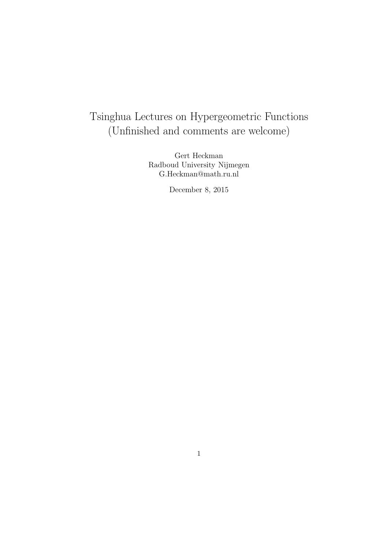# Tsinghua Lectures on Hypergeometric Functions (Unfinished and comments are welcome)

Gert Heckman Radboud University Nijmegen G.Heckman@math.ru.nl

December 8, 2015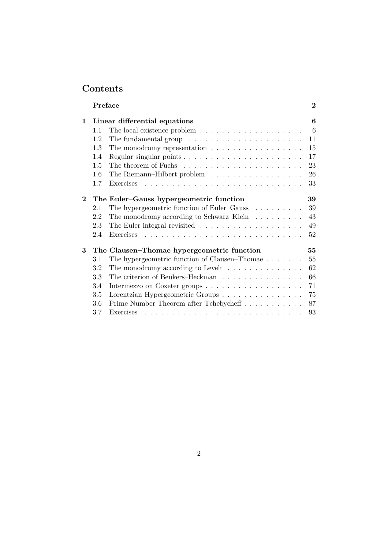# Contents

|          | Preface                                 |                                                                          | $\bf{2}$ |  |  |  |  |
|----------|-----------------------------------------|--------------------------------------------------------------------------|----------|--|--|--|--|
| 1        |                                         | Linear differential equations                                            |          |  |  |  |  |
|          | 1.1                                     |                                                                          | 6        |  |  |  |  |
|          | 1.2                                     | The fundamental group $\dots \dots \dots \dots \dots \dots \dots$        | 11       |  |  |  |  |
|          | 1.3                                     | The monodromy representation $\ldots \ldots \ldots \ldots \ldots \ldots$ | 15       |  |  |  |  |
|          | 1.4                                     |                                                                          | 17       |  |  |  |  |
|          | 1.5                                     |                                                                          | 23       |  |  |  |  |
|          | 1.6                                     | The Riemann-Hilbert problem                                              | 26       |  |  |  |  |
|          | 1.7                                     | Exercises                                                                | 33       |  |  |  |  |
| $\bf{2}$ | The Euler-Gauss hypergeometric function |                                                                          |          |  |  |  |  |
|          | 2.1                                     | The hypergeometric function of Euler-Gauss $\ldots \ldots \ldots$        | 39       |  |  |  |  |
|          | 2.2                                     | The monodromy according to Schwarz–Klein $\ldots \ldots \ldots$          | 43       |  |  |  |  |
|          | 2.3                                     |                                                                          | 49       |  |  |  |  |
|          | 2.4                                     |                                                                          | 52       |  |  |  |  |
| 3        |                                         | The Clausen–Thomae hypergeometric function                               | 55       |  |  |  |  |
|          | 3.1                                     | The hypergeometric function of Clausen–Thomae $\dots \dots$              | 55       |  |  |  |  |
|          | 3.2                                     | The monodromy according to Levelt $\dots \dots \dots \dots$              | 62       |  |  |  |  |
|          | 3.3                                     | The criterion of Beukers-Heckman                                         | 66       |  |  |  |  |
|          | 3.4                                     |                                                                          | 71       |  |  |  |  |
|          | 3.5                                     | Lorentzian Hypergeometric Groups                                         | 75       |  |  |  |  |
|          | 3.6                                     | Prime Number Theorem after Tchebycheff                                   | 87       |  |  |  |  |
|          | 3.7                                     | Exercises                                                                | 93       |  |  |  |  |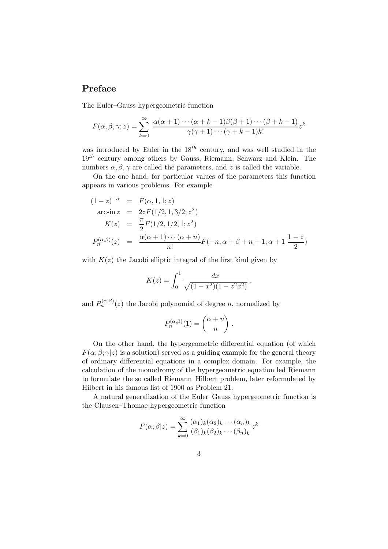# Preface

The Euler–Gauss hypergeometric function

$$
F(\alpha, \beta, \gamma; z) = \sum_{k=0}^{\infty} \frac{\alpha(\alpha+1)\cdots(\alpha+k-1)\beta(\beta+1)\cdots(\beta+k-1)}{\gamma(\gamma+1)\cdots(\gamma+k-1)k!} z^k
$$

was introduced by Euler in the  $18^{th}$  century, and was well studied in the  $19<sup>th</sup>$  century among others by Gauss, Riemann, Schwarz and Klein. The numbers  $\alpha, \beta, \gamma$  are called the parameters, and z is called the variable.

On the one hand, for particular values of the parameters this function appears in various problems. For example

$$
(1-z)^{-\alpha} = F(\alpha, 1, 1; z)
$$
  
\n
$$
\arcsin z = 2zF(1/2, 1, 3/2; z^2)
$$
  
\n
$$
K(z) = \frac{\pi}{2}F(1/2, 1/2, 1; z^2)
$$
  
\n
$$
P_n^{(\alpha,\beta)}(z) = \frac{\alpha(\alpha+1)\cdots(\alpha+n)}{n!}F(-n, \alpha+\beta+n+1; \alpha+1|\frac{1-z}{2})
$$

with  $K(z)$  the Jacobi elliptic integral of the first kind given by

$$
K(z) = \int_0^1 \frac{dx}{\sqrt{(1 - x^2)(1 - z^2 x^2)}},
$$

and  $P_n^{(\alpha,\beta)}(z)$  the Jacobi polynomial of degree n, normalized by

$$
P_n^{(\alpha,\beta)}(1) = \binom{\alpha+n}{n} \ .
$$

On the other hand, the hypergeometric differential equation (of which  $F(\alpha, \beta; \gamma|z)$  is a solution) served as a guiding example for the general theory of ordinary differential equations in a complex domain. For example, the calculation of the monodromy of the hypergeometric equation led Riemann to formulate the so called Riemann–Hilbert problem, later reformulated by Hilbert in his famous list of 1900 as Problem 21.

A natural generalization of the Euler–Gauss hypergeometric function is the Clausen–Thomae hypergeometric function

$$
F(\alpha;\beta|z) = \sum_{k=0}^{\infty} \frac{(\alpha_1)_k (\alpha_2)_k \cdots (\alpha_n)_k}{(\beta_1)_k (\beta_2)_k \cdots (\beta_n)_k} z^k
$$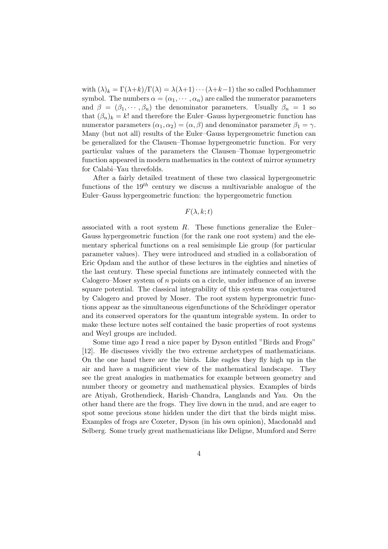with  $(\lambda)_k = \Gamma(\lambda + k)/\Gamma(\lambda) = \lambda(\lambda + 1) \cdots (\lambda + k-1)$  the so called Pochhammer symbol. The numbers  $\alpha = (\alpha_1, \dots, \alpha_n)$  are called the numerator parameters and  $\beta = (\beta_1, \dots, \beta_n)$  the denominator parameters. Usually  $\beta_n = 1$  so that  $(\beta_n)_k = k!$  and therefore the Euler–Gauss hypergeometric function has numerator parameters  $(\alpha_1, \alpha_2) = (\alpha, \beta)$  and denominator parameter  $\beta_1 = \gamma$ . Many (but not all) results of the Euler–Gauss hypergeometric function can be generalized for the Clausen–Thomae hypergeometric function. For very particular values of the parameters the Clausen–Thomae hypergeometric function appeared in modern mathematics in the context of mirror symmetry for Calabi–Yau threefolds.

After a fairly detailed treatment of these two classical hypergeometric functions of the  $19^{th}$  century we discuss a multivariable analogue of the Euler–Gauss hypergeometric function: the hypergeometric function

## $F(\lambda, k; t)$

associated with a root system  $R$ . These functions generalize the Euler– Gauss hypergeometric function (for the rank one root system) and the elementary spherical functions on a real semisimple Lie group (for particular parameter values). They were introduced and studied in a collaboration of Eric Opdam and the author of these lectures in the eighties and nineties of the last century. These special functions are intimately connected with the Calogero–Moser system of  $n$  points on a circle, under influence of an inverse square potential. The classical integrability of this system was conjectured by Calogero and proved by Moser. The root system hypergeometric functions appear as the simultaneous eigenfunctions of the Schrödinger operator and its conserved operators for the quantum integrable system. In order to make these lecture notes self contained the basic properties of root systems and Weyl groups are included.

Some time ago I read a nice paper by Dyson entitled "Birds and Frogs" [12]. He discusses vividly the two extreme archetypes of mathematicians. On the one hand there are the birds. Like eagles they fly high up in the air and have a magnificient view of the mathematical landscape. They see the great analogies in mathematics for example between geometry and number theory or geometry and mathematical physics. Examples of birds are Atiyah, Grothendieck, Harish–Chandra, Langlands and Yau. On the other hand there are the frogs. They live down in the mud, and are eager to spot some precious stone hidden under the dirt that the birds might miss. Examples of frogs are Coxeter, Dyson (in his own opinion), Macdonald and Selberg. Some truely great mathematicians like Deligne, Mumford and Serre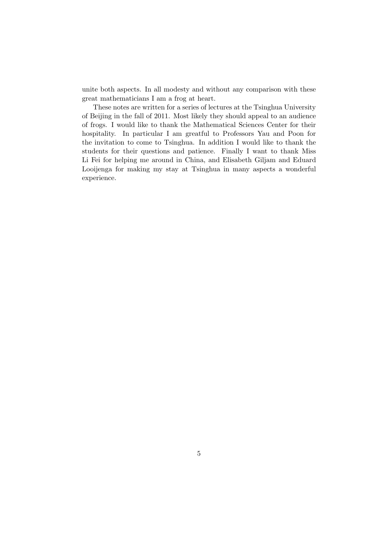unite both aspects. In all modesty and without any comparison with these great mathematicians I am a frog at heart.

These notes are written for a series of lectures at the Tsinghua University of Beijing in the fall of 2011. Most likely they should appeal to an audience of frogs. I would like to thank the Mathematical Sciences Center for their hospitality. In particular I am greatful to Professors Yau and Poon for the invitation to come to Tsinghua. In addition I would like to thank the students for their questions and patience. Finally I want to thank Miss Li Fei for helping me around in China, and Elisabeth Giljam and Eduard Looijenga for making my stay at Tsinghua in many aspects a wonderful experience.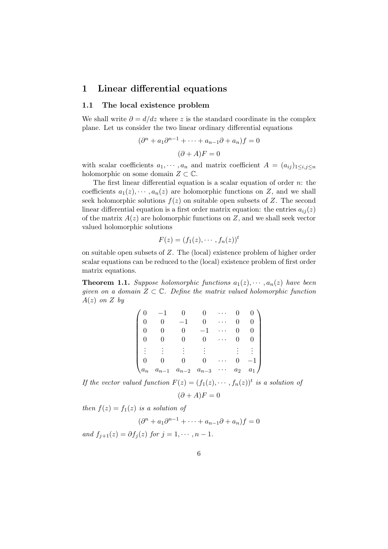## 1 Linear differential equations

#### 1.1 The local existence problem

We shall write  $\partial = d/dz$  where z is the standard coordinate in the complex plane. Let us consider the two linear ordinary differential equations

$$
(\partial^n + a_1 \partial^{n-1} + \dots + a_{n-1} \partial + a_n) f = 0
$$

$$
(\partial + A)F = 0
$$

with scalar coefficients  $a_1, \dots, a_n$  and matrix coefficient  $A = (a_{ij})_{1 \leq i,j \leq n}$ holomorphic on some domain  $Z \subset \mathbb{C}$ .

The first linear differential equation is a scalar equation of order  $n$ : the coefficients  $a_1(z), \dots, a_n(z)$  are holomorphic functions on Z, and we shall seek holomorphic solutions  $f(z)$  on suitable open subsets of Z. The second linear differential equation is a first order matrix equation: the entries  $a_{ij}(z)$ of the matrix  $A(z)$  are holomorphic functions on Z, and we shall seek vector valued holomorphic solutions

$$
F(z) = (f_1(z), \cdots, f_n(z))^t
$$

on suitable open subsets of Z. The (local) existence problem of higher order scalar equations can be reduced to the (local) existence problem of first order matrix equations.

**Theorem 1.1.** Suppose holomorphic functions  $a_1(z), \dots, a_n(z)$  have been given on a domain  $Z \subset \mathbb{C}$ . Define the matrix valued holomorphic function  $A(z)$  on Z by

|             |           |                     | $\vert 0 \vert$ | $\ddot{\phantom{0}}$ . |                    |         |
|-------------|-----------|---------------------|-----------------|------------------------|--------------------|---------|
|             |           | $-1$                | $\overline{0}$  | . .                    |                    |         |
|             |           | $\overline{0}$      | $-1$            | . .                    |                    |         |
|             | 0         |                     | $0^-$           | $\ddot{\phantom{1}}$ . |                    |         |
|             |           |                     |                 |                        |                    |         |
|             |           |                     | $0^-$           | $\ddot{\phantom{0}}$   |                    |         |
| $\cdot a_n$ | $a_{n-1}$ | $a_{n-2}$ $a_{n-3}$ |                 | $\bullet$ $\bullet$    | $\boldsymbol{a}_2$ | $a_1$ / |

If the vector valued function  $F(z) = (f_1(z), \dots, f_n(z))^t$  is a solution of

$$
(\partial + A)F = 0
$$

then  $f(z) = f_1(z)$  is a solution of

 $(\partial^n + a_1 \partial^{n-1} + \cdots + a_{n-1} \partial + a_n) f = 0$ 

and  $f_{j+1}(z) = \partial f_j(z)$  for  $j = 1, \dots, n-1$ .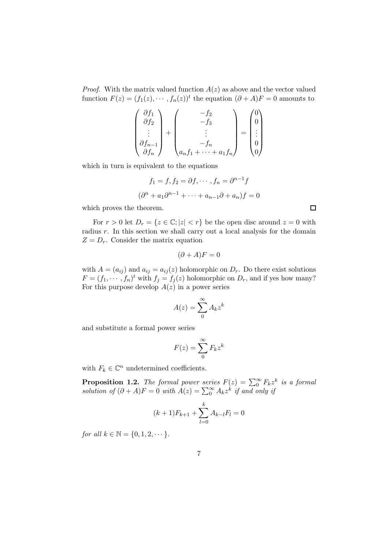*Proof.* With the matrix valued function  $A(z)$  as above and the vector valued function  $F(z) = (f_1(z), \dots, f_n(z))^t$  the equation  $(\partial + A)F = 0$  amounts to

| $\partial f_1$<br>$\partial f_2$ | $-f_2$<br>$f_3$       |           |
|----------------------------------|-----------------------|-----------|
|                                  |                       | $\bullet$ |
| $\Omega$<br>$^{-1}$              |                       |           |
|                                  | $a_1f_n$<br>$a_n f_1$ |           |

which in turn is equivalent to the equations

$$
f_1 = f, f_2 = \partial f, \cdots, f_n = \partial^{n-1} f
$$

$$
(\partial^n + a_1 \partial^{n-1} + \cdots + a_{n-1} \partial + a_n) f = 0
$$

which proves the theorem.

For  $r > 0$  let  $D_r = \{z \in \mathbb{C}; |z| < r\}$  be the open disc around  $z = 0$  with radius r. In this section we shall carry out a local analysis for the domain  $Z = D_r$ . Consider the matrix equation

$$
(\partial + A)F = 0
$$

with  $A = (a_{ij})$  and  $a_{ij} = a_{ij}(z)$  holomorphic on  $D_r$ . Do there exist solutions  $F = (f_1, \dots, f_n)^t$  with  $f_j = f_j(z)$  holomorphic on  $D_r$ , and if yes how many? For this purpose develop  $A(z)$  in a power series

$$
A(z) = \sum_{0}^{\infty} A_k z^k
$$

and substitute a formal power series

$$
F(z) = \sum_{0}^{\infty} F_k z^k
$$

with  $F_k \in \mathbb{C}^n$  undetermined coefficients.

**Proposition 1.2.** The formal power series  $F(z) = \sum_{n=0}^{\infty} F_k z^k$  is a formal solution of  $(\partial + A)F = 0$  with  $A(z) = \sum_{k=0}^{\infty} A_k z^k$  if and only if

$$
(k+1)F_{k+1} + \sum_{l=0}^{k} A_{k-l}F_l = 0
$$

for all  $k \in \mathbb{N} = \{0, 1, 2, \dots\}.$ 

 $\Box$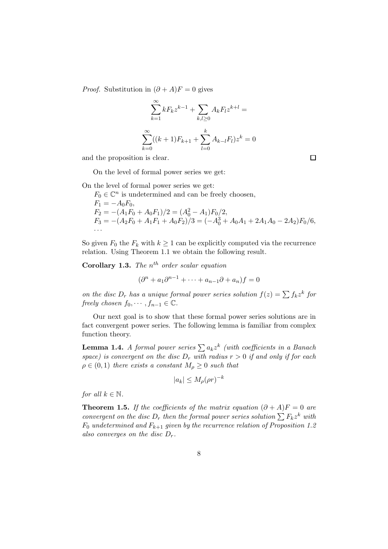*Proof.* Substitution in  $(\partial + A)F = 0$  gives

$$
\sum_{k=1}^{\infty} k F_k z^{k-1} + \sum_{k,l \ge 0} A_k F_l z^{k+l} =
$$
  

$$
\sum_{k=0}^{\infty} ((k+1)F_{k+1} + \sum_{l=0}^{k} A_{k-l} F_l) z^k = 0
$$

 $\Box$ 

and the proposition is clear.

On the level of formal power series we get:

On the level of formal power series we get:

 $F_0 \in \mathbb{C}^n$  is undetermined and can be freely choosen,  $F_1 = -A_0F_0,$  $F_2 = -(A_1F_0 + A_0F_1)/2 = (A_0^2 - A_1)F_0/2,$  $F_3 = -(A_2F_0 + A_1F_1 + A_0F_2)/3 = (-A_0^3 + A_0A_1 + 2A_1A_0 - 2A_2)F_0/6,$ · · ·

So given  $F_0$  the  $F_k$  with  $k \geq 1$  can be explicitly computed via the recurrence relation. Using Theorem 1.1 we obtain the following result.

**Corollary 1.3.** The  $n^{th}$  order scalar equation

$$
(\partial^n + a_1 \partial^{n-1} + \dots + a_{n-1} \partial + a_n) f = 0
$$

on the disc  $D_r$  has a unique formal power series solution  $f(z) = \sum f_k z^k$  for freely chosen  $f_0, \cdots, f_{n-1} \in \mathbb{C}$ .

Our next goal is to show that these formal power series solutions are in fact convergent power series. The following lemma is familiar from complex function theory.

**Lemma 1.4.** A formal power series  $\sum a_k z^k$  (with coefficients in a Banach space) is convergent on the disc  $D_r$  with radius  $r > 0$  if and only if for each  $\rho \in (0,1)$  there exists a constant  $M_{\rho} \geq 0$  such that

$$
|a_k| \le M_\rho(\rho r)^{-k}
$$

for all  $k \in \mathbb{N}$ .

**Theorem 1.5.** If the coefficients of the matrix equation  $(\partial + A)F = 0$  are convergent on the disc  $D_r$  then the formal power series solution  $\sum F_k z^k$  with  $F_0$  undetermined and  $F_{k+1}$  given by the recurrence relation of Proposition 1.2 also converges on the disc  $D_r$ .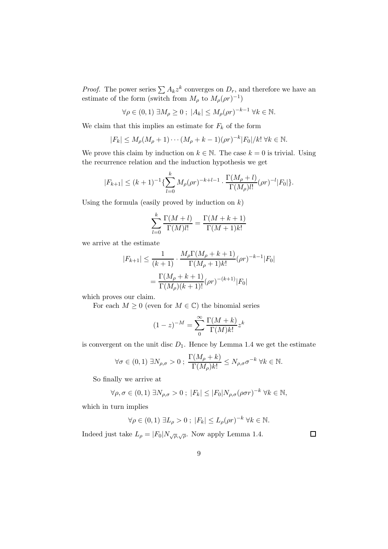*Proof.* The power series  $\sum A_k z^k$  converges on  $D_r$ , and therefore we have an estimate of the form (switch from  $M_\rho$  to  $M_\rho(\rho r)^{-1}$ )

$$
\forall \rho \in (0,1) \; \exists M_{\rho} \ge 0 \; ; \; |A_k| \le M_{\rho}(\rho r)^{-k-1} \; \forall k \in \mathbb{N}.
$$

We claim that this implies an estimate for  $F_k$  of the form

$$
|F_k| \le M_{\rho}(M_{\rho} + 1) \cdots (M_{\rho} + k - 1)(\rho r)^{-k} |F_0|/k! \ \forall k \in \mathbb{N}.
$$

We prove this claim by induction on  $k \in \mathbb{N}$ . The case  $k = 0$  is trivial. Using the recurrence relation and the induction hypothesis we get

$$
|F_{k+1}| \le (k+1)^{-1} \{ \sum_{l=0}^{k} M_{\rho}(\rho r)^{-k+l-1} \cdot \frac{\Gamma(M_{\rho}+l)}{\Gamma(M_{\rho})l!} (\rho r)^{-l} |F_0| \}.
$$

Using the formula (easily proved by induction on  $k$ )

$$
\sum_{l=0}^{k} \frac{\Gamma(M+l)}{\Gamma(M)l!} = \frac{\Gamma(M+k+1)}{\Gamma(M+1)k!}
$$

we arrive at the estimate

$$
|F_{k+1}| \le \frac{1}{(k+1)} \cdot \frac{M_{\rho} \Gamma(M_{\rho} + k + 1)}{\Gamma(M_{\rho} + 1)k!} (\rho r)^{-k-1} |F_0|
$$
  
= 
$$
\frac{\Gamma(M_{\rho} + k + 1)}{\Gamma(M_{\rho})(k+1)!} (\rho r)^{-(k+1)} |F_0|
$$

which proves our claim.

For each  $M \geq 0$  (even for  $M \in \mathbb{C}$ ) the binomial series

$$
(1-z)^{-M} = \sum_{0}^{\infty} \frac{\Gamma(M+k)}{\Gamma(M)k!} z^{k}
$$

is convergent on the unit disc  $D_1$ . Hence by Lemma 1.4 we get the estimate

$$
\forall \sigma \in (0,1) \; \exists N_{\rho,\sigma} > 0 \; ; \; \frac{\Gamma(M_{\rho} + k)}{\Gamma(M_{\rho})k!} \le N_{\rho,\sigma} \sigma^{-k} \; \forall k \in \mathbb{N}.
$$

So finally we arrive at

$$
\forall \rho, \sigma \in (0,1) \ \exists N_{\rho,\sigma} > 0 \ ; \ |F_k| \leq |F_0| N_{\rho,\sigma}(\rho \sigma r)^{-k} \ \forall k \in \mathbb{N},
$$

which in turn implies

$$
\forall \rho \in (0,1) \ \exists L_{\rho} > 0 \ ; \ |F_k| \leq L_{\rho}(\rho r)^{-k} \ \forall k \in \mathbb{N}.
$$

Indeed just take  $L_{\rho} = |F_0| N_{\sqrt{\rho},\sqrt{\rho}}$ . Now apply Lemma 1.4.

 $\Box$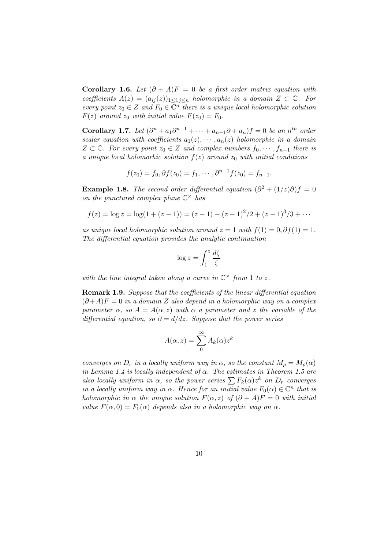Corollary 1.6. Let  $(\partial + A)F = 0$  be a first order matrix equation with coefficients  $A(z) = (a_{ij}(z))_{1 \le i,j \le n}$  holomorphic in a domain  $Z \subset \mathbb{C}$ . For every point  $z_0 \in Z$  and  $F_0 \in \mathbb{C}^n$  there is a unique local holomorphic solution  $F(z)$  around  $z_0$  with initial value  $F(z_0) = F_0$ .

**Corollary 1.7.** Let  $(\partial^n + a_1 \partial^{n-1} + \cdots + a_{n-1} \partial + a_n) f = 0$  be an n<sup>th</sup> order scalar equation with coefficients  $a_1(z), \cdots, a_n(z)$  holomorphic in a domain  $Z \subset \mathbb{C}$ . For every point  $z_0 \in Z$  and complex numbers  $f_0, \dots, f_{n-1}$  there is a unique local holomorhic solution  $f(z)$  around  $z_0$  with initial conditions

$$
f(z_0) = f_0, \partial f(z_0) = f_1, \cdots, \partial^{n-1} f(z_0) = f_{n-1}.
$$

**Example 1.8.** The second order differential equation  $(\partial^2 + (1/z)\partial) f = 0$ on the punctured complex plane  $\mathbb{C}^{\times}$  has

$$
f(z) = \log z = \log(1 + (z - 1)) = (z - 1) - (z - 1)^2/2 + (z - 1)^3/3 + \cdots
$$

as unique local holomorphic solution around  $z = 1$  with  $f(1) = 0, \partial f(1) = 1$ . The differential equation provides the analytic continuation

$$
\log z = \int_1^z \frac{d\zeta}{\zeta}
$$

with the line integral taken along a curve in  $\mathbb{C}^{\times}$  from 1 to z.

Remark 1.9. Suppose that the coefficients of the linear differential equation  $(\partial+A)F=0$  in a domain Z also depend in a holomorphic way on a complex parameter  $\alpha$ , so  $A = A(\alpha, z)$  with  $\alpha$  a parameter and z the variable of the differential equation, so  $\partial = d/dz$ . Suppose that the power series

$$
A(\alpha, z) = \sum_{0}^{\infty} A_k(\alpha) z^k
$$

converges on  $D_r$  in a locally uniform way in  $\alpha$ , so the constant  $M_\rho = M_\rho(\alpha)$ in Lemma 1.4 is locally independent of  $\alpha$ . The estimates in Theorem 1.5 are also locally uniform in  $\alpha$ , so the power series  $\sum F_k(\alpha)z^k$  on  $D_r$  converges in a locally uniform way in  $\alpha$ . Hence for an initial value  $F_0(\alpha) \in \mathbb{C}^n$  that is holomorphic in  $\alpha$  the unique solution  $F(\alpha, z)$  of  $(\partial + A)F = 0$  with initial value  $F(\alpha, 0) = F_0(\alpha)$  depends also in a holomorphic way on  $\alpha$ .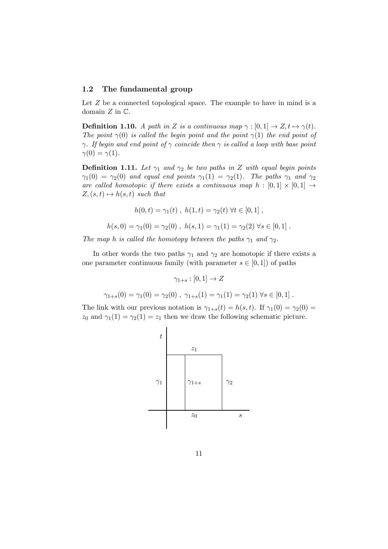#### 1.2 The fundamental group

Let  $Z$  be a connected topological space. The example to have in mind is a domain  $Z$  in  $\mathbb C$ .

**Definition 1.10.** A path in Z is a continuous map  $\gamma : [0, 1] \rightarrow Z, t \mapsto \gamma(t)$ . The point  $\gamma(0)$  is called the begin point and the point  $\gamma(1)$  the end point of  $\gamma$ . If begin and end point of  $\gamma$  coincide then  $\gamma$  is called a loop with base point  $\gamma(0) = \gamma(1)$ .

**Definition 1.11.** Let  $\gamma_1$  and  $\gamma_2$  be two paths in Z with equal begin points  $\gamma_1(0) = \gamma_2(0)$  and equal end points  $\gamma_1(1) = \gamma_2(1)$ . The paths  $\gamma_1$  and  $\gamma_2$ are called homotopic if there exists a continuous map  $h : [0,1] \times [0,1] \rightarrow$  $Z,(s,t) \mapsto h(s,t)$  such that

$$
h(0, t) = \gamma_1(t), \ h(1, t) = \gamma_2(t) \ \forall t \in [0, 1],
$$
  

$$
h(s, 0) = \gamma_1(0) = \gamma_2(0), \ h(s, 1) = \gamma_1(1) = \gamma_2(2) \ \forall s \in [0, 1].
$$

The map h is called the homotopy between the paths  $\gamma_1$  and  $\gamma_2$ .

In other words the two paths  $\gamma_1$  and  $\gamma_2$  are homotopic if there exists a one parameter continuous family (with parameter  $s \in [0, 1]$ ) of paths

$$
\gamma_{1+s} : [0,1] \to Z
$$
  

$$
\gamma_{1+s}(0) = \gamma_1(0) = \gamma_2(0) , \ \gamma_{1+s}(1) = \gamma_1(1) = \gamma_2(1) \ \forall s \in [0,1]
$$

The link with our previous notation is  $\gamma_{1+s}(t) = h(s, t)$ . If  $\gamma_1(0) = \gamma_2(0) =$  $z_0$  and  $\gamma_1(1) = \gamma_2(1) = z_1$  then we draw the following schematic picture.

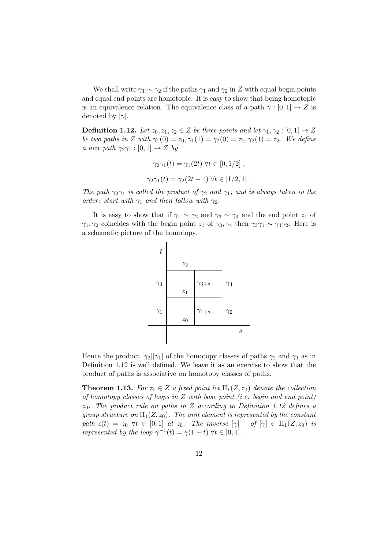We shall write  $\gamma_1 \sim \gamma_2$  if the paths  $\gamma_1$  and  $\gamma_2$  in Z with equal begin points and equal end points are homotopic. It is easy to show that being homotopic is an equivalence relation. The equivalence class of a path  $\gamma : [0, 1] \to Z$  is denoted by [ $\gamma$ ].

**Definition 1.12.** Let  $z_0, z_1, z_2 \in Z$  be three points and let  $\gamma_1, \gamma_2 : [0, 1] \to Z$ be two paths in Z with  $\gamma_1(0) = z_0, \gamma_1(1) = \gamma_2(0) = z_1, \gamma_2(1) = z_2$ . We define a new path  $\gamma_2\gamma_1 : [0,1] \to Z$  by

$$
\gamma_2 \gamma_1(t) = \gamma_1(2t) \ \forall t \in [0, 1/2],
$$

$$
\gamma_2 \gamma_1(t) = \gamma_2(2t - 1) \ \forall t \in [1/2, 1].
$$

The path  $\gamma_2\gamma_1$  is called the product of  $\gamma_2$  and  $\gamma_1$ , and is always taken in the order: start with  $\gamma_1$  and then follow with  $\gamma_2$ .

It is easy to show that if  $\gamma_1 \sim \gamma_2$  and  $\gamma_3 \sim \gamma_4$  and the end point  $z_1$  of  $\gamma_1, \gamma_2$  coincides with the begin point  $z_1$  of  $\gamma_3, \gamma_4$  then  $\gamma_3\gamma_1 \sim \gamma_4\gamma_2$ . Here is a schematic picture of the homotopy.



Hence the product  $[\gamma_2][\gamma_1]$  of the homotopy classes of paths  $\gamma_2$  and  $\gamma_1$  as in Definition 1.12 is well defined. We leave it as an exercise to show that the product of paths is associative on homotopy classes of paths.

**Theorem 1.13.** For  $z_0 \in Z$  a fixed point let  $\Pi_1(Z, z_0)$  denote the collection of homotopy classes of loops in  $Z$  with base point (i.e. begin and end point)  $z_0$ . The product rule on paths in Z according to Definition 1.12 defines a group structure on  $\Pi_1(Z, z_0)$ . The unit element is represented by the constant path  $\epsilon(t) = z_0 \ \forall t \in [0,1]$  at  $z_0$ . The inverse  $[\gamma]^{-1}$  of  $[\gamma] \in \Pi_1(Z,z_0)$  is represented by the loop  $\gamma^{-1}(t) = \gamma(1-t)$   $\forall t \in [0,1].$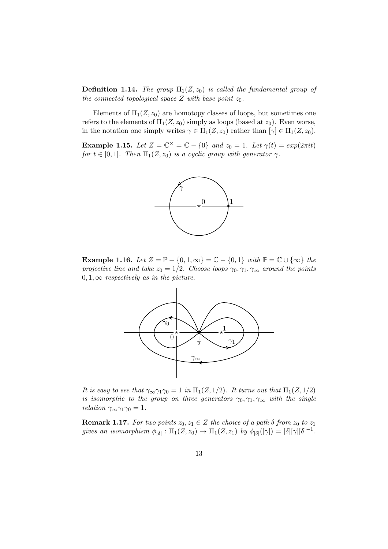**Definition 1.14.** The group  $\Pi_1(Z, z_0)$  is called the fundamental group of the connected topological space Z with base point  $z_0$ .

Elements of  $\Pi_1(Z, z_0)$  are homotopy classes of loops, but sometimes one refers to the elements of  $\Pi_1(Z, z_0)$  simply as loops (based at  $z_0$ ). Even worse, in the notation one simply writes  $\gamma \in \Pi_1(Z, z_0)$  rather than  $[\gamma] \in \Pi_1(Z, z_0)$ .

**Example 1.15.** Let  $Z = \mathbb{C}^{\times} = \mathbb{C} - \{0\}$  and  $z_0 = 1$ . Let  $\gamma(t) = exp(2\pi i t)$ for  $t \in [0,1]$ . Then  $\Pi_1(Z, z_0)$  is a cyclic group with generator  $\gamma$ .



**Example 1.16.** Let  $Z = \mathbb{P} - \{0, 1, \infty\} = \mathbb{C} - \{0, 1\}$  with  $\mathbb{P} = \mathbb{C} \cup \{\infty\}$  the projective line and take  $z_0 = 1/2$ . Choose loops  $\gamma_0, \gamma_1, \gamma_\infty$  around the points  $0, 1, \infty$  respectively as in the picture.



It is easy to see that  $\gamma_{\infty}\gamma_1\gamma_0 = 1$  in  $\Pi_1(Z, 1/2)$ . It turns out that  $\Pi_1(Z, 1/2)$ is isomorphic to the group on three generators  $\gamma_0, \gamma_1, \gamma_\infty$  with the single *relation*  $\gamma_{\infty}\gamma_1\gamma_0 = 1$ .

**Remark 1.17.** For two points  $z_0, z_1 \in Z$  the choice of a path  $\delta$  from  $z_0$  to  $z_1$ gives an isomorphism  $\phi_{\lbrack \delta \rbrack} : \Pi_1(Z, z_0) \to \Pi_1(Z, z_1)$  by  $\phi_{\lbrack \delta \rbrack}(\lbrack \gamma \rbrack) = [\delta][\gamma][\delta]^{-1}$ .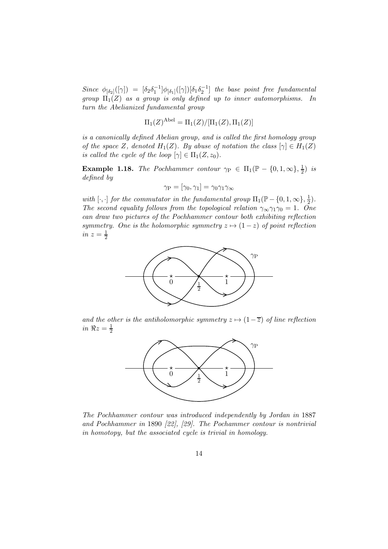Since  $\phi_{[\delta_2]}([\gamma]) = [\delta_2 \delta_1^{-1}] \phi_{[\delta_1]}([\gamma]) [\delta_1 \delta_2^{-1}]$  the base point free fundamental group  $\Pi_1(Z)$  as a group is only defined up to inner automorphisms. In turn the Abelianized fundamental group

$$
\Pi_1(Z)^{\rm Abel} = \Pi_1(Z)/[\Pi_1(Z), \Pi_1(Z)]
$$

is a canonically defined Abelian group, and is called the first homology group of the space Z, denoted  $H_1(Z)$ . By abuse of notation the class  $[\gamma] \in H_1(Z)$ is called the cycle of the loop  $[\gamma] \in \Pi_1(Z, z_0)$ .

**Example 1.18.** The Pochhammer contour  $\gamma_P \in \Pi_1(\mathbb{P} - \{0, 1, \infty\}, \frac{1}{2})$  $(\frac{1}{2})$  is defined by

$$
\gamma_{\rm P} = [\gamma_0, \gamma_1] = \gamma_0 \gamma_1 \gamma_{\infty}
$$

with [ $\cdot$ ,  $\cdot$ ] for the commutator in the fundamental group  $\Pi_1(\mathbb{P} - \{0, 1, \infty\}, \frac{1}{2})$  $(\frac{1}{2})$ . The second equality follows from the topological relation  $\gamma_{\infty}\gamma_1\gamma_0 = 1$ . One can draw two pictures of the Pochhammer contour both exhibiting reflection symmetry. One is the holomorphic symmetry  $z \mapsto (1-z)$  of point reflection  $in z = \frac{1}{2}$ 



and the other is the antiholomorphic symmetry  $z \mapsto (1-\overline{z})$  of line reflection in  $\Re z = \frac{1}{2}$ 2



The Pochhammer contour was introduced independently by Jordan in 1887 and Pochhammer in 1890 [22], [29]. The Pochammer contour is nontrivial in homotopy, but the associated cycle is trivial in homology.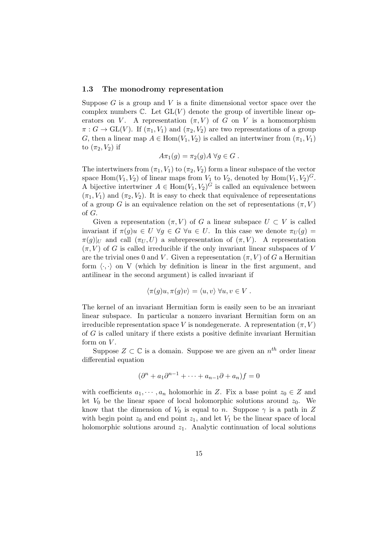#### 1.3 The monodromy representation

Suppose  $G$  is a group and  $V$  is a finite dimensional vector space over the complex numbers  $\mathbb{C}$ . Let  $GL(V)$  denote the group of invertible linear operators on V. A representation  $(\pi, V)$  of G on V is a homomorphism  $\pi: G \to GL(V)$ . If  $(\pi_1, V_1)$  and  $(\pi_2, V_2)$  are two representations of a group G, then a linear map  $A \in \text{Hom}(V_1, V_2)$  is called an intertwiner from  $(\pi_1, V_1)$ to  $(\pi_2, V_2)$  if

$$
A\pi_1(g) = \pi_2(g)A \,\forall g \in G.
$$

The intertwiners from  $(\pi_1, V_1)$  to  $(\pi_2, V_2)$  form a linear subspace of the vector space Hom $(V_1, V_2)$  of linear maps from  $V_1$  to  $V_2$ , denoted by Hom $(V_1, V_2)^G$ . A bijective intertwiner  $A \in \text{Hom}(V_1, V_2)^G$  is called an equivalence between  $(\pi_1, V_1)$  and  $(\pi_2, V_2)$ . It is easy to check that equivalence of representations of a group G is an equivalence relation on the set of representations  $(\pi, V)$ of G.

Given a representation  $(\pi, V)$  of G a linear subspace  $U \subset V$  is called invariant if  $\pi(g)u \in U \ \forall g \in G \ \forall u \in U$ . In this case we denote  $\pi_U(g)$  $\pi(q)|_U$  and call  $(\pi_U, U)$  a subrepresentation of  $(\pi, V)$ . A representation  $(\pi, V)$  of G is called irreducible if the only invariant linear subspaces of V are the trivial ones 0 and V. Given a representation  $(\pi, V)$  of G a Hermitian form  $\langle \cdot, \cdot \rangle$  on V (which by definition is linear in the first argument, and antilinear in the second argument) is called invariant if

$$
\langle \pi(g)u, \pi(g)v \rangle = \langle u, v \rangle \ \forall u, v \in V .
$$

The kernel of an invariant Hermitian form is easily seen to be an invariant linear subspace. In particular a nonzero invariant Hermitian form on an irreducible representation space V is nondegenerate. A representation  $(\pi, V)$ of G is called unitary if there exists a positive definite invariant Hermitian form on  $V$ .

Suppose  $Z \subset \mathbb{C}$  is a domain. Suppose we are given an  $n^{th}$  order linear differential equation

$$
(\partial^n + a_1 \partial^{n-1} + \dots + a_{n-1} \partial + a_n) f = 0
$$

with coefficients  $a_1, \dots, a_n$  holomorhic in Z. Fix a base point  $z_0 \in Z$  and let  $V_0$  be the linear space of local holomorphic solutions around  $z_0$ . We know that the dimension of  $V_0$  is equal to n. Suppose  $\gamma$  is a path in Z with begin point  $z_0$  and end point  $z_1$ , and let  $V_1$  be the linear space of local holomorphic solutions around  $z_1$ . Analytic continuation of local solutions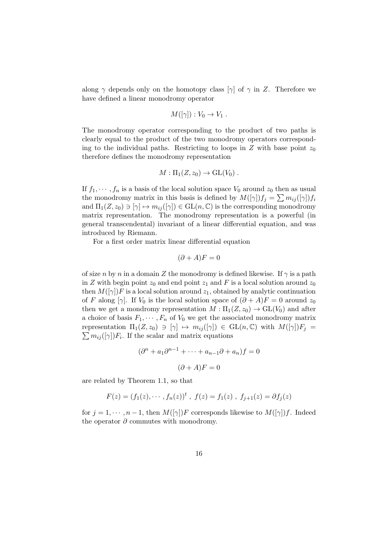along  $\gamma$  depends only on the homotopy class  $[\gamma]$  of  $\gamma$  in Z. Therefore we have defined a linear monodromy operator

$$
M([\gamma]): V_0 \to V_1 .
$$

The monodromy operator corresponding to the product of two paths is clearly equal to the product of the two monodromy operators corresponding to the individual paths. Restricting to loops in  $Z$  with base point  $z_0$ therefore defines the monodromy representation

$$
M: \Pi_1(Z, z_0) \to \mathrm{GL}(V_0) .
$$

If  $f_1, \dots, f_n$  is a basis of the local solution space  $V_0$  around  $z_0$  then as usual the monodromy matrix in this basis is defined by  $M([\gamma])f_j = \sum m_{ij}([\gamma])f_i$ and  $\Pi_1(Z, z_0) \ni [\gamma] \mapsto m_{ij}([\gamma]) \in GL(n, \mathbb{C})$  is the corresponding monodromy matrix representation. The monodromy representation is a powerful (in general transcendental) invariant of a linear differential equation, and was introduced by Riemann.

For a first order matrix linear differential equation

$$
(\partial + A)F = 0
$$

of size n by n in a domain Z the monodromy is defined likewise. If  $\gamma$  is a path in Z with begin point  $z_0$  and end point  $z_1$  and F is a local solution around  $z_0$ then  $M([\gamma])F$  is a local solution around  $z_1$ , obtained by analytic continuation of F along [ $\gamma$ ]. If  $V_0$  is the local solution space of  $(\partial + A)F = 0$  around  $z_0$ then we get a mondromy representation  $M : \Pi_1(Z, z_0) \to \text{GL}(V_0)$  and after a choice of basis  $F_1, \dots, F_n$  of  $V_0$  we get the associated monodromy matrix  $\sum m_{ij}([\gamma])F_i$ . If the scalar and matrix equations representation  $\Pi_1(Z, z_0) \ni [\gamma] \mapsto m_{ij}([\gamma]) \in GL(n, \mathbb{C})$  with  $M([\gamma])F_j =$ 

$$
(\partial^{n} + a_1 \partial^{n-1} + \dots + a_{n-1} \partial + a_n) f = 0
$$

$$
(\partial + A)F = 0
$$

are related by Theorem 1.1, so that

$$
F(z) = (f_1(z), \cdots, f_n(z))^t, \ f(z) = f_1(z), \ f_{j+1}(z) = \partial f_j(z)
$$

for  $j = 1, \dots, n-1$ , then  $M([\gamma])F$  corresponds likewise to  $M([\gamma])f$ . Indeed the operator  $\partial$  commutes with monodromy.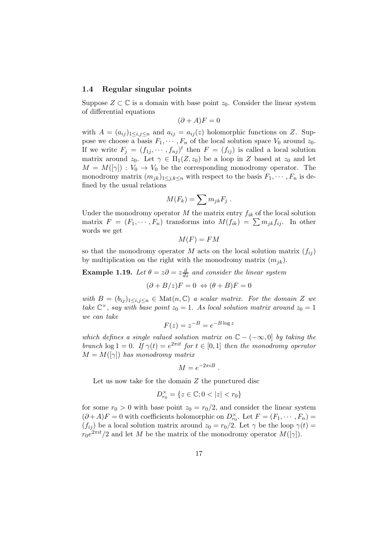#### 1.4 Regular singular points

Suppose  $Z \subset \mathbb{C}$  is a domain with base point  $z_0$ . Consider the linear system of differential equations

$$
(\partial + A)F = 0
$$

with  $A = (a_{ij})_{1 \le i,j \le n}$  and  $a_{ij} = a_{ij}(z)$  holomorphic functions on Z. Suppose we choose a basis  $F_1, \dots, F_n$  of the local solution space  $V_0$  around  $z_0$ . If we write  $F_j = (f_{1j}, \dots, f_{nj})^t$  then  $F = (f_{ij})$  is called a local solution matrix around  $z_0$ . Let  $\gamma \in \Pi_1(Z, z_0)$  be a loop in Z based at  $z_0$  and let  $M = M(|\gamma|) : V_0 \to V_0$  be the corresponding monodromy operator. The monodromy matrix  $(m_{jk})_{1\leq j,k\leq n}$  with respect to the basis  $F_1, \dots, F_n$  is defined by the usual relations

$$
M(F_k) = \sum m_{jk} F_j.
$$

Under the monodromy operator M the matrix entry  $f_{ik}$  of the local solution matrix  $F = (F_1, \dots, F_n)$  transforms into  $M(f_{ik}) = \sum m_{jk} f_{ij}$ . In other words we get

$$
M(F) = FM
$$

so that the monodromy operator M acts on the local solution matrix  $(f_{ij})$ by multiplication on the right with the monodromy matrix  $(m_{ik})$ .

**Example 1.19.** Let  $\theta = z\partial = z\frac{d}{dz}$  and consider the linear system

$$
(\partial + B/z)F = 0 \Leftrightarrow (\theta + B)F = 0
$$

with  $B = (b_{ij})_{1 \le i,j \le n} \in \text{Mat}(n, \mathbb{C})$  a scalar matrix. For the domain Z we take  $\mathbb{C}^{\times}$ , say with base point  $z_0 = 1$ . As local solution matrix around  $z_0 = 1$ we can take

$$
F(z) = z^{-B} = e^{-B \log z}
$$

which defines a single valued solution matrix on  $\mathbb{C} - (-\infty, 0]$  by taking the branch  $\log 1 = 0$ . If  $\gamma(t) = e^{2\pi i t}$  for  $t \in [0, 1]$  then the monodromy operator  $M = M(\gamma)$  has monodromy matrix

$$
M = e^{-2\pi iB}.
$$

Let us now take for the domain  $Z$  the punctured disc

$$
D_{r_0}^{\times} = \{ z \in \mathbb{C}; 0 < |z| < r_0 \}
$$

for some  $r_0 > 0$  with base point  $z_0 = r_0/2$ , and consider the linear system  $(\partial + A)F = 0$  with coefficients holomorphic on  $D_{r_0}^{\times}$ . Let  $F = (F_1, \dots, F_n) =$  $(f_{ij})$  be a local solution matrix around  $z_0 = r_0/2$ . Let  $\gamma$  be the loop  $\gamma(t) =$  $r_0e^{2\pi it}/2$  and let M be the matrix of the monodromy operator  $M([\gamma])$ .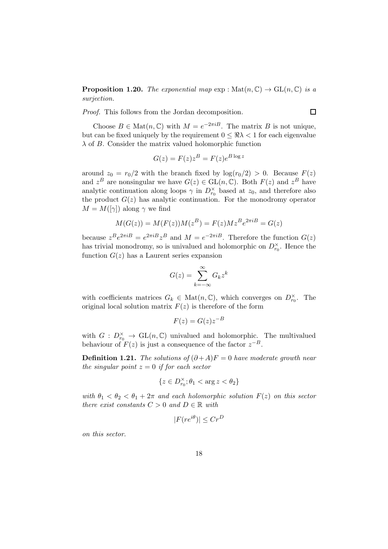**Proposition 1.20.** The exponential map  $\exp : \text{Mat}(n, \mathbb{C}) \to \text{GL}(n, \mathbb{C})$  is a surjection.

 $\Box$ 

Proof. This follows from the Jordan decomposition.

Choose  $B \in \text{Mat}(n, \mathbb{C})$  with  $M = e^{-2\pi i B}$ . The matrix B is not unique, but can be fixed uniquely by the requirement  $0 \leq \Re \lambda < 1$  for each eigenvalue  $\lambda$  of B. Consider the matrix valued holomorphic function

$$
G(z) = F(z)z^B = F(z)e^{B \log z}
$$

around  $z_0 = r_0/2$  with the branch fixed by  $\log(r_0/2) > 0$ . Because  $F(z)$ and  $z^B$  are nonsingular we have  $G(z) \in GL(n, \mathbb{C})$ . Both  $F(z)$  and  $z^B$  have analytic continuation along loops  $\gamma$  in  $D_{r_0}^{\times}$  based at  $z_0$ , and therefore also the product  $G(z)$  has analytic continuation. For the monodromy operator  $M = M(\gamma)$  along  $\gamma$  we find

$$
M(G(z)) = M(F(z))M(z^{B}) = F(z)Mz^{B}e^{2\pi i B} = G(z)
$$

because  $z^B e^{2\pi i B} = e^{2\pi i B} z^B$  and  $M = e^{-2\pi i B}$ . Therefore the function  $G(z)$ has trivial monodromy, so is univalued and holomorphic on  $D_{r_0}^{\times}$ . Hence the function  $G(z)$  has a Laurent series expansion

$$
G(z) = \sum_{k=-\infty}^{\infty} G_k z^k
$$

with coefficients matrices  $G_k \in \text{Mat}(n, \mathbb{C})$ , which converges on  $D_{r_0}^{\times}$ . The original local solution matrix  $F(z)$  is therefore of the form

$$
F(z) = G(z)z^{-B}
$$

with  $G: D_{r_0}^{\times} \to GL(n, \mathbb{C})$  univalued and holomorphic. The multivalued behaviour of  $F(z)$  is just a consequence of the factor  $z^{-B}$ .

**Definition 1.21.** The solutions of  $(\partial + A)F = 0$  have moderate growth near the singular point  $z = 0$  if for each sector

$$
\{z \in D_{r_0}^\times; \theta_1 < \arg z < \theta_2\}
$$

with  $\theta_1 < \theta_2 < \theta_1 + 2\pi$  and each holomorphic solution  $F(z)$  on this sector there exist constants  $C > 0$  and  $D \in \mathbb{R}$  with

$$
|F(re^{i\theta})| \le Cr^D
$$

on this sector.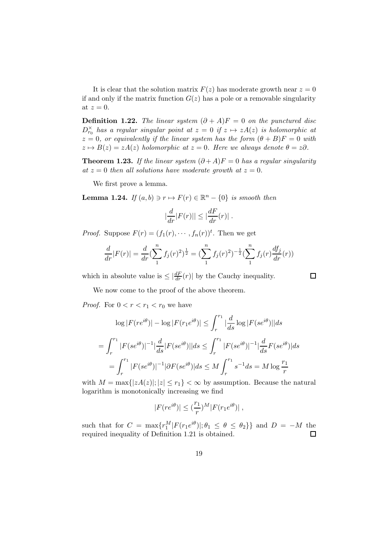It is clear that the solution matrix  $F(z)$  has moderate growth near  $z = 0$ if and only if the matrix function  $G(z)$  has a pole or a removable singularity at  $z=0$ .

**Definition 1.22.** The linear system  $(\partial + A)F = 0$  on the punctured disc  $D_{r_0}^\times$  has a regular singular point at  $z=0$  if  $z\mapsto zA(z)$  is holomorphic at  $z = 0$ , or equivalently if the linear system has the form  $(\theta + B)F = 0$  with  $z \mapsto B(z) = zA(z)$  holomorphic at  $z = 0$ . Here we always denote  $\theta = z\partial$ .

**Theorem 1.23.** If the linear system  $(\partial + A)F = 0$  has a regular singularity at  $z = 0$  then all solutions have moderate growth at  $z = 0$ .

We first prove a lemma.

**Lemma 1.24.** If  $(a, b) \ni r \mapsto F(r) \in \mathbb{R}^n - \{0\}$  is smooth then

$$
\left|\frac{d}{dr}|F(r)|\right| \leq \left|\frac{dF}{dr}(r)\right|.
$$

*Proof.* Suppose  $F(r) = (f_1(r), \dots, f_n(r))^t$ . Then we get

$$
\frac{d}{dr}|F(r)| = \frac{d}{dr}\left(\sum_{1}^{n}f_j(r)^2\right)^{\frac{1}{2}} = \left(\sum_{1}^{n}f_j(r)^2\right)^{-\frac{1}{2}}\left(\sum_{1}^{n}f_j(r)\frac{df_j}{dr}(r)\right)
$$

which in absolute value is  $\leq |\frac{dF}{dr}(r)|$  by the Cauchy inequality.

We now come to the proof of the above theorem.

 $\Box$ 

*Proof.* For  $0 < r < r_1 < r_0$  we have

$$
\log|F(re^{i\theta})| - \log|F(r_1e^{i\theta})| \le \int_r^{r_1} |\frac{d}{ds}\log|F(se^{i\theta})||ds
$$
  
= 
$$
\int_r^{r_1} |F(se^{i\theta})|^{-1} |\frac{d}{ds}|F(se^{i\theta})||ds \le \int_r^{r_1} |F(se^{i\theta})|^{-1} |\frac{d}{ds}F(se^{i\theta})|ds
$$
  
= 
$$
\int_r^{r_1} |F(se^{i\theta})|^{-1} |\partial F(se^{i\theta})|ds \le M \int_r^{r_1} s^{-1}ds = M \log \frac{r_1}{r}
$$

with  $M = \max\{|zA(z)|; |z| \leq r_1\} < \infty$  by assumption. Because the natural logarithm is monotonically increasing we find

$$
|F(re^{i\theta})| \leq (\frac{r_1}{r})^M |F(r_1 e^{i\theta})|,
$$

such that for  $C = \max\{r_1^M | F(r_1 e^{i\theta}) |; \theta_1 \le \theta \le \theta_2\}$  and  $D = -M$  the required inequality of Definition 1.21 is obtained.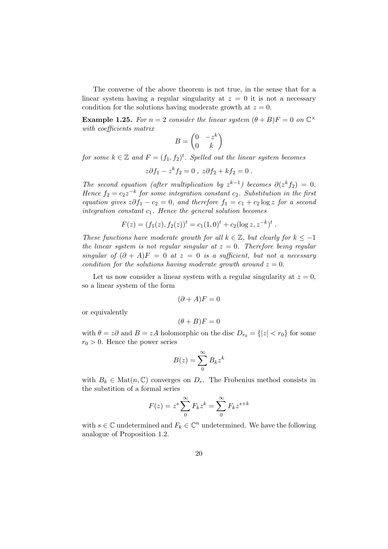The converse of the above theorem is not true, in the sense that for a linear system having a regular singularity at  $z = 0$  it is not a necessary condition for the solutions having moderate growth at  $z = 0$ .

**Example 1.25.** For  $n = 2$  consider the linear system  $(\theta + B)F = 0$  on  $\mathbb{C}^{\times}$ with coefficients matrix

$$
B=\begin{pmatrix}0&-z^k\\0&k\end{pmatrix}
$$

for some  $k \in \mathbb{Z}$  and  $F = (f_1, f_2)^t$ . Spelled out the linear system becomes

$$
z\partial f_1 - z^k f_2 = 0 , z\partial f_2 + k f_2 = 0 .
$$

The second equation (after multiplication by  $z^{k-1}$ ) becomes  $\partial(z^k f_2) = 0$ . Hence  $f_2 = c_2 z^{-k}$  for some integration constant  $c_2$ . Substitution in the first equation gives  $z\partial f_1 - c_2 = 0$ , and therefore  $f_1 = c_1 + c_2 \log z$  for a second integration constant  $c_1$ . Hence the general solution becomes

$$
F(z) = (f_1(z), f_2(z))^t = c_1(1,0)^t + c_2(\log z, z^{-k})^t.
$$

These functions have moderate growth for all  $k \in \mathbb{Z}$ , but clearly for  $k \leq -1$ the linear system is not regular singular at  $z = 0$ . Therefore being regular singular of  $(\partial + A)F = 0$  at  $z = 0$  is a sufficient, but not a necessary condition for the solutions having moderate growth around  $z = 0$ .

Let us now consider a linear system with a regular singularity at  $z = 0$ , so a linear system of the form

$$
(\partial + A)F = 0
$$

or equivalently

$$
(\theta + B)F = 0
$$

with  $\theta = z\partial$  and  $B = zA$  holomorphic on the disc  $D_{r_0} = \{|z| < r_0\}$  for some  $r_0 > 0$ . Hence the power series

$$
B(z) = \sum_{0}^{\infty} B_k z^k
$$

with  $B_k \in \text{Mat}(n, \mathbb{C})$  converges on  $D_r$ . The Frobenius method consists in the substition of a formal series

$$
F(z) = zs \sum_{0}^{\infty} F_k z^k = \sum_{0}^{\infty} F_k z^{s+k}
$$

with  $s \in \mathbb{C}$  undetermined and  $F_k \in \mathbb{C}^n$  undetermined. We have the following analogue of Proposition 1.2.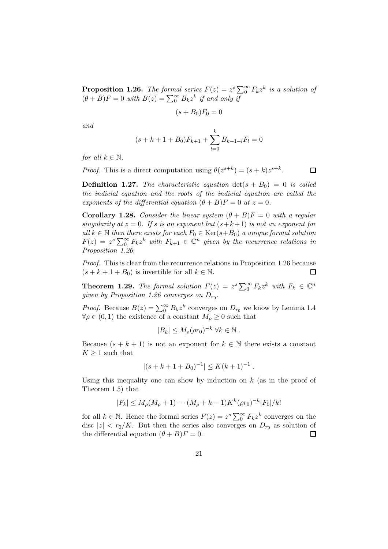**Proposition 1.26.** The formal series  $F(z) = z^s \sum_{i=0}^{\infty} F_k z^k$  is a solution of  $(\theta + B)F = 0$  with  $B(z) = \sum_{n=0}^{\infty} B_k z^k$  if and only  $\overline{ij}$ 

$$
(s+B_0)F_0=0
$$

and

$$
(s + k + 1 + B_0)F_{k+1} + \sum_{l=0}^{k} B_{k+l-l}F_l = 0
$$

for all  $k \in \mathbb{N}$ .

*Proof.* This is a direct computation using  $\theta(z^{s+k}) = (s+k)z^{s+k}$ .

 $\Box$ 

**Definition 1.27.** The characteristic equation  $det(s + B_0) = 0$  is called the indicial equation and the roots of the indicial equation are called the exponents of the differential equation  $(\theta + B)F = 0$  at  $z = 0$ .

**Corollary 1.28.** Consider the linear system  $(\theta + B)F = 0$  with a regular singularity at  $z = 0$ . If s is an exponent but  $(s+k+1)$  is not an exponent for all  $k \in \mathbb{N}$  then there exists for each  $F_0 \in \text{Ker}(s+B_0)$  a unique formal solution  $F(z) = z^s \sum_{0}^{\infty} F_k z^k$  with  $F_{k+1} \in \mathbb{C}^n$  given by the recurrence relations in Proposition 1.26.

Proof. This is clear from the recurrence relations in Proposition 1.26 because  $(s + k + 1 + B_0)$  is invertible for all  $k \in \mathbb{N}$ . □

**Theorem 1.29.** The formal solution  $F(z) = z^s \sum_{i=0}^{\infty} F_k z^k$  with  $F_k \in \mathbb{C}^n$ given by Proposition 1.26 converges on  $D_{r_0}$ .

*Proof.* Because  $B(z) = \sum_{0}^{\infty} B_k z^k$  converges on  $D_{r_0}$  we know by Lemma 1.4  $\forall \rho \in (0,1)$  the existence of a constant  $M_{\rho} \geq 0$  such that

$$
|B_k| \le M_\rho(\rho r_0)^{-k} \ \forall k \in \mathbb{N} \ .
$$

Because  $(s + k + 1)$  is not an exponent for  $k \in \mathbb{N}$  there exists a constant  $K \geq 1$  such that

$$
|(s + k + 1 + B_0)^{-1}| \le K(k + 1)^{-1}
$$
.

Using this inequality one can show by induction on  $k$  (as in the proof of Theorem 1.5) that

$$
|F_k| \le M_{\rho}(M_{\rho} + 1) \cdots (M_{\rho} + k - 1)K^k(\rho r_0)^{-k}|F_0|/k!
$$

for all  $k \in \mathbb{N}$ . Hence the formal series  $F(z) = z^s \sum_{n=0}^{\infty} F_k z^k$  converges on the disc  $|z| < r_0/K$ . But then the series also converges on  $D_{r_0}$  as solution of the differential equation  $(\theta + B)F = 0$ .  $\Box$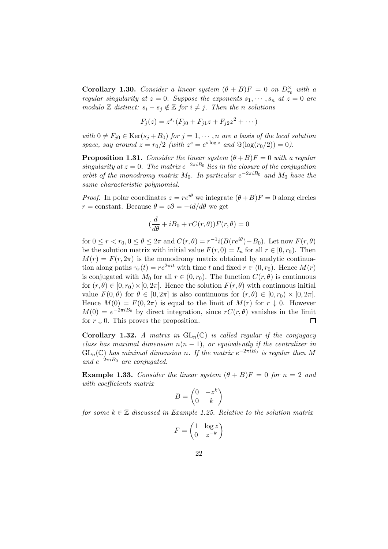**Corollary 1.30.** Consider a linear system  $(\theta + B)F = 0$  on  $D_{r_0}^{\times}$  with a regular singularity at  $z = 0$ . Suppose the exponents  $s_1, \dots, s_n$  at  $z = 0$  are modulo  $\mathbb Z$  distinct:  $s_i - s_j \notin \mathbb Z$  for  $i \neq j$ . Then the n solutions

$$
F_j(z) = z^{s_j} (F_{j0} + F_{j1}z + F_{j2}z^2 + \cdots)
$$

with  $0 \neq F_{j0} \in \text{Ker}(s_j + B_0)$  for  $j = 1, \dots, n$  are a basis of the local solution space, say around  $z = r_0/2$  (with  $z^s = e^{s \log z}$  and  $\Im(\log(r_0/2)) = 0$ ).

**Proposition 1.31.** Consider the linear system  $(\theta + B)F = 0$  with a regular singularity at  $z = 0$ . The matrix  $e^{-2\pi i B_0}$  lies in the closure of the conjugation orbit of the monodromy matrix  $M_0$ . In particular  $e^{-2\pi i B_0}$  and  $M_0$  have the same characteristic polynomial.

*Proof.* In polar coordinates  $z = re^{i\theta}$  we integrate  $(\theta + B)F = 0$  along circles r = constant. Because  $\theta = z\partial = -i d/d\theta$  we get

$$
(\frac{d}{d\theta} + iB_0 + rC(r, \theta))F(r, \theta) = 0
$$

for  $0 \le r < r_0, 0 \le \theta \le 2\pi$  and  $C(r, \theta) = r^{-1}i(B(re^{i\theta}) - B_0)$ . Let now  $F(r, \theta)$ be the solution matrix with initial value  $F(r, 0) = I_n$  for all  $r \in [0, r_0)$ . Then  $M(r) = F(r, 2\pi)$  is the monodromy matrix obtained by analytic continuation along paths  $\gamma_r(t) = re^{2\pi i t}$  with time t and fixed  $r \in (0, r_0)$ . Hence  $M(r)$ is conjugated with  $M_0$  for all  $r \in (0, r_0)$ . The function  $C(r, \theta)$  is continuous for  $(r, \theta) \in [0, r_0) \times [0, 2\pi]$ . Hence the solution  $F(r, \theta)$  with continuous initial value  $F(0, \theta)$  for  $\theta \in [0, 2\pi]$  is also continuous for  $(r, \theta) \in [0, r_0) \times [0, 2\pi]$ . Hence  $M(0) = F(0, 2\pi)$  is equal to the limit of  $M(r)$  for  $r \downarrow 0$ . However  $M(0) = e^{-2\pi i B_0}$  by direct integration, since  $rC(r,\theta)$  vanishes in the limit for  $r \downarrow 0$ . This proves the proposition.  $\Box$ 

**Corollary 1.32.** A matrix in  $GL_n(\mathbb{C})$  is called regular if the conjugacy class has maximal dimension  $n(n-1)$ , or equivalently if the centralizer in  $GL_n(\mathbb{C})$  has minimal dimension n. If the matrix  $e^{-2\pi i B_0}$  is regular then M and  $e^{-2\pi i B_0}$  are conjugated.

**Example 1.33.** Consider the linear system  $(\theta + B)F = 0$  for  $n = 2$  and with coefficients matrix

$$
B=\begin{pmatrix}0&-z^k\\0&k\end{pmatrix}
$$

for some  $k \in \mathbb{Z}$  discussed in Example 1.25. Relative to the solution matrix

$$
F = \begin{pmatrix} 1 & \log z \\ 0 & z^{-k} \end{pmatrix}
$$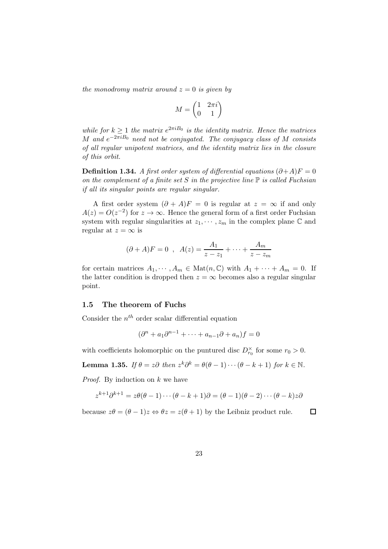the monodromy matrix around  $z = 0$  is given by

$$
M=\begin{pmatrix} 1 & 2\pi i \\ 0 & 1 \end{pmatrix}
$$

while for  $k \geq 1$  the matrix  $e^{2\pi i B_0}$  is the identity matrix. Hence the matrices M and  $e^{-2\pi i B_0}$  need not be conjugated. The conjugacy class of M consists of all regular unipotent matrices, and the identity matrix lies in the closure of this orbit.

Definition 1.34. A first order system of differential equations  $(\partial+A)F=0$ on the complement of a finite set S in the projective line  $\mathbb P$  is called Fuchsian if all its singular points are regular singular.

A first order system  $(\partial + A)F = 0$  is regular at  $z = \infty$  if and only  $A(z) = O(z^{-2})$  for  $z \to \infty$ . Hence the general form of a first order Fuchsian system with regular singularities at  $z_1, \dots, z_m$  in the complex plane  $\mathbb C$  and regular at  $z = \infty$  is

$$
(\partial + A)F = 0 \, , \, A(z) = \frac{A_1}{z - z_1} + \dots + \frac{A_m}{z - z_m}
$$

for certain matrices  $A_1, \dots, A_m \in \text{Mat}(n, \mathbb{C})$  with  $A_1 + \dots + A_m = 0$ . If the latter condition is dropped then  $z = \infty$  becomes also a regular singular point.

#### 1.5 The theorem of Fuchs

Consider the  $n^{th}$  order scalar differential equation

$$
(\partial^n + a_1 \partial^{n-1} + \dots + a_{n-1} \partial + a_n) f = 0
$$

with coefficients holomorphic on the puntured disc  $D_{r_0}^{\times}$  for some  $r_0 > 0$ .

**Lemma 1.35.** If  $\theta = z\partial$  then  $z^k \partial^k = \theta(\theta - 1) \cdots (\theta - k + 1)$  for  $k \in \mathbb{N}$ .

*Proof.* By induction on  $k$  we have

$$
z^{k+1}\partial^{k+1} = z\theta(\theta - 1)\cdots(\theta - k + 1)\partial = (\theta - 1)(\theta - 2)\cdots(\theta - k)z\partial
$$

because  $z\theta = (\theta - 1)z \Leftrightarrow \theta z = z(\theta + 1)$  by the Leibniz product rule.

 $\Box$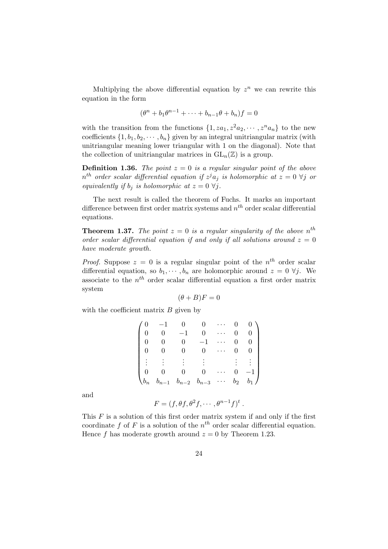Multiplying the above differential equation by  $z^n$  we can rewrite this equation in the form

$$
(\theta^n + b_1 \theta^{n-1} + \dots + b_{n-1} \theta + b_n) f = 0
$$

with the transition from the functions  $\{1, za_1, z^2a_2, \dots, z^n a_n\}$  to the new coefficients  $\{1, b_1, b_2, \cdots, b_n\}$  given by an integral unitriangular matrix (with unitriangular meaning lower triangular with 1 on the diagonal). Note that the collection of unitriangular matrices in  $GL_n(\mathbb{Z})$  is a group.

**Definition 1.36.** The point  $z = 0$  is a regular singular point of the above  $n^{th}$  order scalar differential equation if  $z^j a_j$  is holomorphic at  $z = 0 \; \forall j$  or equivalently if  $b_i$  is holomorphic at  $z = 0 \ \forall j$ .

The next result is called the theorem of Fuchs. It marks an important difference between first order matrix systems and  $n^{th}$  order scalar differential equations.

**Theorem 1.37.** The point  $z = 0$  is a regular singularity of the above  $n^{th}$ order scalar differential equation if and only if all solutions around  $z = 0$ have moderate growth.

*Proof.* Suppose  $z = 0$  is a regular singular point of the  $n^{th}$  order scalar differential equation, so  $b_1, \dots, b_n$  are holomorphic around  $z = 0 \forall j$ . We associate to the  $n^{th}$  order scalar differential equation a first order matrix system

$$
(\theta + B)F = 0
$$

with the coefficient matrix  $B$  given by

|                 |                | $\overline{0}$                | $\begin{matrix} 0 \end{matrix}$ | $\ldots$ . |                |               |
|-----------------|----------------|-------------------------------|---------------------------------|------------|----------------|---------------|
|                 | $\overline{0}$ | $-1$                          | $\overline{0}$                  | .          |                |               |
|                 | $\overline{0}$ | $\overline{0}$                | $-1$                            | $\cdots$   | $\overline{0}$ |               |
| $\overline{0}$  | 0              | 0                             | $\overline{0}$                  | $\cdots$   |                |               |
|                 | $\pm$ $\pm$    |                               |                                 |            | $\frac{1}{2}$  | $\vdots$      |
|                 | $0\qquad 0$    | $\overline{0}$                | $\overline{0}$                  | $\ddots$   |                |               |
| $\setminus b_n$ |                | $b_{n-1}$ $b_{n-2}$ $b_{n-3}$ |                                 |            |                | $b_2$ $b_1$ / |

and

$$
F = (f, \theta f, \theta^2 f, \cdots, \theta^{n-1} f)^t.
$$

This  $F$  is a solution of this first order matrix system if and only if the first coordinate f of F is a solution of the  $n<sup>th</sup>$  order scalar differential equation. Hence f has moderate growth around  $z = 0$  by Theorem 1.23.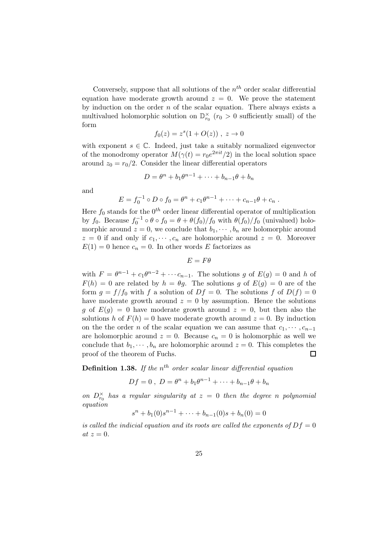Conversely, suppose that all solutions of the  $n<sup>th</sup>$  order scalar differential equation have moderate growth around  $z = 0$ . We prove the statement by induction on the order  $n$  of the scalar equation. There always exists a multivalued holomorphic solution on  $\mathbb{D}_r^{\times}$  ( $r_0 > 0$  sufficiently small) of the form

$$
f_0(z) = z^s (1 + O(z)), \ z \to 0
$$

with exponent  $s \in \mathbb{C}$ . Indeed, just take a suitably normalized eigenvector of the monodromy operator  $M(\gamma(t) = r_0 e^{2\pi i t}/2)$  in the local solution space around  $z_0 = r_0/2$ . Consider the linear differential operators

$$
D = \theta^n + b_1 \theta^{n-1} + \dots + b_{n-1} \theta + b_n
$$

and

$$
E = f_0^{-1} \circ D \circ f_0 = \theta^n + c_1 \theta^{n-1} + \dots + c_{n-1} \theta + c_n.
$$

Here  $f_0$  stands for the  $0^{th}$  order linear differential operator of multiplication by  $f_0$ . Because  $f_0^{-1} \circ \theta \circ f_0 = \theta + \theta(f_0)/f_0$  with  $\theta(f_0)/f_0$  (univalued) holomorphic around  $z = 0$ , we conclude that  $b_1, \dots, b_n$  are holomorphic around  $z = 0$  if and only if  $c_1, \dots, c_n$  are holomorphic around  $z = 0$ . Moreover  $E(1) = 0$  hence  $c_n = 0$ . In other words E factorizes as

 $E = F\theta$ 

with  $F = \theta^{n-1} + c_1 \theta^{n-2} + \cdots + c_{n-1}$ . The solutions g of  $E(g) = 0$  and h of  $F(h) = 0$  are related by  $h = \theta g$ . The solutions g of  $E(g) = 0$  are of the form  $g = f/f_0$  with f a solution of  $Df = 0$ . The solutions f of  $D(f) = 0$ have moderate growth around  $z = 0$  by assumption. Hence the solutions g of  $E(g) = 0$  have moderate growth around  $z = 0$ , but then also the solutions h of  $F(h) = 0$  have moderate growth around  $z = 0$ . By induction on the the order n of the scalar equation we can assume that  $c_1, \dots, c_{n-1}$ are holomorphic around  $z = 0$ . Because  $c_n = 0$  is holomorphic as well we conclude that  $b_1, \dots, b_n$  are holomorphic around  $z = 0$ . This completes the proof of the theorem of Fuchs. proof of the theorem of Fuchs.

**Definition 1.38.** If the  $n^{th}$  order scalar linear differential equation

 $Df = 0$ ,  $D = \theta^{n} + b_1 \theta^{n-1} + \dots + b_{n-1} \theta + b_n$ 

on  $D_{r_0}^{\times}$  has a regular singularity at  $z = 0$  then the degree n polynomial equation

$$
s^{n} + b_{1}(0)s^{n-1} + \cdots + b_{n-1}(0)s + b_{n}(0) = 0
$$

is called the indicial equation and its roots are called the exponents of  $Df = 0$ at  $z=0$ .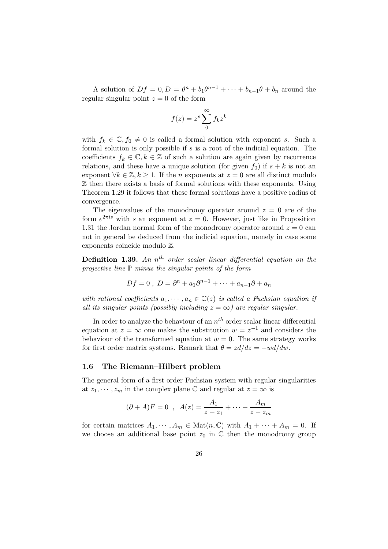A solution of  $Df = 0, D = \theta^n + b_1 \theta^{n-1} + \cdots + b_{n-1} \theta + b_n$  around the regular singular point  $z = 0$  of the form

$$
f(z) = z^s \sum_0^\infty f_k z^k
$$

with  $f_k \in \mathbb{C}, f_0 \neq 0$  is called a formal solution with exponent s. Such a formal solution is only possible if  $s$  is a root of the indicial equation. The coefficients  $f_k \in \mathbb{C}, k \in \mathbb{Z}$  of such a solution are again given by recurrence relations, and these have a unique solution (for given  $f_0$ ) if  $s + k$  is not an exponent  $\forall k \in \mathbb{Z}, k \geq 1$ . If the *n* exponents at  $z = 0$  are all distinct modulo Z then there exists a basis of formal solutions with these exponents. Using Theorem 1.29 it follows that these formal solutions have a positive radius of convergence.

The eigenvalues of the monodromy operator around  $z = 0$  are of the form  $e^{2\pi i s}$  with s an exponent at  $z = 0$ . However, just like in Proposition 1.31 the Jordan normal form of the monodromy operator around  $z = 0$  can not in general be deduced from the indicial equation, namely in case some exponents coincide modulo Z.

**Definition 1.39.** An  $n^{th}$  order scalar linear differential equation on the projective line  $\mathbb P$  minus the singular points of the form

$$
Df = 0, D = \partial^n + a_1 \partial^{n-1} + \dots + a_{n-1} \partial + a_n
$$

with rational coefficients  $a_1, \dots, a_n \in \mathbb{C}(z)$  is called a Fuchsian equation if all its singular points (possibly including  $z = \infty$ ) are regular singular.

In order to analyze the behaviour of an  $n^{th}$  order scalar linear differential equation at  $z = \infty$  one makes the substitution  $w = z^{-1}$  and considers the behaviour of the transformed equation at  $w = 0$ . The same strategy works for first order matrix systems. Remark that  $\theta = zd/dz = -wd/dw$ .

## 1.6 The Riemann–Hilbert problem

The general form of a first order Fuchsian system with regular singularities at  $z_1, \dots, z_m$  in the complex plane C and regular at  $z = \infty$  is

$$
(\partial + A)F = 0
$$
,  $A(z) = \frac{A_1}{z - z_1} + \dots + \frac{A_m}{z - z_m}$ 

for certain matrices  $A_1, \dots, A_m \in \text{Mat}(n, \mathbb{C})$  with  $A_1 + \dots + A_m = 0$ . If we choose an additional base point  $z_0$  in  $\mathbb C$  then the monodromy group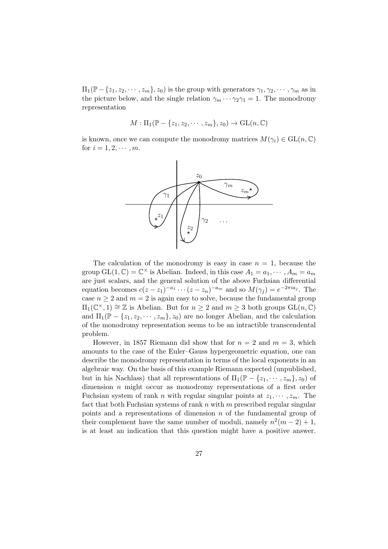$\Pi_1(\mathbb{P}-\{z_1,z_2,\cdots,z_m\},z_0)$  is the group with generators  $\gamma_1,\gamma_2,\cdots,\gamma_m$  as in the picture below, and the single relation  $\gamma_m \cdots \gamma_2 \gamma_1 = 1$ . The monodromy representation

$$
M: \Pi_1(\mathbb{P} - \{z_1, z_2, \cdots, z_m\}, z_0) \to \mathrm{GL}(n, \mathbb{C})
$$

is known, once we can compute the monodromy matrices  $M(\gamma_i) \in GL(n, \mathbb{C})$ for  $i = 1, 2, \cdots, m$ .



The calculation of the monodromy is easy in case  $n = 1$ , because the group  $GL(1,\mathbb{C})=\mathbb{C}^{\times}$  is Abelian. Indeed, in this case  $A_1=a_1,\cdots,A_m=a_m$ are just scalars, and the general solution of the above Fuchsian differential equation becomes  $c(z-z_1)^{-a_1}\cdots(z-z_n)^{-a_m}$  and so  $M(\gamma_j)=e^{-2\pi i a_j}$ . The case  $n \geq 2$  and  $m = 2$  is again easy to solve, because the fundamental group  $\Pi_1(\mathbb{C}^\times, 1) \cong \mathbb{Z}$  is Abelian. But for  $n \geq 2$  and  $m \geq 3$  both groups  $GL(n, \mathbb{C})$ and  $\Pi_1(\mathbb{P} - \{z_1, z_2, \cdots, z_m\}, z_0)$  are no longer Abelian, and the calculation of the monodromy representation seems to be an intractible transcendental problem.

However, in 1857 Riemann did show that for  $n = 2$  and  $m = 3$ , which amounts to the case of the Euler–Gauss hypergeometric equation, one can describe the monodromy representation in terms of the local exponents in an algebraic way. On the basis of this example Riemann expected (unpublished, but in his Nachlass) that all representations of  $\Pi_1(\mathbb{P} - \{z_1, \dots, z_m\}, z_0)$  of dimension *n* might occur as monodromy representations of a first order Fuchsian system of rank n with regular singular points at  $z_1, \dots, z_m$ . The fact that both Fuchsian systems of rank  $n$  with  $m$  prescribed regular singular points and a representations of dimension  $n$  of the fundamental group of their complement have the same number of moduli, namely  $n^2(m-2)+1$ , is at least an indication that this question might have a positive answer.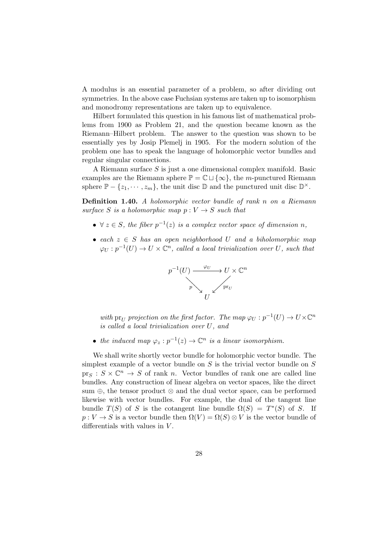A modulus is an essential parameter of a problem, so after dividing out symmetries. In the above case Fuchsian systems are taken up to isomorphism and monodromy representations are taken up to equivalence.

Hilbert formulated this question in his famous list of mathematical problems from 1900 as Problem 21, and the question became known as the Riemann–Hilbert problem. The answer to the question was shown to be essentially yes by Josip Plemelj in 1905. For the modern solution of the problem one has to speak the language of holomorphic vector bundles and regular singular connections.

A Riemann surface S is just a one dimensional complex manifold. Basic examples are the Riemann sphere  $\mathbb{P} = \mathbb{C} \sqcup \{\infty\}$ , the m-punctured Riemann sphere  $\mathbb{P} - \{z_1, \dots, z_m\}$ , the unit disc  $\mathbb{D}$  and the punctured unit disc  $\mathbb{D}^{\times}$ .

Definition 1.40. A holomorphic vector bundle of rank n on a Riemann surface S is a holomorphic map  $p: V \to S$  such that

- $\forall z \in S$ , the fiber  $p^{-1}(z)$  is a complex vector space of dimension n,
- each  $z \in S$  has an open neighborhood U and a biholomorphic map  $\varphi_U: p^{-1}(U) \to U \times \mathbb{C}^n$ , called a local trivialization over U, such that



with  $pr_U$  projection on the first factor. The map  $\varphi_U : p^{-1}(U) \to U \times \mathbb{C}^n$ is called a local trivialization over U, and

• the induced map  $\varphi_z : p^{-1}(z) \to \mathbb{C}^n$  is a linear isomorphism.

We shall write shortly vector bundle for holomorphic vector bundle. The simplest example of a vector bundle on  $S$  is the trivial vector bundle on  $S$  $\text{pr}_S: S \times \mathbb{C}^n \to S$  of rank n. Vector bundles of rank one are called line bundles. Any construction of linear algebra on vector spaces, like the direct sum ⊕, the tensor product ⊗ and the dual vector space, can be performed likewise with vector bundles. For example, the dual of the tangent line bundle  $T(S)$  of S is the cotangent line bundle  $\Omega(S) = T^*(S)$  of S. If  $p: V \to S$  is a vector bundle then  $\Omega(V) = \Omega(S) \otimes V$  is the vector bundle of differentials with values in  $V$ .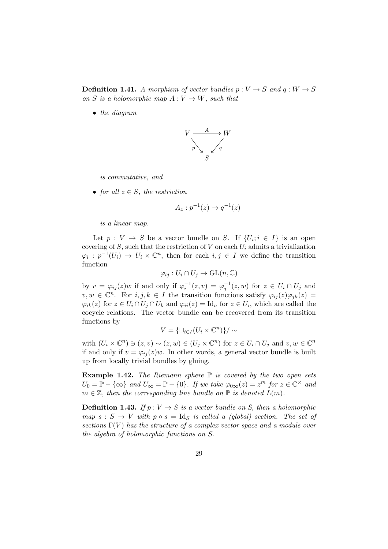**Definition 1.41.** A morphism of vector bundles  $p: V \to S$  and  $q: W \to S$ on S is a holomorphic map  $A: V \to W$ , such that

• the diagram



is commutative, and

• for all  $z \in S$ , the restriction

$$
A_z: p^{-1}(z) \to q^{-1}(z)
$$

is a linear map.

Let  $p: V \to S$  be a vector bundle on S. If  $\{U_i; i \in I\}$  is an open covering of S, such that the restriction of V on each  $U_i$  admits a trivialization  $\varphi_i: p^{-1}(U_i) \to U_i \times \mathbb{C}^n$ , then for each  $i, j \in I$  we define the transition function

$$
\varphi_{ij}: U_i \cap U_j \to \mathrm{GL}(n,\mathbb{C})
$$

by  $v = \varphi_{ij}(z)w$  if and only if  $\varphi_i^{-1}(z, v) = \varphi_j^{-1}(z, w)$  for  $z \in U_i \cap U_j$  and  $v, w \in \mathbb{C}^n$ . For  $i, j, k \in I$  the transition functions satisfy  $\varphi_{ij}(z)\varphi_{jk}(z) =$  $\varphi_{ik}(z)$  for  $z \in U_i \cap U_j \cap U_k$  and  $\varphi_{ii}(z) = \text{Id}_n$  for  $z \in U_i$ , which are called the cocycle relations. The vector bundle can be recovered from its transition functions by

$$
V = {\{\sqcup_{i \in I}(U_i \times \mathbb{C}^n)\}} / \sim
$$

with  $(U_i \times \mathbb{C}^n) \ni (z, v) \sim (z, w) \in (U_j \times \mathbb{C}^n)$  for  $z \in U_i \cap U_j$  and  $v, w \in \mathbb{C}^n$ if and only if  $v = \varphi_{ij}(z)w$ . In other words, a general vector bundle is built up from locally trivial bundles by gluing.

**Example 1.42.** The Riemann sphere  $\mathbb P$  is covered by the two open sets  $U_0 = \mathbb{P} - \{\infty\}$  and  $U_{\infty} = \mathbb{P} - \{0\}$ . If we take  $\varphi_{0\infty}(z) = z^m$  for  $z \in \mathbb{C}^{\times}$  and  $m \in \mathbb{Z}$ , then the corresponding line bundle on  $\mathbb{P}$  is denoted  $L(m)$ .

**Definition 1.43.** If  $p: V \to S$  is a vector bundle on S, then a holomorphic map  $s : S \to V$  with  $p \circ s = \text{Id}_S$  is called a (global) section. The set of sections  $\Gamma(V)$  has the structure of a complex vector space and a module over the algebra of holomorphic functions on S.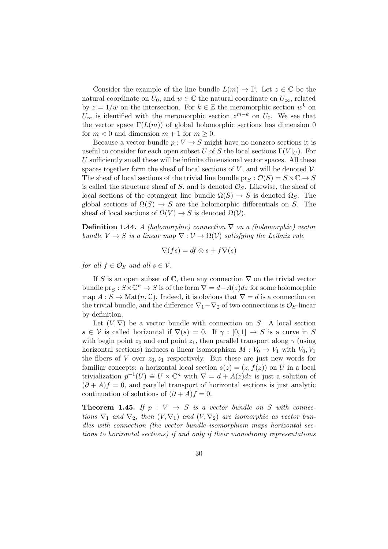Consider the example of the line bundle  $L(m) \to \mathbb{P}$ . Let  $z \in \mathbb{C}$  be the natural coordinate on  $U_0$ , and  $w \in \mathbb{C}$  the natural coordinate on  $U_{\infty}$ , related by  $z = 1/w$  on the intersection. For  $k \in \mathbb{Z}$  the meromorphic section  $w^k$  on  $U_{\infty}$  is identified with the meromorphic section  $z^{m-k}$  on  $U_0$ . We see that the vector space  $\Gamma(L(m))$  of global holomorphic sections has dimension 0 for  $m < 0$  and dimension  $m + 1$  for  $m \geq 0$ .

Because a vector bundle  $p: V \to S$  might have no nonzero sections it is useful to consider for each open subset U of S the local sections  $\Gamma(V|_U)$ . For  $U$  sufficiently small these will be infinite dimensional vector spaces. All these spaces together form the sheaf of local sections of  $V$ , and will be denoted  $V$ . The sheaf of local sections of the trivial line bundle  $\text{pr}_S : \mathcal{O}(S) = S \times \mathbb{C} \to S$ is called the structure sheaf of S, and is denoted  $\mathcal{O}_S$ . Likewise, the sheaf of local sections of the cotangent line bundle  $\Omega(S) \to S$  is denoted  $\Omega_S$ . The global sections of  $\Omega(S) \to S$  are the holomorphic differentials on S. The sheaf of local sections of  $\Omega(V) \to S$  is denoted  $\Omega(V)$ .

**Definition 1.44.** A (holomorphic) connection  $\nabla$  on a (holomorphic) vector bundle  $V \to S$  is a linear map  $\nabla : V \to \Omega(V)$  satisfying the Leibniz rule

$$
\nabla(f s) = df \otimes s + f \nabla(s)
$$

for all  $f \in \mathcal{O}_S$  and all  $s \in \mathcal{V}$ .

If S is an open subset of  $\mathbb C$ , then any connection  $\nabla$  on the trivial vector bundle  $\text{pr}_S : S \times \mathbb{C}^n \to S$  is of the form  $\nabla = d + A(z)dz$  for some holomorphic map  $A : S \to \text{Mat}(n, \mathbb{C})$ . Indeed, it is obvious that  $\nabla = d$  is a connection on the trivial bundle, and the difference  $\nabla_1 - \nabla_2$  of two connections is  $\mathcal{O}_S$ -linear by definition.

Let  $(V, \nabla)$  be a vector bundle with connection on S. A local section  $s \in V$  is called horizontal if  $\nabla(s) = 0$ . If  $\gamma : [0, 1] \to S$  is a curve in S with begin point  $z_0$  and end point  $z_1$ , then parallel transport along  $\gamma$  (using horizontal sections) induces a linear isomorphism  $M: V_0 \to V_1$  with  $V_0, V_1$ the fibers of V over  $z_0, z_1$  respectively. But these are just new words for familiar concepts: a horizontal local section  $s(z) = (z, f(z))$  on U in a local trivialization  $p^{-1}(U) \cong U \times \mathbb{C}^n$  with  $\nabla = d + A(z)dz$  is just a solution of  $(\partial + A)f = 0$ , and parallel transport of horizontal sections is just analytic continuation of solutions of  $(\partial + A)f = 0$ .

**Theorem 1.45.** If  $p : V \rightarrow S$  is a vector bundle on S with connections  $\nabla_1$  and  $\nabla_2$ , then  $(V, \nabla_1)$  and  $(V, \nabla_2)$  are isomorphic as vector bundles with connection (the vector bundle isomorphism maps horizontal sections to horizontal sections) if and only if their monodromy representations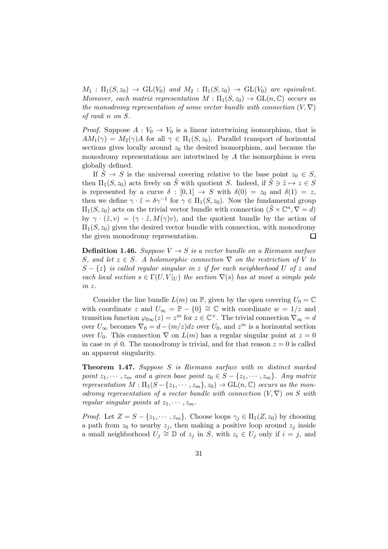$M_1$  :  $\Pi_1(S, z_0) \rightarrow \text{GL}(V_0)$  and  $M_2$  :  $\Pi_1(S, z_0) \rightarrow \text{GL}(V_0)$  are equivalent. Moreover, each matrix representation  $M : \Pi_1(S, z_0) \to \text{GL}(n, \mathbb{C})$  occurs as the monodromy representation of some vector bundle with connection  $(V, \nabla)$ of rank n on S.

*Proof.* Suppose  $A: V_0 \to V_0$  is a linear intertwining isomorphism, that is  $AM_1(\gamma) = M_2(\gamma)A$  for all  $\gamma \in \Pi_1(S, z_0)$ . Parallel transport of horizontal sections gives locally around  $z_0$  the desired isomorphism, and because the monodromy representations are intertwined by  $A$  the isomorphism is even globally defined.

If  $\tilde{S} \to S$  is the universal covering relative to the base point  $z_0 \in S$ , then  $\Pi_1(S, z_0)$  acts freely on  $\tilde{S}$  with quotient S. Indeed, if  $\tilde{S} \ni \tilde{z} \mapsto z \in S$ is represented by a curve  $\delta : [0,1] \rightarrow S$  with  $\delta(0) = z_0$  and  $\delta(1) = z$ , then we define  $\gamma \cdot \tilde{z} = \delta \gamma^{-1}$  for  $\gamma \in \Pi_1(S, z_0)$ . Now the fundamental group  $\Pi_1(S, z_0)$  acts on the trivial vector bundle with connection  $(\tilde{S} \times \mathbb{C}^n, \nabla = d)$ by  $\gamma \cdot (\tilde{z}, v) = (\gamma \cdot \tilde{z}, M(\gamma)v)$ , and the quotient bundle by the action of  $\Pi_1(S, z_0)$  gives the desired vector bundle with connection, with monodromy the given monodromy representation.  $\Box$ 

**Definition 1.46.** Suppose  $V \rightarrow S$  is a vector bundle on a Riemann surface S, and let  $z \in S$ . A holomorphic connection  $\nabla$  on the restriction of V to  $S - \{z\}$  is called regular singular in z if for each neighborhood U of z and each local section  $s \in \Gamma(U, V|_U)$  the section  $\nabla(s)$  has at most a simple pole in z.

Consider the line bundle  $L(m)$  on  $\mathbb{P}$ , given by the open covering  $U_0 = \mathbb{C}$ with coordinate z and  $U_{\infty} = \mathbb{P} - \{0\} \cong \mathbb{C}$  with coordinate  $w = 1/z$  and transition function  $\varphi_{0\infty}(z) = z^m$  for  $z \in \mathbb{C}^\times$ . The trivial connection  $\nabla_{\infty} = d$ over  $U_{\infty}$  becomes  $\nabla_0 = d - (m/z)dz$  over  $U_0$ , and  $z^m$  is a horizontal section over  $U_0$ . This connection  $\nabla$  on  $L(m)$  has a regular singular point at  $z = 0$ in case  $m \neq 0$ . The monodromy is trivial, and for that reason  $z = 0$  is called an apparent singularity.

Theorem 1.47. Suppose S is Riemann surface with m distinct marked point  $z_1, \dots, z_m$  and a given base point  $z_0 \in S - \{z_1, \dots, z_m\}$ . Any matrix representation  $M : \Pi_1(S - \{z_1, \dots, z_m\}, z_0) \to \text{GL}(n, \mathbb{C})$  occurs as the monodromy representation of a vector bundle with connection  $(V, \nabla)$  on S with regular singular points at  $z_1, \cdots, z_m$ .

*Proof.* Let  $Z = S - \{z_1, \dots, z_m\}$ . Choose loops  $\gamma_j \in \Pi_1(Z, z_0)$  by choosing a path from  $z_0$  to nearby  $z_i$ , then making a positive loop around  $z_i$  inside a small neighborhood  $U_j \cong \mathbb{D}$  of  $z_j$  in S, with  $z_i \in U_j$  only if  $i = j$ , and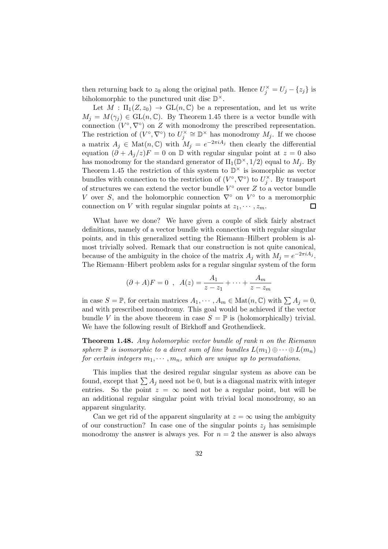then returning back to  $z_0$  along the original path. Hence  $U_j^{\times} = U_j - \{z_j\}$  is biholomorphic to the punctured unit disc  $\mathbb{D}^{\times}$ .

Let  $M : \Pi_1(Z, z_0) \to \text{GL}(n, \mathbb{C})$  be a representation, and let us write  $M_j = M(\gamma_i) \in GL(n, \mathbb{C})$ . By Theorem 1.45 there is a vector bundle with connection  $(V^{\circ}, \nabla^{\circ})$  on Z with monodromy the prescribed representation. The restriction of  $(V^{\circ}, \nabla^{\circ})$  to  $U_j^{\times} \cong \mathbb{D}^{\times}$  has monodromy  $M_j$ . If we choose a matrix  $A_j \in \text{Mat}(n, \mathbb{C})$  with  $M_j = e^{-2\pi i A_j}$  then clearly the differential equation  $(\partial + A_i/z)F = 0$  on  $\mathbb D$  with regular singular point at  $z = 0$  also has monodromy for the standard generator of  $\Pi_1(\mathbb{D}^\times,1/2)$  equal to  $M_j$ . By Theorem 1.45 the restriction of this system to  $\mathbb{D}^{\times}$  is isomorphic as vector bundles with connection to the restriction of  $(V^{\circ}, \nabla^{\circ})$  to  $U_j^{\times}$ . By transport of structures we can extend the vector bundle  $V^{\circ}$  over  $Z$  to a vector bundle V over S, and the holomorphic connection  $\nabla^{\circ}$  on  $V^{\circ}$  to a meromorphic connection on V with regular singular points at  $z_1, \dots, z_m$ .  $\Box$ 

What have we done? We have given a couple of slick fairly abstract definitions, namely of a vector bundle with connection with regular singular points, and in this generalized setting the Riemann–Hilbert problem is almost trivially solved. Remark that our construction is not quite canonical, because of the ambiguity in the choice of the matrix  $A_j$  with  $M_j = e^{-2\pi i A_j}$ . The Riemann–Hibert problem asks for a regular singular system of the form

$$
(\partial + A)F = 0
$$
,  $A(z) = \frac{A_1}{z - z_1} + \dots + \frac{A_m}{z - z_m}$ 

in case  $S = \mathbb{P}$ , for certain matrices  $A_1, \dots, A_m \in \text{Mat}(n, \mathbb{C})$  with  $\sum A_i = 0$ , and with prescribed monodromy. This goal would be achieved if the vector bundle V in the above theorem in case  $S = \mathbb{P}$  is (holomorphically) trivial. We have the following result of Birkhoff and Grothendieck.

Theorem 1.48. Any holomorphic vector bundle of rank n on the Riemann sphere  $\mathbb P$  is isomorphic to a direct sum of line bundles  $L(m_1) \oplus \cdots \oplus L(m_n)$ for certain integers  $m_1, \dots, m_n$ , which are unique up to permutations.

This implies that the desired regular singular system as above can be found, except that  $\sum A_i$  need not be 0, but is a diagonal matrix with integer entries. So the point  $z = \infty$  need not be a regular point, but will be an additional regular singular point with trivial local monodromy, so an apparent singularity.

Can we get rid of the apparent singularity at  $z = \infty$  using the ambiguity of our construction? In case one of the singular points  $z_i$  has semisimple monodromy the answer is always yes. For  $n = 2$  the answer is also always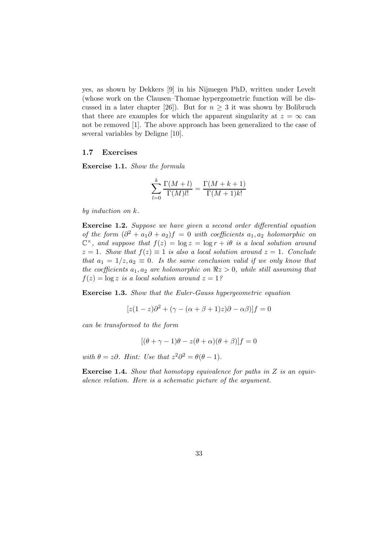yes, as shown by Dekkers [9] in his Nijmegen PhD, written under Levelt (whose work on the Clausen–Thomae hypergeometric function will be discussed in a later chapter [26]). But for  $n \geq 3$  it was shown by Bolibruch that there are examples for which the apparent singularity at  $z = \infty$  can not be removed [1]. The above approach has been generalized to the case of several variables by Deligne [10].

#### 1.7 Exercises

Exercise 1.1. Show the formula

$$
\sum_{l=0}^{k} \frac{\Gamma(M+l)}{\Gamma(M)l!} = \frac{\Gamma(M+k+1)}{\Gamma(M+1)k!}
$$

by induction on k.

Exercise 1.2. Suppose we have given a second order differential equation of the form  $(\partial^2 + a_1\partial + a_2)f = 0$  with coefficients  $a_1, a_2$  holomorphic on  $\mathbb{C}^{\times}$ , and suppose that  $f(z) = \log z = \log r + i\theta$  is a local solution around  $z = 1$ . Show that  $f(z) \equiv 1$  is also a local solution around  $z = 1$ . Conclude that  $a_1 = 1/z, a_2 \equiv 0$ . Is the same conclusion valid if we only know that the coefficients  $a_1, a_2$  are holomorphic on  $\Re z > 0$ , while still assuming that  $f(z) = \log z$  is a local solution around  $z = 1$ ?

Exercise 1.3. Show that the Euler-Gauss hypergeometric equation

$$
[z(1-z)\partial^2 + (\gamma - (\alpha + \beta + 1)z)\partial - \alpha\beta)]f = 0
$$

can be transformed to the form

$$
[(\theta + \gamma - 1)\theta - z(\theta + \alpha)(\theta + \beta)]f = 0
$$

with  $\theta = z\partial$ . Hint: Use that  $z^2\partial^2 = \theta(\theta - 1)$ .

Exercise 1.4. Show that homotopy equivalence for paths in Z is an equivalence relation. Here is a schematic picture of the argument.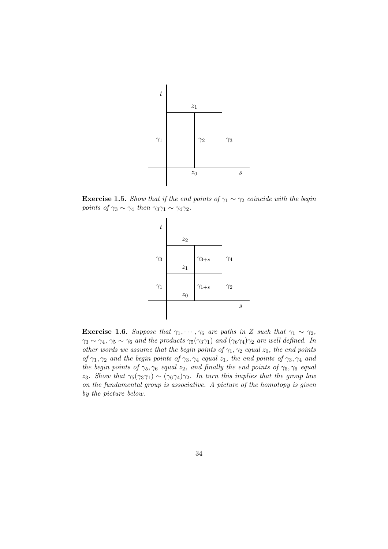

**Exercise 1.5.** Show that if the end points of  $\gamma_1 \sim \gamma_2$  coincide with the begin points of  $\gamma_3 \sim \gamma_4$  then  $\gamma_3 \gamma_1 \sim \gamma_4 \gamma_2$ .



**Exercise 1.6.** Suppose that  $\gamma_1, \cdots, \gamma_6$  are paths in Z such that  $\gamma_1 \sim \gamma_2$ ,  $\gamma_3 \sim \gamma_4$ ,  $\gamma_5 \sim \gamma_6$  and the products  $\gamma_5(\gamma_3\gamma_1)$  and  $(\gamma_6\gamma_4)\gamma_2$  are well defined. In other words we assume that the begin points of  $\gamma_1, \gamma_2$  equal  $z_0$ , the end points of  $\gamma_1, \gamma_2$  and the begin points of  $\gamma_3, \gamma_4$  equal  $z_1$ , the end points of  $\gamma_3, \gamma_4$  and the begin points of  $\gamma_5, \gamma_6$  equal  $z_2$ , and finally the end points of  $\gamma_5, \gamma_6$  equal z<sub>3</sub>. Show that  $\gamma_5(\gamma_3\gamma_1) \sim (\gamma_6\gamma_4)\gamma_2$ . In turn this implies that the group law on the fundamental group is associative. A picture of the homotopy is given by the picture below.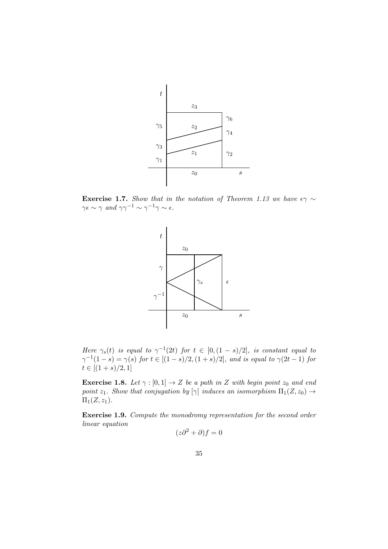

Exercise 1.7. Show that in the notation of Theorem 1.13 we have  $\epsilon \gamma \sim$  $\gamma \epsilon \sim \gamma$  and  $\gamma \gamma^{-1} \sim \gamma^{-1} \gamma \sim \epsilon$ .



Here  $\gamma_s(t)$  is equal to  $\gamma^{-1}(2t)$  for  $t \in [0, (1-s)/2]$ , is constant equal to  $\gamma^{-1}(1-s) = \gamma(s)$  for  $t \in [(1-s)/2, (1+s)/2]$ , and is equal to  $\gamma(2t-1)$  for  $t\in [(1+s)/2,1]$ 

**Exercise 1.8.** Let  $\gamma : [0,1] \to Z$  be a path in Z with begin point  $z_0$  and end point  $z_1$ . Show that conjugation by  $[\gamma]$  induces an isomorphism  $\Pi_1(Z, z_0) \rightarrow$  $\Pi_1(Z, z_1)$ .

Exercise 1.9. Compute the monodromy representation for the second order linear equation

$$
(z\partial^2 + \partial)f = 0
$$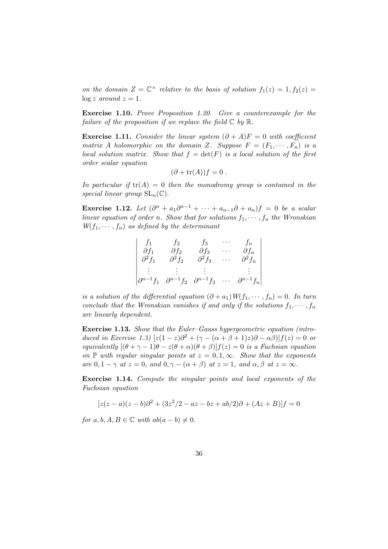on the domain  $Z = \mathbb{C}^\times$  relative to the basis of solution  $f_1(z) = 1, f_2(z) =$  $\log z$  around  $z = 1$ .

Exercise 1.10. Prove Proposition 1.20. Give a counterexample for the failure of the proposition if we replace the field  $\mathbb C$  by  $\mathbb R$ .

Exercise 1.11. Consider the linear system  $(\partial + A)F = 0$  with coefficient matrix A holomorphic on the domain Z. Suppose  $F = (F_1, \dots, F_n)$  is a local solution matrix. Show that  $f = det(F)$  is a local solution of the first order scalar equation

$$
(\partial + \operatorname{tr}(A))f = 0.
$$

In particular if  $tr(A) = 0$  then the monodromy group is contained in the special linear group  $SL_n(\mathbb{C})$ .

Exercise 1.12. Let  $(\partial^n + a_1 \partial^{n-1} + \cdots + a_{n-1} \partial + a_n)f = 0$  be a scalar linear equation of order n. Show that for solutions  $f_1, \dots, f_n$  the Wronskian  $W(f_1, \dots, f_n)$  as defined by the determinant

$$
\begin{vmatrix}\nf_1 & f_2 & f_3 & \cdots & f_n \\
\partial f_1 & \partial f_2 & \partial f_3 & \cdots & \partial f_n \\
\partial^2 f_1 & \partial^2 f_2 & \partial^2 f_3 & \cdots & \partial^2 f_n \\
\vdots & \vdots & \vdots & \vdots & \vdots \\
\partial^{n-1} f_1 & \partial^{n-1} f_2 & \partial^{n-1} f_3 & \cdots & \partial^{n-1} f_n\n\end{vmatrix}
$$

is a solution of the differential equation  $(\partial + a_1)W(f_1, \dots, f_n) = 0$ . In turn conclude that the Wronskian vanishes if and only if the solutions  $f_1, \dots, f_n$ are linearly dependent.

Exercise 1.13. Show that the Euler–Gauss hypergeometric equation (introduced in Exercise 1.3)  $[z(1-z)\partial^2 + (\gamma - (\alpha + \beta + 1)z)\partial - \alpha\beta]f(z) = 0$  or equivalently  $[(\theta + \gamma - 1)\theta - z(\theta + \alpha)(\theta + \beta)]f(z) = 0$  is a Fuchsian equation on P with regular singular points at  $z = 0, 1, \infty$ . Show that the exponents are  $0, 1 - \gamma$  at  $z = 0$ , and  $0, \gamma - (\alpha + \beta)$  at  $z = 1$ , and  $\alpha, \beta$  at  $z = \infty$ .

Exercise 1.14. Compute the singular points and local exponents of the Fuchsian equation

$$
[z(z-a)(z-b)\partial^{2} + (3z^{2}/2 - az - bz + ab/2)\partial + (Az + B)]f = 0
$$

for  $a, b, A, B \in \mathbb{C}$  with  $ab(a - b) \neq 0$ .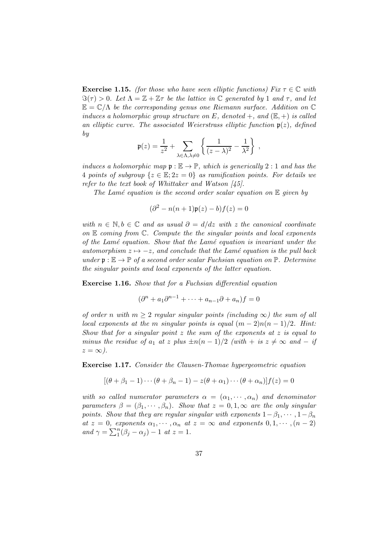**Exercise 1.15.** (for those who have seen elliptic functions) Fix  $\tau \in \mathbb{C}$  with  $\Im(\tau) > 0$ . Let  $\Lambda = \mathbb{Z} + \mathbb{Z}\tau$  be the lattice in  $\mathbb C$  generated by 1 and  $\tau$ , and let  $\mathbb{E} = \mathbb{C}/\Lambda$  be the corresponding genus one Riemann surface. Addition on  $\mathbb{C}$ induces a holomorphic group structure on E, denoted  $+$ , and  $(\mathbb{E}, +)$  is called an elliptic curve. The associated Weierstrass elliptic function  $p(z)$ , defined by

$$
\mathfrak{p}(z) = \frac{1}{z^2} + \sum_{\lambda \in \Lambda, \lambda \neq 0} \left\{ \frac{1}{(z-\lambda)^2} - \frac{1}{\lambda^2} \right\} ,
$$

induces a holomorphic map  $\mathfrak{p} : \mathbb{E} \to \mathbb{P}$ , which is generically 2 : 1 and has the 4 points of subgroup  $\{z \in \mathbb{E}; 2z = 0\}$  as ramification points. For details we refer to the text book of Whittaker and Watson [45].

The Lamé equation is the second order scalar equation on  $E$  given by

$$
(\partial^2 - n(n+1)\mathfrak{p}(z) - b)f(z) = 0
$$

with  $n \in \mathbb{N}, b \in \mathbb{C}$  and as usual  $\partial = d/dz$  with z the canonical coordinate on  $E$  coming from  $C$ . Compute the the singular points and local exponents of the Lamé equation. Show that the Lamé equation is invariant under the automorphism  $z \mapsto -z$ , and conclude that the Lamé equation is the pull back under  $\mathfrak{p} : \mathbb{E} \to \mathbb{P}$  of a second order scalar Fuchsian equation on  $\mathbb{P}$ . Determine the singular points and local exponents of the latter equation.

Exercise 1.16. Show that for a Fuchsian differential equation

$$
(\partial^n + a_1 \partial^{n-1} + \dots + a_{n-1} \partial + a_n) f = 0
$$

of order n with  $m \geq 2$  regular singular points (including  $\infty$ ) the sum of all local exponents at the m singular points is equal  $(m-2)n(n-1)/2$ . Hint: Show that for a singular point  $z$  the sum of the exponents at  $z$  is equal to minus the residue of  $a_1$  at z plus  $\pm n(n-1)/2$  (with  $+$  is  $z \neq \infty$  and  $-$  if  $z = \infty$ ).

Exercise 1.17. Consider the Clausen-Thomae hypergeometric equation

$$
[(\theta + \beta_1 - 1) \cdots (\theta + \beta_n - 1) - z(\theta + \alpha_1) \cdots (\theta + \alpha_n)]f(z) = 0
$$

with so called numerator parameters  $\alpha = (\alpha_1, \dots, \alpha_n)$  and denominator parameters  $\beta = (\beta_1, \dots, \beta_n)$ . Show that  $z = 0, 1, \infty$  are the only singular points. Show that they are regular singular with exponents  $1-\beta_1, \dots, 1-\beta_n$ at  $z = 0$ , exponents  $\alpha_1, \dots, \alpha_n$  at  $z = \infty$  and exponents  $0, 1, \dots, (n-2)$ and  $\gamma = \sum_{1}^{n} (\beta_j - \alpha_j) - 1$  at  $z = 1$ .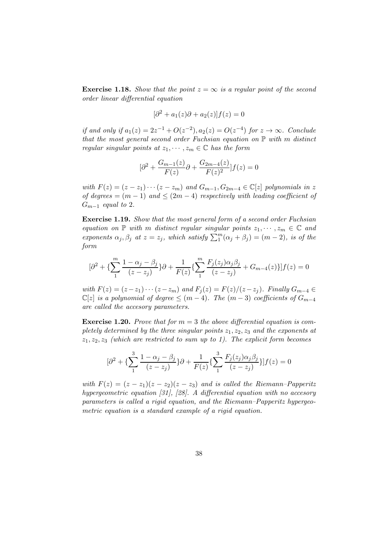**Exercise 1.18.** Show that the point  $z = \infty$  is a regular point of the second order linear differential equation

$$
[\partial^2 + a_1(z)\partial + a_2(z)]f(z) = 0
$$

if and only if  $a_1(z) = 2z^{-1} + O(z^{-2}), a_2(z) = O(z^{-4})$  for  $z \to \infty$ . Conclude that the most general second order Fuchsian equation on  $\mathbb P$  with m distinct regular singular points at  $z_1, \dots, z_m \in \mathbb{C}$  has the form

$$
[\partial^2 + \frac{G_{m-1}(z)}{F(z)}\partial + \frac{G_{2m-4}(z)}{F(z)^2}]f(z) = 0
$$

with  $F(z) = (z - z_1) \cdots (z - z_m)$  and  $G_{m-1}, G_{2m-4} \in \mathbb{C}[z]$  polynomials in z of degrees =  $(m-1)$  and  $\leq (2m-4)$  respectively with leading coefficient of  $G_{m-1}$  equal to 2.

Exercise 1.19. Show that the most general form of a second order Fuchsian equation on P with m distinct regular singular points  $z_1, \dots, z_m \in \mathbb{C}$  and exponents  $\alpha_j, \beta_j$  at  $z = z_j$ , which satisfy  $\sum_{1}^{m} (\alpha_j + \beta_j) = (m-2)$ , is of the form

$$
[\partial^2 + {\sum_{1}^{m} \frac{1 - \alpha_j - \beta_j}{(z - z_j)}}\partial + \frac{1}{F(z)}{\sum_{1}^{m} \frac{F_j(z_j)\alpha_j\beta_j}{(z - z_j)}} + G_{m-4}(z)]f(z) = 0
$$

with  $F(z) = (z-z_1)\cdots(z-z_m)$  and  $F_j(z) = F(z)/(z-z_j)$ . Finally  $G_{m-4} \in$  $\mathbb{C}[z]$  is a polynomial of degree  $\leq (m-4)$ . The  $(m-3)$  coefficients of  $G_{m-4}$ are called the accesory parameters.

**Exercise 1.20.** Prove that for  $m = 3$  the above differential equation is completely determined by the three singular points  $z_1, z_2, z_3$  and the exponents at  $z_1, z_2, z_3$  (which are restricted to sum up to 1). The explicit form becomes

$$
[\partial^2 + {\{\sum_{1}^{3} \frac{1 - \alpha_j - \beta_j}{(z - z_j)}\}} \partial + \frac{1}{F(z)} {\{\sum_{1}^{3} \frac{F_j(z_j)\alpha_j \beta_j}{(z - z_j)}\}} ]f(z) = 0
$$

with  $F(z) = (z - z_1)(z - z_2)(z - z_3)$  and is called the Riemann–Papperitz hypergeometric equation [31], [28]. A differential equation with no accessory parameters is called a rigid equation, and the Riemann–Papperitz hypergeometric equation is a standard example of a rigid equation.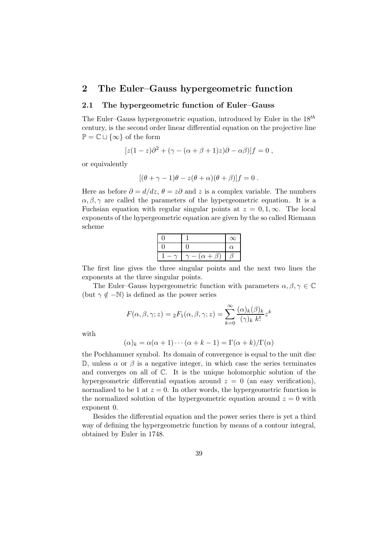# 2 The Euler–Gauss hypergeometric function

#### 2.1 The hypergeometric function of Euler–Gauss

The Euler–Gauss hypergeometric equation, introduced by Euler in the  $18^{th}$ century, is the second order linear differential equation on the projective line  $\mathbb{P} = \mathbb{C} \sqcup \{\infty\}$  of the form

$$
[z(1-z)\partial^2 + (\gamma - (\alpha + \beta + 1)z)\partial - \alpha\beta)]f = 0,
$$

or equivalently

$$
[(\theta + \gamma - 1)\theta - z(\theta + \alpha)(\theta + \beta)]f = 0.
$$

Here as before  $\partial = d/dz$ ,  $\theta = z\partial$  and z is a complex variable. The numbers  $\alpha, \beta, \gamma$  are called the parameters of the hypergeometric equation. It is a Fuchsian equation with regular singular points at  $z = 0, 1, \infty$ . The local exponents of the hypergeometric equation are given by the so called Riemann scheme

|                             | $\propto$ |
|-----------------------------|-----------|
|                             | $\alpha$  |
| $\alpha +$<br>$\mathcal{D}$ |           |

The first line gives the three singular points and the next two lines the exponents at the three singular points.

The Euler–Gauss hypergeometric function with parameters  $\alpha, \beta, \gamma \in \mathbb{C}$ (but  $\gamma \notin -\mathbb{N}$ ) is defined as the power series

$$
F(\alpha, \beta, \gamma; z) = {}_2F_1(\alpha, \beta, \gamma; z) = \sum_{k=0}^{\infty} \frac{(\alpha)_k (\beta)_k}{(\gamma)_k k!} z^k
$$

with

$$
(\alpha)_k = \alpha(\alpha + 1) \cdots (\alpha + k - 1) = \Gamma(\alpha + k) / \Gamma(\alpha)
$$

the Pochhammer symbol. Its domain of convergence is equal to the unit disc D, unless  $\alpha$  or  $\beta$  is a negative integer, in which case the series terminates and converges on all of C. It is the unique holomorphic solution of the hypergeometric differential equation around  $z = 0$  (an easy verification), normalized to be 1 at  $z = 0$ . In other words, the hypergeometric function is the normalized solution of the hypergeometric equation around  $z = 0$  with exponent 0.

Besides the differential equation and the power series there is yet a third way of defining the hypergeometric function by means of a contour integral, obtained by Euler in 1748.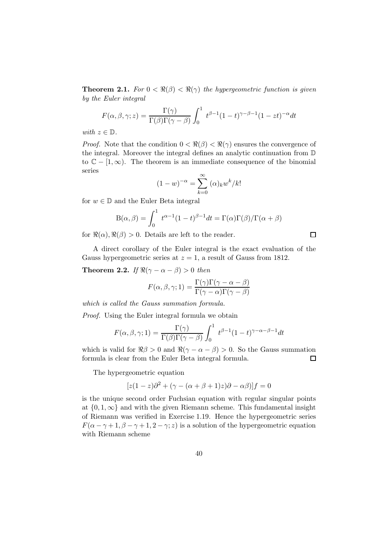**Theorem 2.1.** For  $0 < \Re(\beta) < \Re(\gamma)$  the hypergeometric function is given by the Euler integral

$$
F(\alpha, \beta, \gamma; z) = \frac{\Gamma(\gamma)}{\Gamma(\beta)\Gamma(\gamma - \beta)} \int_0^1 t^{\beta - 1} (1 - t)^{\gamma - \beta - 1} (1 - zt)^{-\alpha} dt
$$

with  $z \in \mathbb{D}$ .

*Proof.* Note that the condition  $0 < \Re(\beta) < \Re(\gamma)$  ensures the convergence of the integral. Moreover the integral defines an analytic continuation from D to  $\mathbb{C} - [1, \infty)$ . The theorem is an immediate consequence of the binomial series

$$
(1 - w)^{-\alpha} = \sum_{k=0}^{\infty} (\alpha)_k w^k / k!
$$

for  $w \in \mathbb{D}$  and the Euler Beta integral

$$
B(\alpha, \beta) = \int_0^1 t^{\alpha - 1} (1 - t)^{\beta - 1} dt = \Gamma(\alpha) \Gamma(\beta) / \Gamma(\alpha + \beta)
$$

for  $\Re(\alpha), \Re(\beta) > 0$ . Details are left to the reader.

A direct corollary of the Euler integral is the exact evaluation of the Gauss hypergeometric series at  $z = 1$ , a result of Gauss from 1812.

 $\Box$ 

**Theorem 2.2.** If  $\Re(\gamma - \alpha - \beta) > 0$  then

$$
F(\alpha, \beta, \gamma; 1) = \frac{\Gamma(\gamma)\Gamma(\gamma - \alpha - \beta)}{\Gamma(\gamma - \alpha)\Gamma(\gamma - \beta)}
$$

which is called the Gauss summation formula.

Proof. Using the Euler integral formula we obtain

$$
F(\alpha, \beta, \gamma; 1) = \frac{\Gamma(\gamma)}{\Gamma(\beta)\Gamma(\gamma - \beta)} \int_0^1 t^{\beta - 1} (1 - t)^{\gamma - \alpha - \beta - 1} dt
$$

which is valid for  $\Re \beta > 0$  and  $\Re (\gamma - \alpha - \beta) > 0$ . So the Gauss summation formula is clear from the Euler Beta integral formula. formula is clear from the Euler Beta integral formula.

The hypergeometric equation

$$
[z(1-z)\partial^{2} + (\gamma - (\alpha + \beta + 1)z)\partial - \alpha\beta)]f = 0
$$

is the unique second order Fuchsian equation with regular singular points at  $\{0, 1, \infty\}$  and with the given Riemann scheme. This fundamental insight of Riemann was verified in Exercise 1.19. Hence the hypergeometric series  $F(\alpha - \gamma + 1, \beta - \gamma + 1, 2 - \gamma; z)$  is a solution of the hypergeometric equation with Riemann scheme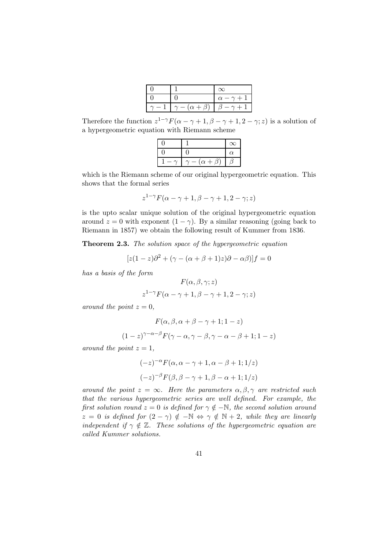|                   | $\infty$ |
|-------------------|----------|
|                   | $\alpha$ |
| $-(\alpha+\beta)$ |          |

Therefore the function  $z^{1-\gamma}F(\alpha-\gamma+1,\beta-\gamma+1,2-\gamma;z)$  is a solution of a hypergeometric equation with Riemann scheme

|                  | $\infty$ |
|------------------|----------|
|                  | $\alpha$ |
| $\alpha + \beta$ |          |

which is the Riemann scheme of our original hypergeometric equation. This shows that the formal series

$$
z^{1-\gamma}F(\alpha-\gamma+1,\beta-\gamma+1,2-\gamma;z)
$$

is the upto scalar unique solution of the original hypergeometric equation around  $z = 0$  with exponent  $(1 - \gamma)$ . By a similar reasoning (going back to Riemann in 1857) we obtain the following result of Kummer from 1836.

Theorem 2.3. The solution space of the hypergeometric equation

$$
[z(1-z)\partial^2 + (\gamma - (\alpha + \beta + 1)z)\partial - \alpha\beta)]f = 0
$$

has a basis of the form

$$
F(\alpha, \beta, \gamma; z)
$$
  

$$
z^{1-\gamma}F(\alpha - \gamma + 1, \beta - \gamma + 1, 2 - \gamma; z)
$$

around the point  $z = 0$ ,

$$
F(\alpha, \beta, \alpha + \beta - \gamma + 1; 1 - z)
$$

$$
(1 - z)^{\gamma - \alpha - \beta} F(\gamma - \alpha, \gamma - \beta, \gamma - \alpha - \beta + 1; 1 - z)
$$

around the point  $z = 1$ ,

$$
(-z)^{-\alpha} F(\alpha, \alpha - \gamma + 1, \alpha - \beta + 1; 1/z)
$$

$$
(-z)^{-\beta} F(\beta, \beta - \gamma + 1, \beta - \alpha + 1; 1/z)
$$

around the point  $z = \infty$ . Here the parameters  $\alpha, \beta, \gamma$  are restricted such that the various hypergeometric series are well defined. For example, the first solution round  $z = 0$  is defined for  $\gamma \notin -\mathbb{N}$ , the second solution around  $z = 0$  is defined for  $(2 - \gamma) \notin -\mathbb{N} \Leftrightarrow \gamma \notin \mathbb{N} + 2$ , while they are linearly independent if  $\gamma \notin \mathbb{Z}$ . These solutions of the hypergeometric equation are called Kummer solutions.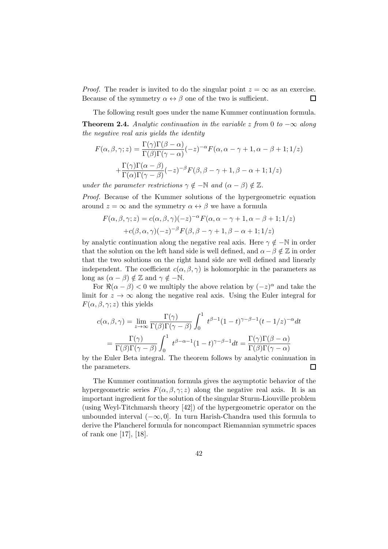*Proof.* The reader is invited to do the singular point  $z = \infty$  as an exercise.<br>Because of the symmetry  $\alpha \leftrightarrow \beta$  one of the two is sufficient. Because of the symmetry  $\alpha \leftrightarrow \beta$  one of the two is sufficient.

The following result goes under the name Kummer continuation formula. **Theorem 2.4.** Analytic continuation in the variable z from 0 to  $-\infty$  along the negative real axis yields the identity

$$
F(\alpha, \beta, \gamma; z) = \frac{\Gamma(\gamma)\Gamma(\beta - \alpha)}{\Gamma(\beta)\Gamma(\gamma - \alpha)} (-z)^{-\alpha} F(\alpha, \alpha - \gamma + 1, \alpha - \beta + 1; 1/z)
$$

$$
+ \frac{\Gamma(\gamma)\Gamma(\alpha - \beta)}{\Gamma(\alpha)\Gamma(\gamma - \beta)} (-z)^{-\beta} F(\beta, \beta - \gamma + 1, \beta - \alpha + 1; 1/z)
$$

under the parameter restrictions  $\gamma \notin -\mathbb{N}$  and  $(\alpha - \beta) \notin \mathbb{Z}$ .

Proof. Because of the Kummer solutions of the hypergeometric equation around  $z = \infty$  and the symmetry  $\alpha \leftrightarrow \beta$  we have a formula

$$
F(\alpha, \beta, \gamma; z) = c(\alpha, \beta, \gamma)(-z)^{-\alpha} F(\alpha, \alpha - \gamma + 1, \alpha - \beta + 1; 1/z)
$$
  
+
$$
c(\beta, \alpha, \gamma)(-z)^{-\beta} F(\beta, \beta - \gamma + 1, \beta - \alpha + 1; 1/z)
$$

by analytic continuation along the negative real axis. Here  $\gamma \notin -\mathbb{N}$  in order that the solution on the left hand side is well defined, and  $\alpha - \beta \notin \mathbb{Z}$  in order that the two solutions on the right hand side are well defined and linearly independent. The coefficient  $c(\alpha, \beta, \gamma)$  is holomorphic in the parameters as long as  $(\alpha - \beta) \notin \mathbb{Z}$  and  $\gamma \notin -\mathbb{N}$ .

For  $\Re(\alpha - \beta) < 0$  we multiply the above relation by  $(-z)^{\alpha}$  and take the limit for  $z \to \infty$  along the negative real axis. Using the Euler integral for  $F(\alpha, \beta, \gamma; z)$  this yields

$$
c(\alpha, \beta, \gamma) = \lim_{z \to \infty} \frac{\Gamma(\gamma)}{\Gamma(\beta)\Gamma(\gamma - \beta)} \int_0^1 t^{\beta - 1} (1 - t)^{\gamma - \beta - 1} (t - 1/z)^{-\alpha} dt
$$

$$
= \frac{\Gamma(\gamma)}{\Gamma(\beta)\Gamma(\gamma - \beta)} \int_0^1 t^{\beta - \alpha - 1} (1 - t)^{\gamma - \beta - 1} dt = \frac{\Gamma(\gamma)\Gamma(\beta - \alpha)}{\Gamma(\beta)\Gamma(\gamma - \alpha)}
$$

by the Euler Beta integral. The theorem follows by analytic coninuation in the parameters.  $\Box$ 

The Kummer continuation formula gives the asymptotic behavior of the hypergeometric series  $F(\alpha, \beta, \gamma; z)$  along the negative real axis. It is an important ingredient for the solution of the singular Sturm-Liouville problem (using Weyl-Titchmarsh theory [42]) of the hypergeometric operator on the unbounded interval  $(-\infty, 0]$ . In turn Harish-Chandra used this formula to derive the Plancherel formula for noncompact Riemannian symmetric spaces of rank one [17], [18].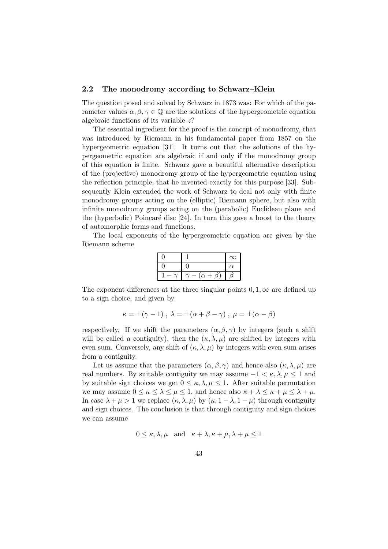### 2.2 The monodromy according to Schwarz–Klein

The question posed and solved by Schwarz in 1873 was: For which of the parameter values  $\alpha, \beta, \gamma \in \mathbb{Q}$  are the solutions of the hypergeometric equation algebraic functions of its variable z?

The essential ingredient for the proof is the concept of monodromy, that was introduced by Riemann in his fundamental paper from 1857 on the hypergeometric equation [31]. It turns out that the solutions of the hypergeometric equation are algebraic if and only if the monodromy group of this equation is finite. Schwarz gave a beautiful alternative description of the (projective) monodromy group of the hypergeometric equation using the reflection principle, that he invented exactly for this purpose [33]. Subsequently Klein extended the work of Schwarz to deal not only with finite monodromy groups acting on the (elliptic) Riemann sphere, but also with infinite monodromy groups acting on the (parabolic) Euclidean plane and the (hyperbolic) Poincaré disc  $[24]$ . In turn this gave a boost to the theory of automorphic forms and functions.

The local exponents of the hypergeometric equation are given by the Riemann scheme

|                    | $\infty$ |
|--------------------|----------|
|                    | $\alpha$ |
| $(\alpha + \beta)$ |          |

The exponent differences at the three singular points  $0, 1, \infty$  are defined up to a sign choice, and given by

$$
\kappa = \pm (\gamma - 1), \ \lambda = \pm (\alpha + \beta - \gamma), \ \mu = \pm (\alpha - \beta)
$$

respectively. If we shift the parameters  $(\alpha, \beta, \gamma)$  by integers (such a shift will be called a contiguity), then the  $(\kappa, \lambda, \mu)$  are shifted by integers with even sum. Conversely, any shift of  $(\kappa, \lambda, \mu)$  by integers with even sum arises from a contiguity.

Let us assume that the parameters  $(\alpha, \beta, \gamma)$  and hence also  $(\kappa, \lambda, \mu)$  are real numbers. By suitable contiguity we may assume  $-1 < \kappa, \lambda, \mu \leq 1$  and by suitable sign choices we get  $0 \leq \kappa, \lambda, \mu \leq 1$ . After suitable permutation we may assume  $0 \leq \kappa \leq \lambda \leq \mu \leq 1$ , and hence also  $\kappa + \lambda \leq \kappa + \mu \leq \lambda + \mu$ . In case  $\lambda + \mu > 1$  we replace  $(\kappa, \lambda, \mu)$  by  $(\kappa, 1 - \lambda, 1 - \mu)$  through contiguity and sign choices. The conclusion is that through contiguity and sign choices we can assume

$$
0 \le \kappa, \lambda, \mu \text{ and } \kappa + \lambda, \kappa + \mu, \lambda + \mu \le 1
$$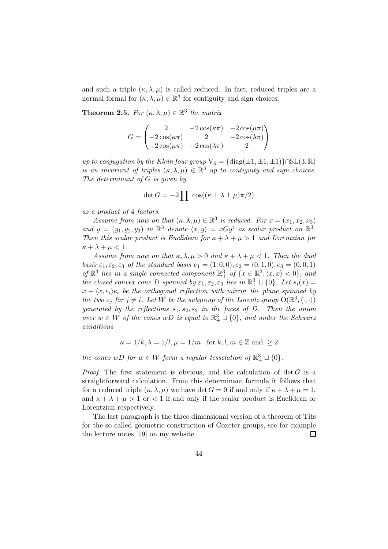and such a triple  $(\kappa, \lambda, \mu)$  is called reduced. In fact, reduced triples are a normal formal for  $(\kappa, \lambda, \mu) \in \mathbb{R}^3$  for contiguity and sign choices.

**Theorem 2.5.** For  $(\kappa, \lambda, \mu) \in \mathbb{R}^3$  the matrix

$$
G = \begin{pmatrix} 2 & -2\cos(\kappa\pi) & -2\cos(\mu\pi) \\ -2\cos(\kappa\pi) & 2 & -2\cos(\lambda\pi) \\ -2\cos(\mu\pi) & -2\cos(\lambda\pi) & 2 \end{pmatrix}
$$

up to conjugation by the Klein four group  $V_4 = \{diag(\pm 1, \pm 1, \pm 1)\}\cap SL(3, \mathbb{R})$ is an invariant of triples  $(\kappa, \lambda, \mu) \in \mathbb{R}^3$  up to contiguity and sign choices. The determinant of G is given by

$$
\det G = -2 \prod \cos((\kappa \pm \lambda \pm \mu)\pi/2)
$$

as a product of 4 factors.

Assume from now on that  $(\kappa, \lambda, \mu) \in \mathbb{R}^3$  is reduced. For  $x = (x_1, x_2, x_3)$ and  $y = (y_1, y_2, y_3)$  in  $\mathbb{R}^3$  denote  $\langle x, y \rangle = xGy^t$  as scalar product on  $\mathbb{R}^3$ . Then this scalar product is Euclidean for  $\kappa + \lambda + \mu > 1$  and Lorentzian for  $\kappa + \lambda + \mu < 1$ .

Assume from now on that  $\kappa, \lambda, \mu > 0$  and  $\kappa + \lambda + \mu < 1$ . Then the dual basis  $\varepsilon_1, \varepsilon_2, \varepsilon_3$  of the standard basis  $e_1 = (1, 0, 0), e_2 = (0, 1, 0), e_3 = (0, 0, 1)$ of  $\mathbb{R}^3$  lies in a single connected component  $\mathbb{R}^3_+$  of  $\{x \in \mathbb{R}^3; \langle x, x \rangle < 0\}$ , and the closed convex cone D spanned by  $\varepsilon_1, \varepsilon_2, \varepsilon_3$  lies in  $\mathbb{R}^3_+ \sqcup \{0\}$ . Let  $s_i(x) =$  $x - \langle x, e_i \rangle e_i$  be the orthogonal reflection with mirror the plane spanned by the two  $\varepsilon_j$  for  $j \neq i$ . Let W be the subgroup of the Lorentz group  $O(\mathbb{R}^3, \langle \cdot, \cdot \rangle)$ generated by the reflections  $s_1, s_2, s_3$  in the faces of D. Then the union over  $w \in W$  of the cones  $wD$  is equal to  $\mathbb{R}^3_+ \sqcup \{0\}$ , and under the Schwarz conditions

$$
\kappa = 1/k, \lambda = 1/l, \mu = 1/m \text{ for } k, l, m \in \mathbb{Z} \text{ and } \ge 2
$$

the cones wD for  $w \in W$  form a regular tesselation of  $\mathbb{R}^3_+ \sqcup \{0\}$ .

*Proof.* The first statement is obvious, and the calculation of  $\det G$  is a straightforward calculation. From this determinant formula it follows that for a reduced triple  $(\kappa, \lambda, \mu)$  we have det  $G = 0$  if and only if  $\kappa + \lambda + \mu = 1$ . and  $\kappa + \lambda + \mu > 1$  or  $\lt 1$  if and only if the scalar product is Euclidean or Lorentzian respectively.

The last paragraph is the three dimensional version of a theorem of Tits for the so called geometric construction of Coxeter groups, see for example the lecture notes [19] on my website.  $\Box$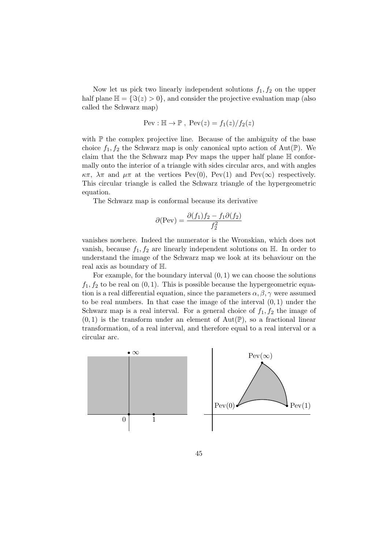Now let us pick two linearly independent solutions  $f_1, f_2$  on the upper half plane  $\mathbb{H} = \{\Im(z) > 0\}$ , and consider the projective evaluation map (also called the Schwarz map)

$$
Pev : \mathbb{H} \to \mathbb{P}, Pev(z) = f_1(z)/f_2(z)
$$

with  $\mathbb P$  the complex projective line. Because of the ambiguity of the base choice  $f_1, f_2$  the Schwarz map is only canonical upto action of Aut $(\mathbb{P})$ . We claim that the the Schwarz map Pev maps the upper half plane H conformally onto the interior of a triangle with sides circular arcs, and with angles  $\kappa\pi$ ,  $\lambda\pi$  and  $\mu\pi$  at the vertices Pev(0), Pev(1) and Pev( $\infty$ ) respectively. This circular triangle is called the Schwarz triangle of the hypergeometric equation.

The Schwarz map is conformal because its derivative

$$
\partial(\text{Pev}) = \frac{\partial(f_1)f_2 - f_1 \partial(f_2)}{f_2^2}
$$

vanishes nowhere. Indeed the numerator is the Wronskian, which does not vanish, because  $f_1, f_2$  are linearly independent solutions on  $\mathbb{H}$ . In order to understand the image of the Schwarz map we look at its behaviour on the real axis as boundary of H.

For example, for the boundary interval  $(0, 1)$  we can choose the solutions  $f_1, f_2$  to be real on  $(0, 1)$ . This is possible because the hypergeometric equation is a real differential equation, since the parameters  $\alpha, \beta, \gamma$  were assumed to be real numbers. In that case the image of the interval  $(0, 1)$  under the Schwarz map is a real interval. For a general choice of  $f_1, f_2$  the image of  $(0, 1)$  is the transform under an element of Aut $(\mathbb{P})$ , so a fractional linear transformation, of a real interval, and therefore equal to a real interval or a circular arc.

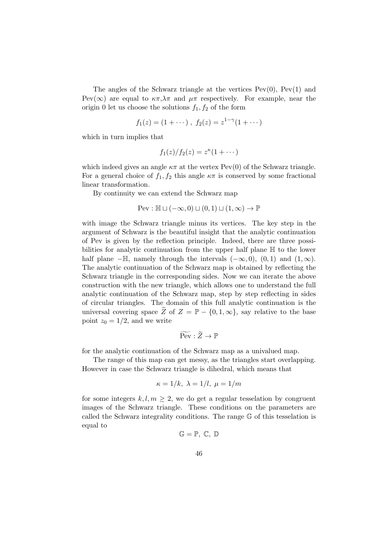The angles of the Schwarz triangle at the vertices  $Pev(0)$ ,  $Pev(1)$  and Pev( $\infty$ ) are equal to  $\kappa \pi, \lambda \pi$  and  $\mu \pi$  respectively. For example, near the origin 0 let us choose the solutions  $f_1, f_2$  of the form

$$
f_1(z) = (1 + \cdots), f_2(z) = z^{1-\gamma}(1 + \cdots)
$$

which in turn implies that

$$
f_1(z)/f_2(z) = z^{\kappa}(1 + \cdots)
$$

which indeed gives an angle  $\kappa\pi$  at the vertex Pev(0) of the Schwarz triangle. For a general choice of  $f_1, f_2$  this angle  $\kappa \pi$  is conserved by some fractional linear transformation.

By continuity we can extend the Schwarz map

$$
Pev : \mathbb{H} \sqcup (-\infty, 0) \sqcup (0, 1) \sqcup (1, \infty) \to \mathbb{P}
$$

with image the Schwarz triangle minus its vertices. The key step in the argument of Schwarz is the beautiful insight that the analytic continuation of Pev is given by the reflection principle. Indeed, there are three possibilities for analytic continuation from the upper half plane H to the lower half plane −H, namely through the intervals  $(-\infty, 0)$ ,  $(0, 1)$  and  $(1, \infty)$ . The analytic continuation of the Schwarz map is obtained by reflecting the Schwarz triangle in the corresponding sides. Now we can iterate the above construction with the new triangle, which allows one to understand the full analytic continuation of the Schwarz map, step by step reflecting in sides of circular triangles. The domain of this full analytic continuation is the universal covering space  $\widetilde{Z}$  of  $Z = \mathbb{P} - \{0, 1, \infty\}$ , say relative to the base point  $z_0 = 1/2$ , and we write

$$
\widetilde{\text{Pev}} : \widetilde{Z} \to \mathbb{P}
$$

for the analytic continuation of the Schwarz map as a univalued map.

The range of this map can get messy, as the triangles start overlapping. However in case the Schwarz triangle is dihedral, which means that

$$
\kappa = 1/k, \lambda = 1/l, \mu = 1/m
$$

for some integers  $k, l, m \geq 2$ , we do get a regular tesselation by congruent images of the Schwarz triangle. These conditions on the parameters are called the Schwarz integrality conditions. The range G of this tesselation is equal to

$$
\mathbb{G}=\mathbb{P},\ \mathbb{C},\ \mathbb{D}
$$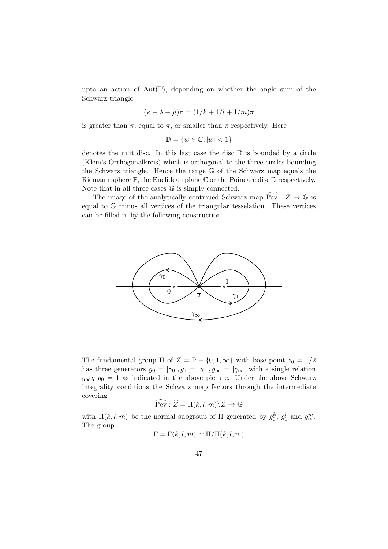upto an action of  $Aut(\mathbb{P})$ , depending on whether the angle sum of the Schwarz triangle

$$
(\kappa + \lambda + \mu)\pi = (1/k + 1/l + 1/m)\pi
$$

is greater than  $\pi$ , equal to  $\pi$ , or smaller than  $\pi$  respectively. Here

$$
\mathbb{D} = \{ w \in \mathbb{C}; |w| < 1 \}
$$

denotes the unit disc. In this last case the disc D is bounded by a circle (Klein's Orthogonalkreis) which is orthogonal to the three circles bounding the Schwarz triangle. Hence the range G of the Schwarz map equals the Riemann sphere  $\mathbb{P}$ , the Euclidean plane  $\mathbb{C}$  or the Poincaré disc  $\mathbb{D}$  respectively. Note that in all three cases G is simply connected.

The image of the analytically continued Schwarz map  $\widetilde{Pev} : \widetilde{Z} \to \mathbb{G}$  is equal to G minus all vertices of the triangular tesselation. These vertices can be filled in by the following construction.



The fundamental group  $\Pi$  of  $Z = \mathbb{P} - \{0, 1, \infty\}$  with base point  $z_0 = 1/2$ has three generators  $g_0 = [\gamma_0], g_1 = [\gamma_1], g_\infty = [\gamma_\infty]$  with a single relation  $g_{\infty}g_1g_0 = 1$  as indicated in the above picture. Under the above Schwarz integrality conditions the Schwarz map factors through the intermediate covering

$$
\widehat{\text{Pev}} : \widehat{Z} = \Pi(k, l, m) \backslash \widetilde{Z} \to \mathbb{G}
$$

with  $\Pi(k, l, m)$  be the normal subgroup of  $\Pi$  generated by  $g_0^k$ ,  $g_1^l$  and  $g_\infty^m$ . The group

$$
\Gamma = \Gamma(k, l, m) \simeq \Pi / \Pi(k, l, m)
$$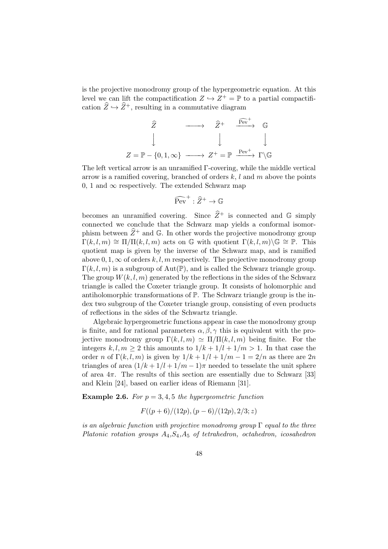is the projective monodromy group of the hypergeometric equation. At this level we can lift the compactification  $Z \hookrightarrow Z^+ = \mathbb{P}$  to a partial compactification  $\hat{Z} \hookrightarrow \hat{Z}^+$ , resulting in a commutative diagram



The left vertical arrow is an unramified Γ-covering, while the middle vertical arrow is a ramified covering, branched of orders  $k, l$  and m above the points 0, 1 and  $\infty$  respectively. The extended Schwarz map

$$
\widehat{\operatorname{Pev}}^+ : \widehat{Z}^+ \to \mathbb{G}
$$

becomes an unramified covering. Since  $\hat{Z}^+$  is connected and G simply connected we conclude that the Schwarz map yields a conformal isomorphism between  $\hat{Z}^+$  and G. In other words the projective monodromy group  $\Gamma(k, l, m) \cong \Pi/\Pi(k, l, m)$  acts on G with quotient  $\Gamma(k, l, m) \setminus \mathbb{G} \cong \mathbb{P}$ . This quotient map is given by the inverse of the Schwarz map, and is ramified above  $0, 1, \infty$  of orders k, l, m respectively. The projective monodromy group  $\Gamma(k, l, m)$  is a subgroup of Aut(P), and is called the Schwarz triangle group. The group  $W(k, l, m)$  generated by the reflections in the sides of the Schwarz triangle is called the Coxeter triangle group. It consists of holomorphic and antiholomorphic transformations of P. The Schwarz triangle group is the index two subgroup of the Coxeter triangle group, consisting of even products of reflections in the sides of the Schwartz triangle.

Algebraic hypergeometric functions appear in case the monodromy group is finite, and for rational parameters  $\alpha, \beta, \gamma$  this is equivalent with the projective monodromy group  $\Gamma(k, l, m) \simeq \Pi/\Pi(k, l, m)$  being finite. For the integers  $k, l, m \geq 2$  this amounts to  $1/k + 1/l + 1/m > 1$ . In that case the order n of  $\Gamma(k, l, m)$  is given by  $1/k + 1/l + 1/m - 1 = 2/n$  as there are  $2n$ triangles of area  $\left(\frac{1}{k} + \frac{1}{l} + \frac{1}{m} - 1\right)\pi$  needed to tesselate the unit sphere of area  $4\pi$ . The results of this section are essentially due to Schwarz [33] and Klein [24], based on earlier ideas of Riemann [31].

**Example 2.6.** For  $p = 3, 4, 5$  the hypergeometric function

$$
F((p+6)/(12p), (p-6)/(12p), 2/3; z)
$$

is an algebraic function with projective monodromy group  $\Gamma$  equal to the three Platonic rotation groups  $A_4, S_4, A_5$  of tetrahedron, octahedron, icosahedron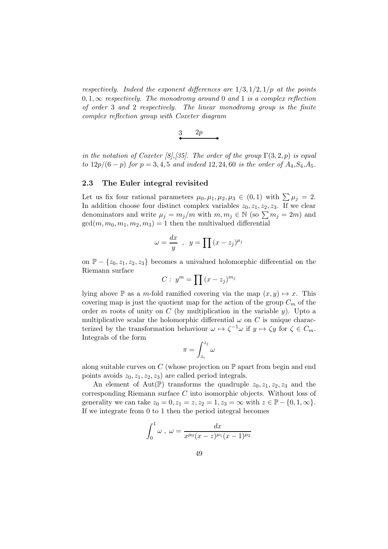respectively. Indeed the exponent differences are  $1/3$ ,  $1/2$ ,  $1/p$  at the points  $0, 1, \infty$  respectively. The monodromy around 0 and 1 is a complex reflection of order 3 and 2 respectively. The linear monodromy group is the finite complex reflection group with Coxeter diagram

$$
\overset{3}{\bullet} \overset{2p}{\bullet} \overset{2p}{\bullet}
$$

in the notation of Coxeter [8], [35]. The order of the group  $\Gamma(3,2,p)$  is equal to  $12p/(6-p)$  for  $p=3,4,5$  and indeed  $12,24,60$  is the order of  $A_4, S_4, A_5$ .

### 2.3 The Euler integral revisited

Let us fix four rational parameters  $\mu_0, \mu_1, \mu_2, \mu_3 \in (0,1)$  with  $\sum \mu_i = 2$ . In addition choose four distinct complex variables  $z_0, z_1, z_2, z_3$ . If we clear denominators and write  $\mu_j = m_j/m$  with  $m, m_j \in \mathbb{N}$  (so  $\sum m_j = 2m$ ) and  $gcd(m, m_0, m_1, m_2, m_3) = 1$  then the multivalued differential

$$
\omega = \frac{dx}{y} , y = \prod (x - z_j)^{\mu_j}
$$

on  $\mathbb{P} - \{z_0, z_1, z_2, z_3\}$  becomes a univalued holomorphic differential on the Riemann surface

$$
C: y^m = \prod (x - z_j)^{m_j}
$$

lying above  $\mathbb P$  as a m-fold ramified covering via the map  $(x, y) \mapsto x$ . This covering map is just the quotient map for the action of the group  $C_m$  of the order m roots of unity on  $C$  (by multiplication in the variable  $y$ ). Upto a multiplicative scalar the holomorphic differential  $\omega$  on C is unique characterized by the transformation behaviour  $\omega \mapsto \zeta^{-1}\omega$  if  $y \mapsto \zeta y$  for  $\zeta \in C_m$ . Integrals of the form

$$
\pi = \int_{z_i}^{z_j} \omega
$$

along suitable curves on  $C$  (whose projection on  $\mathbb P$  apart from begin and end points avoids  $z_0, z_1, z_2, z_3$  are called period integrals.

An element of Aut(P) transforms the quadruple  $z_0, z_1, z_2, z_3$  and the corresponding Riemann surface C into isomorphic objects. Without loss of generality we can take  $z_0 = 0, z_1 = z, z_2 = 1, z_3 = \infty$  with  $z \in \mathbb{P} - \{0, 1, \infty\}.$ If we integrate from 0 to 1 then the period integral becomes

$$
\int_0^1 \omega , \ \omega = \frac{dx}{x^{\mu_0}(x-z)^{\mu_1}(x-1)^{\mu_2}}
$$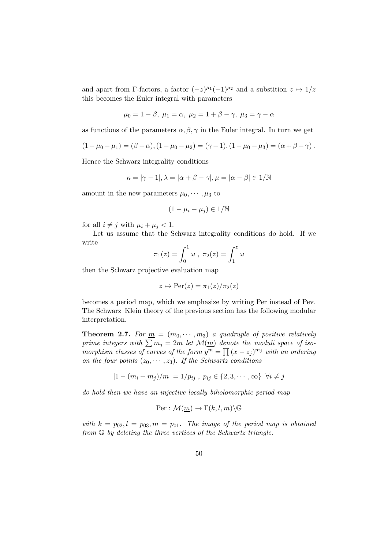and apart from Γ-factors, a factor  $(-z)^{\mu_1}(-1)^{\mu_2}$  and a substition  $z \mapsto 1/z$ this becomes the Euler integral with parameters

$$
\mu_0 = 1 - \beta, \ \mu_1 = \alpha, \ \mu_2 = 1 + \beta - \gamma, \ \mu_3 = \gamma - \alpha
$$

as functions of the parameters  $\alpha, \beta, \gamma$  in the Euler integral. In turn we get

$$
(1 - \mu_0 - \mu_1) = (\beta - \alpha), (1 - \mu_0 - \mu_2) = (\gamma - 1), (1 - \mu_0 - \mu_3) = (\alpha + \beta - \gamma).
$$

Hence the Schwarz integrality conditions

$$
\kappa = |\gamma - 1|, \lambda = |\alpha + \beta - \gamma|, \mu = |\alpha - \beta| \in 1/N
$$

amount in the new parameters  $\mu_0, \cdots, \mu_3$  to

$$
(1 - \mu_i - \mu_j) \in 1/\mathbb{N}
$$

for all  $i \neq j$  with  $\mu_i + \mu_j < 1$ .

Let us assume that the Schwarz integrality conditions do hold. If we write

$$
\pi_1(z) = \int_0^1 \omega , \ \pi_2(z) = \int_1^z \omega
$$

then the Schwarz projective evaluation map

$$
z \mapsto \mathrm{Per}(z) = \pi_1(z)/\pi_2(z)
$$

becomes a period map, which we emphasize by writing Per instead of Pev. The Schwarz–Klein theory of the previous section has the following modular interpretation.

**Theorem 2.7.** For  $\underline{m} = (m_0, \dots, m_3)$  a quadruple of positive relatively prime integers with  $\sum m_j = 2m$  let  $\mathcal{M}(\underline{m})$  denote the moduli space of isomorphism classes of curves of the form  $y^m = \prod (x - z_j)^{m_j}$  with an ordering on the four points  $(z_0, \dots, z_3)$ . If the Schwartz conditions

$$
|1 - (m_i + m_j)/m| = 1/p_{ij}, p_{ij} \in \{2, 3, \cdots, \infty\} \ \forall i \neq j
$$

do hold then we have an injective locally biholomorphic period map

$$
\text{Per}: \mathcal{M}(\underline{m}) \to \Gamma(k,l,m) \backslash \mathbb{G}
$$

with  $k = p_{02}, l = p_{03}, m = p_{01}$ . The image of the period map is obtained from G by deleting the three vertices of the Schwartz triangle.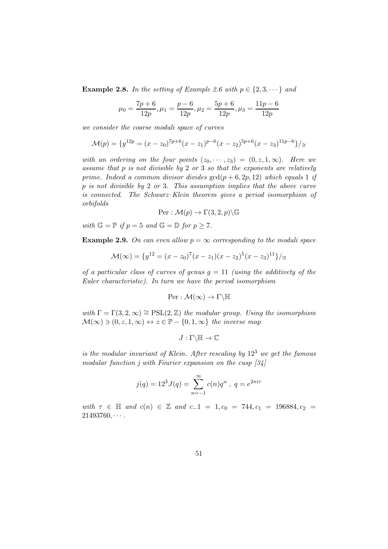**Example 2.8.** In the setting of Example 2.6 with  $p \in \{2, 3, \dots\}$  and

$$
\mu_0 = \frac{7p+6}{12p}, \mu_1 = \frac{p-6}{12p}, \mu_2 = \frac{5p+6}{12p}, \mu_3 = \frac{11p-6}{12p}
$$

we consider the coarse moduli space of curves

$$
\mathcal{M}(p) = \{y^{12p} = (x - z_0)^{7p+6}(x - z_1)^{p-6}(x - z_2)^{5p+6}(x - z_3)^{11p-6}\} / \approx
$$

with an ordering on the four points  $(z_0, \dots, z_3) = (0, z, 1, \infty)$ . Here we assume that p is not divisible by 2 or 3 so that the exponents are relatively prime. Indeed a common divisor divides  $gcd(p+6, 2p, 12)$  which equals 1 if p is not divisible by 2 or 3. This assumption implies that the above curve is connected. The Schwarz–Klein theorem gives a period isomorphism of orbifolds

$$
\mathrm{Per}:\mathcal{M}(p)\to \Gamma(3,2,p)\backslash\mathbb{G}
$$

with  $\mathbb{G} = \mathbb{P}$  if  $p = 5$  and  $\mathbb{G} = \mathbb{D}$  for  $p \ge 7$ .

**Example 2.9.** On can even allow  $p = \infty$  corresponding to the moduli space

$$
\mathcal{M}(\infty) = \{y^{12} = (x - z_0)^7 (x - z_1)(x - z_2)^5 (x - z_3)^{11}\} / \approx
$$

of a particular class of curves of genus  $q = 11$  (using the additivety of the Euler characteristic). In turn we have the period isomorphism

$$
\mathrm{Per}:\mathcal{M}(\infty)\to\Gamma\backslash\mathbb{H}
$$

with  $\Gamma = \Gamma(3, 2, \infty) \cong \text{PSL}(2, \mathbb{Z})$  the modular group. Using the isomorphism  $\mathcal{M}(\infty) \ni (0, z, 1, \infty) \leftrightarrow z \in \mathbb{P} - \{0, 1, \infty\}$  the inverse map

$$
J:\Gamma\backslash\mathbb{H}\to\mathbb{C}
$$

is the modular invariant of Klein. After rescaling by  $12<sup>3</sup>$  we get the famous modular function j with Fourier expansion on the cusp  $[34]$ 

$$
j(q) = 12^3 J(q) = \sum_{n=-1}^{\infty} c(n)q^n
$$
,  $q = e^{2\pi i \tau}$ 

with  $\tau \in \mathbb{H}$  and  $c(n) \in \mathbb{Z}$  and  $c_1 = 1, c_0 = 744, c_1 = 196884, c_2 =$  $21493760, \cdots$ .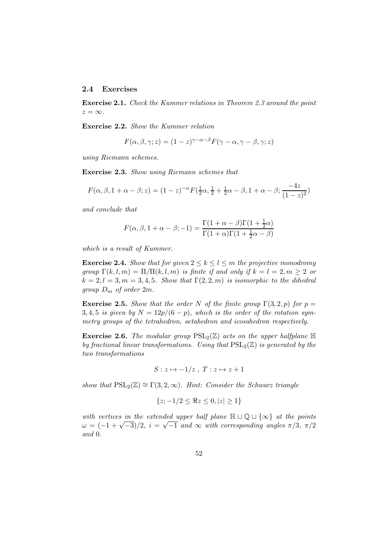### 2.4 Exercises

Exercise 2.1. Check the Kummer relations in Theorem 2.3 around the point  $z = \infty$ .

Exercise 2.2. Show the Kummer relation

$$
F(\alpha, \beta, \gamma; z) = (1 - z)^{\gamma - \alpha - \beta} F(\gamma - \alpha, \gamma - \beta, \gamma; z)
$$

using Riemann schemes.

Exercise 2.3. Show using Riemann schemes that

$$
F(\alpha, \beta, 1 + \alpha - \beta; z) = (1 - z)^{-\alpha} F(\frac{1}{2}\alpha, \frac{1}{2} + \frac{1}{2}\alpha - \beta, 1 + \alpha - \beta; \frac{-4z}{(1 - z)^2})
$$

and conclude that

$$
F(\alpha, \beta, 1 + \alpha - \beta; -1) = \frac{\Gamma(1 + \alpha - \beta)\Gamma(1 + \frac{1}{2}\alpha)}{\Gamma(1 + \alpha)\Gamma(1 + \frac{1}{2}\alpha - \beta)}
$$

which is a result of Kummer.

**Exercise 2.4.** Show that for given  $2 \leq k \leq l \leq m$  the projective monodromy group  $\Gamma(k, l, m) = \Pi/\Pi(k, l, m)$  is finite if and only if  $k = l = 2, m \geq 2$  or  $k = 2, l = 3, m = 3, 4, 5$ . Show that  $\Gamma(2, 2, m)$  is isomorphic to the dihedral group  $D_m$  of order  $2m$ .

**Exercise 2.5.** Show that the order N of the finite group  $\Gamma(3, 2, p)$  for  $p =$ 3, 4, 5 is given by  $N = 12p/(6 - p)$ , which is the order of the rotation symmetry groups of the tetrahedron, octahedron and icosahedron respectively.

**Exercise 2.6.** The modular group  $PSL_2(\mathbb{Z})$  acts on the upper halfplane  $\mathbb{H}$ by fractional linear transformations. Using that  $PSL_2(\mathbb{Z})$  is generated by the two transformations

$$
S: z \mapsto -1/z \ , \ T: z \mapsto z+1
$$

show that  $PSL_2(\mathbb{Z}) \cong \Gamma(3, 2, \infty)$ . Hint: Consider the Schwarz triangle

$$
\{z; -1/2 \leq \Re z \leq 0, |z| \geq 1\}
$$

with vertices in the extended upper half plane  $\mathbb{H} \sqcup \mathbb{Q} \sqcup {\infty}$  at the points  $\omega = (-1 + \sqrt{-3})/2$ ,  $i = \sqrt{-1}$  and  $\infty$  with corresponding angles  $\pi/3$ ,  $\pi/2$ and 0.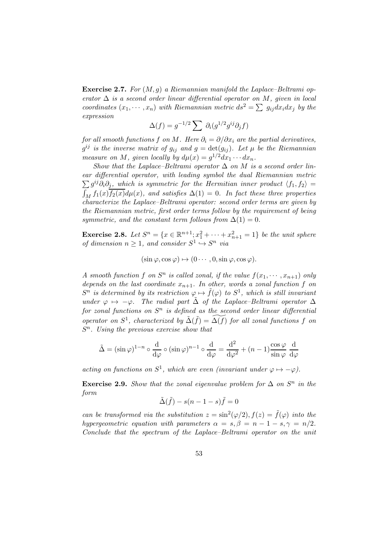**Exercise 2.7.** For  $(M, q)$  a Riemannian manifold the Laplace–Beltrami operator  $\Delta$  is a second order linear differential operator on M, given in local coordinates  $(x_1, \dots, x_n)$  with Riemannian metric  $ds^2 = \sum g_{ij} dx_i dx_j$  by the expression

$$
\Delta(f) = g^{-1/2} \sum \partial_i (g^{1/2} g^{ij} \partial_j f)
$$

for all smooth functions f on M. Here  $\partial_i = \partial/\partial x_i$  are the partial derivatives,  $g^{ij}$  is the inverse matrix of  $g_{ij}$  and  $g = \det(g_{ij})$ . Let  $\mu$  be the Riemannian measure on M, given locally by  $d\mu(x) = g^{1/2} dx_1 \cdots dx_n$ .

Show that the Laplace–Beltrami operator  $\Delta$  on M is a second order linear differential operator, with leading symbol the dual Riem annian metric  $\sum g^{ij}\partial_i\partial_j$ , which is symmetric for the Hermitian inner product  $\langle f_1, f_2 \rangle =$ <br> $\int_{\Sigma} f_1(x) f_2(x) d\mu(x)$ , and satisfies  $\Delta(1) = 0$ . In fact these three properties  $\int_M f_1(x) \overline{f_2(x)} d\mu(x)$ , and satisfies  $\Delta(1) = 0$ . In fact these three properties characterize the Laplace–Beltrami operator: second order terms are given by the Riemannian metric, first order terms follow by the requirement of being symmetric, and the constant term follows from  $\Delta(1) = 0$ .

**Exercise 2.8.** Let  $S^n = \{x \in \mathbb{R}^{n+1}; x_1^2 + \cdots + x_{n+1}^2 = 1\}$  be the unit sphere of dimension  $n \geq 1$ , and consider  $S^1 \hookrightarrow S^n$  via

$$
(\sin \varphi, \cos \varphi) \mapsto (0 \cdots, 0, \sin \varphi, \cos \varphi).
$$

A smooth function f on  $S<sup>n</sup>$  is called zonal, if the value  $f(x_1, \dots, x_{n+1})$  only depends on the last coordinate  $x_{n+1}$ . In other, words a zonal function f on  $S^n$  is determined by its restriction  $\varphi \mapsto \tilde{f}(\varphi)$  to  $S^1$ , which is still invariant under  $\varphi \mapsto -\varphi$ . The radial part  $\tilde{\Delta}$  of the Laplace–Beltrami operator  $\Delta$ for zonal functions on  $S<sup>n</sup>$  is defined as the second order linear differential operator on  $S^1$ , characterized by  $\tilde{\Delta}(\tilde{f}) = \widetilde{\Delta(f)}$  for all zonal functions f on  $S<sup>n</sup>$ . Using the previous exercise show that

$$
\tilde{\Delta} = (\sin \varphi)^{1-n} \circ \frac{d}{d\varphi} \circ (\sin \varphi)^{n-1} \circ \frac{d}{d\varphi} = \frac{d^2}{d\varphi^2} + (n-1) \frac{\cos \varphi}{\sin \varphi} \frac{d}{d\varphi}
$$

acting on functions on  $S^1$ , which are even (invariant under  $\varphi \mapsto -\varphi$ ).

**Exercise 2.9.** Show that the zonal eigenvalue problem for  $\Delta$  on  $S<sup>n</sup>$  in the form

$$
\tilde{\Delta}(\tilde{f}) - s(n-1-s)\tilde{f} = 0
$$

can be transformed via the substitution  $z = \sin^2(\varphi/2)$ ,  $f(z) = \tilde{f}(\varphi)$  into the hypergeometric equation with parameters  $\alpha = s, \beta = n - 1 - s, \gamma = n/2$ . Conclude that the spectrum of the Laplace–Beltrami operator on the unit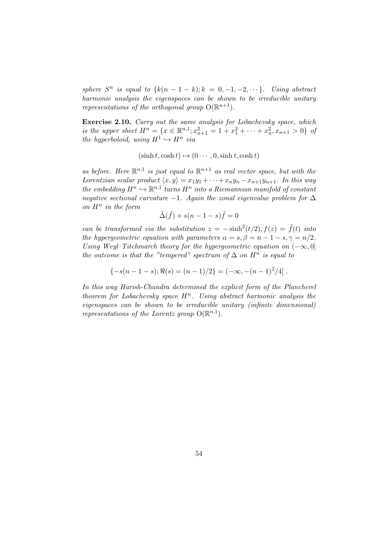sphere  $S^n$  is equal to  $\{k(n-1-k); k = 0, -1, -2, \dots\}$ . Using abstract harmonic analysis the eigenspaces can be shown to be irreducible unitary representations of the orthogonal group  $O(\mathbb{R}^{n+1})$ .

Exercise 2.10. Carry out the same analysis for Lobachevsky space, which is the upper sheet  $H^n = \{x \in \mathbb{R}^{n,1}; x_{n+1}^2 = 1 + x_1^2 + \cdots + x_n^2, x_{n+1} > 0\}$  of the hyperboloid, using  $H^1 \hookrightarrow H^n$  via

 $(\sinh t, \cosh t) \mapsto (0 \cdots, 0, \sinh t, \cosh t)$ 

as before. Here  $\mathbb{R}^{n,1}$  is just equal to  $\mathbb{R}^{n+1}$  as real vector space, but with the Lorentzian scalar product  $\langle x, y \rangle = x_1y_1 + \cdots + x_ny_n - x_{n+1}y_{n+1}$ . In this way the embedding  $H^n \hookrightarrow \mathbb{R}^{n,1}$  turns  $H^n$  into a Riemannian manifold of constant negative sectional curvature  $-1$ . Again the zonal eigenvalue problem for  $\Delta$ on  $H^n$  in the form

$$
\tilde{\Delta}(\tilde{f}) + s(n-1-s)\tilde{f} = 0
$$

can be transformed via the substitution  $z = -\sinh^2(t/2)$ ,  $f(z) = \tilde{f}(t)$  into the hypergeometric equation with parameters  $\alpha = s, \beta = n - 1 - s, \gamma = n/2$ . Using Weyl–Titchmarch theory for the hypergeometric equation on  $(-\infty, 0]$ the outcome is that the "tempered" spectrum of  $\Delta$  on  $H^n$  is equal to

{ $-s(n-1-s);$   $\Re(s) = (n-1)/2$ } =  $(-\infty, -(n-1)^2/4]$ .

In this way Harish-Chandra determined the explicit form of the Plancherel theorem for Lobachevsky space  $H^n$ . Using abstract harmonic analysis the eigenspaces can be shown to be irreducible unitary (infinite dimensional) representations of the Lorentz group  $O(\mathbb{R}^{n,1})$ .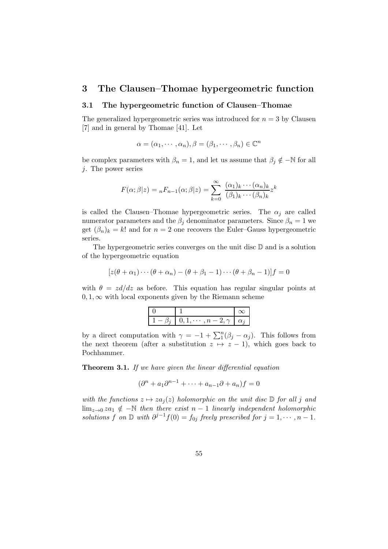# 3 The Clausen–Thomae hypergeometric function

#### 3.1 The hypergeometric function of Clausen–Thomae

The generalized hypergeometric series was introduced for  $n = 3$  by Clausen [7] and in general by Thomae [41]. Let

$$
\alpha = (\alpha_1, \cdots, \alpha_n), \beta = (\beta_1, \cdots, \beta_n) \in \mathbb{C}^n
$$

be complex parameters with  $\beta_n = 1$ , and let us assume that  $\beta_j \notin -\mathbb{N}$  for all j. The power series

$$
F(\alpha; \beta|z) = {}_{n}F_{n-1}(\alpha; \beta|z) = \sum_{k=0}^{\infty} \frac{(\alpha_{1})_{k} \cdots (\alpha_{n})_{k}}{(\beta_{1})_{k} \cdots (\beta_{n})_{k}} z^{k}
$$

is called the Clausen–Thomae hypergeometric series. The  $\alpha_j$  are called numerator parameters and the  $\beta_j$  denominator parameters. Since  $\beta_n = 1$  we get  $(\beta_n)_k = k!$  and for  $n = 2$  one recovers the Euler–Gauss hypergeometric series.

The hypergeometric series converges on the unit disc  $\mathbb D$  and is a solution of the hypergeometric equation

$$
[z(\theta + \alpha_1)\cdots(\theta + \alpha_n) - (\theta + \beta_1 - 1)\cdots(\theta + \beta_n - 1)]f = 0
$$

with  $\theta = zd/dz$  as before. This equation has regular singular points at  $0, 1, \infty$  with local exponents given by the Riemann scheme

| $\Box$ $\Box$ $\Box$<br>$-2.0$ | $\alpha$ |
|--------------------------------|----------|

by a direct computation with  $\gamma = -1 + \sum_{i=1}^{n} (\beta_i - \alpha_i)$ . This follows from the next theorem (after a substitution  $z \mapsto z - 1$ ), which goes back to Pochhammer.

Theorem 3.1. If we have given the linear differential equation

$$
(\partial^n + a_1 \partial^{n-1} + \dots + a_{n-1} \partial + a_n) f = 0
$$

with the functions  $z \mapsto za_i(z)$  holomorphic on the unit disc  $\mathbb D$  for all j and  $\lim_{z\to 0} za_1 \notin -\mathbb{N}$  then there exist  $n-1$  linearly independent holomorphic solutions f on  $\mathbb D$  with  $\partial^{j-1} f(0) = f_{0j}$  freely prescribed for  $j = 1, \dots, n - 1$ .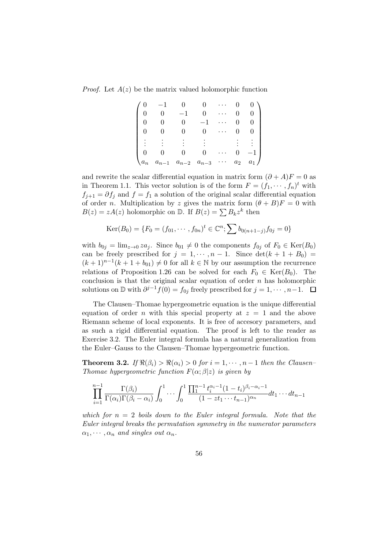*Proof.* Let  $A(z)$  be the matrix valued holomorphic function

|       |           |                     | $\begin{matrix} 0 \end{matrix}$ | $\ddot{\phantom{0}}$ |       |         |
|-------|-----------|---------------------|---------------------------------|----------------------|-------|---------|
|       |           | $-1$                | $\overline{0}$                  |                      |       |         |
|       |           | 0                   | $-1$                            | . .                  |       |         |
|       |           |                     | $0^-$                           | $\ddotsc$            |       |         |
|       |           |                     |                                 |                      |       |         |
|       |           |                     | $\mathbf{0}$                    | $\ddot{\phantom{0}}$ |       |         |
| $a_n$ | $a_{n-1}$ | $a_{n-2}$ $a_{n-3}$ |                                 | $\cdot$ .            | $a_2$ | $a_1$ / |

and rewrite the scalar differential equation in matrix form  $(\partial + A)F = 0$  as in Theorem 1.1. This vector solution is of the form  $F = (f_1, \dots, f_n)^t$  with  $f_{j+1} = \partial f_j$  and  $f = f_1$  a solution of the original scalar differential equation of order n. Multiplication by z gives the matrix form  $(\theta + B)F = 0$  with  $B(z) = zA(z)$  holomorphic on  $\mathbb{D}$ . If  $B(z) = \sum B_k z^k$  then

$$
Ker(B_0) = \{F_0 = (f_{01}, \cdots, f_{0n})^t \in \mathbb{C}^n; \sum b_{0(n+1-j)} f_{0j} = 0\}
$$

with  $b_{0j} = \lim_{z\to 0} za_j$ . Since  $b_{01} \neq 0$  the components  $f_{0j}$  of  $F_0 \in \text{Ker}(B_0)$ can be freely prescribed for  $j = 1, \dots, n - 1$ . Since  $\det(k + 1 + B_0) =$  $(k+1)^{n-1}(k+1+b_{01}) \neq 0$  for all  $k \in \mathbb{N}$  by our assumption the recurrence relations of Proposition 1.26 can be solved for each  $F_0 \in \text{Ker}(B_0)$ . The conclusion is that the original scalar equation of order  $n$  has holomorphic solutions on  $\mathbb{D}$  with  $\partial^{j-1} f(0) = f_{0j}$  freely prescribed for  $j = 1, \dots, n-1$ .

The Clausen–Thomae hypergeometric equation is the unique differential equation of order *n* with this special property at  $z = 1$  and the above Riemann scheme of local exponents. It is free of accesory parameters, and as such a rigid differential equation. The proof is left to the reader as Exercise 3.2. The Euler integral formula has a natural generalization from the Euler–Gauss to the Clausen–Thomae hypergeometric function.

**Theorem 3.2.** If  $\Re(\beta_i) > \Re(\alpha_i) > 0$  for  $i = 1, \dots, n-1$  then the Clausen-Thomae hypergeometric function  $F(\alpha;\beta|z)$  is given by

$$
\prod_{i=1}^{n-1} \frac{\Gamma(\beta_i)}{\Gamma(\alpha_i)\Gamma(\beta_i - \alpha_i)} \int_0^1 \cdots \int_0^1 \frac{\prod_1^{n-1} t_i^{\alpha_i-1} (1-t_i)^{\beta_i-\alpha_i-1}}{(1-zt_1\cdots t_{n-1})^{\alpha_n}} dt_1\cdots dt_{n-1}
$$

which for  $n = 2$  boils down to the Euler integral formula. Note that the Euler integral breaks the permutation symmetry in the numerator parameters  $\alpha_1, \cdots, \alpha_n$  and singles out  $\alpha_n$ .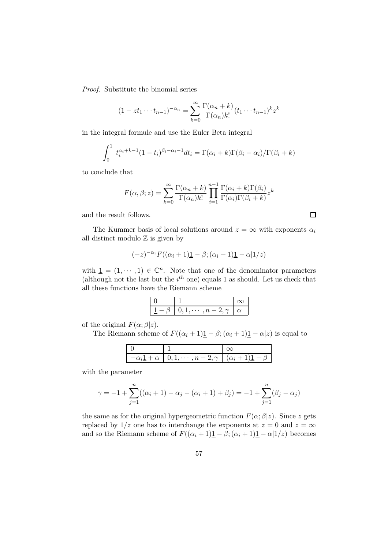Proof. Substitute the binomial series

$$
(1 - zt_1 \cdots t_{n-1})^{-\alpha_n} = \sum_{k=0}^{\infty} \frac{\Gamma(\alpha_n + k)}{\Gamma(\alpha_n)k!} (t_1 \cdots t_{n-1})^k z^k
$$

in the integral formule and use the Euler Beta integral

$$
\int_0^1 t_i^{\alpha_i+k-1} (1-t_i)^{\beta_i-\alpha_i-1} dt_i = \Gamma(\alpha_i+k) \Gamma(\beta_i-\alpha_i) / \Gamma(\beta_i+k)
$$

to conclude that

$$
F(\alpha, \beta; z) = \sum_{k=0}^{\infty} \frac{\Gamma(\alpha_n + k)}{\Gamma(\alpha_n)k!} \prod_{i=1}^{n-1} \frac{\Gamma(\alpha_i + k)\Gamma(\beta_i)}{\Gamma(\alpha_i)\Gamma(\beta_i + k)} z^k
$$

and the result follows.

The Kummer basis of local solutions around  $z = \infty$  with exponents  $\alpha_i$ all distinct modulo  $Z$  is given by

$$
(-z)^{-\alpha_i} F((\alpha_i+1)\underline{1}-\beta;(\alpha_i+1)\underline{1}-\alpha|1/z)
$$

with  $\underline{1} = (1, \dots, 1) \in \mathbb{C}^n$ . Note that one of the denominator parameters (although not the last but the  $i^{th}$  one) equals 1 as should. Let us check that all these functions have the Riemann scheme

| $\beta$   0,1, $\cdots$ , $n-2$ | $\alpha$ |
|---------------------------------|----------|

of the original  $F(\alpha;\beta|z)$ .

The Riemann scheme of  $F((\alpha_i + 1) \underline{1} - \beta; (\alpha_i + 1) \underline{1} - \alpha | z)$  is equal to

| $-\alpha_i \underline{1} + \alpha \mid 0, 1, \cdots, n-2, \gamma \mid (\alpha_i + 1) \underline{1} - \beta$ |  |
|-------------------------------------------------------------------------------------------------------------|--|
|                                                                                                             |  |

with the parameter

$$
\gamma = -1 + \sum_{j=1}^{n} ((\alpha_i + 1) - \alpha_j - (\alpha_i + 1) + \beta_j) = -1 + \sum_{j=1}^{n} (\beta_j - \alpha_j)
$$

the same as for the original hypergeometric function  $F(\alpha; \beta|z)$ . Since z gets replaced by  $1/z$  one has to interchange the exponents at  $z = 0$  and  $z = \infty$ and so the Riemann scheme of  $F((\alpha_i + 1)\underline{1} - \beta; (\alpha_i + 1)\underline{1} - \alpha|1/z)$  becomes

 $\Box$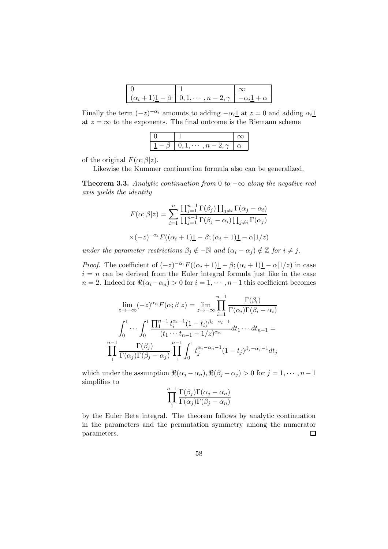| $ 1-\beta $   0, 1, $\cdots$ , $n-2$ , $\gamma$ | $-\alpha_i$ 1 $+$ |
|-------------------------------------------------|-------------------|

Finally the term  $(-z)^{-\alpha_i}$  amounts to adding  $-\alpha_i \underline{1}$  at  $z = 0$  and adding  $\alpha_i \underline{1}$ at  $z = \infty$  to the exponents. The final outcome is the Riemann scheme

| $- \beta \mid 0, 1, \cdots, n-2, \gamma \mid \alpha$ |  |
|------------------------------------------------------|--|
|                                                      |  |

of the original  $F(\alpha;\beta|z)$ .

Likewise the Kummer continuation formula also can be generalized.

**Theorem 3.3.** Analytic continuation from 0 to  $-\infty$  along the negative real axis yields the identity

$$
F(\alpha; \beta|z) = \sum_{i=1}^{n} \frac{\prod_{j=1}^{n-1} \Gamma(\beta_j) \prod_{j \neq i} \Gamma(\alpha_j - \alpha_i)}{\prod_{j=1}^{n-1} \Gamma(\beta_j - \alpha_i) \prod_{j \neq i} \Gamma(\alpha_j)}
$$

$$
\times (-z)^{-\alpha_i} F((\alpha_i + 1)\underline{1} - \beta; (\alpha_i + 1)\underline{1} - \alpha|1/z)
$$

under the parameter restrictions  $\beta_j \notin -\mathbb{N}$  and  $(\alpha_i - \alpha_j) \notin \mathbb{Z}$  for  $i \neq j$ .

*Proof.* The coefficient of  $(-z)^{-\alpha_i} F((\alpha_i + 1) \underline{1} - \beta; (\alpha_i + 1) \underline{1} - \alpha |1/z)$  in case  $i = n$  can be derived from the Euler integral formula just like in the case  $n = 2$ . Indeed for  $\Re(\alpha_i - \alpha_n) > 0$  for  $i = 1, \dots, n-1$  this coefficient becomes

$$
\lim_{z \to -\infty} (-z)^{\alpha_n} F(\alpha; \beta | z) = \lim_{z \to -\infty} \prod_{i=1}^{n-1} \frac{\Gamma(\beta_i)}{\Gamma(\alpha_i) \Gamma(\beta_i - \alpha_i)}
$$

$$
\int_0^1 \cdots \int_0^1 \frac{\prod_1^{n-1} t_i^{\alpha_i - 1} (1 - t_i)^{\beta_i - \alpha_i - 1}}{(t_1 \cdots t_{n-1} - 1/z)^{\alpha_n}} dt_1 \cdots dt_{n-1} =
$$

$$
\prod_{1}^{n-1} \frac{\Gamma(\beta_j)}{\Gamma(\alpha_j) \Gamma(\beta_j - \alpha_j)} \prod_{1}^{n-1} \int_0^1 t_j^{\alpha_j - \alpha_n - 1} (1 - t_j)^{\beta_j - \alpha_j - 1} dt_j
$$

which under the assumption  $\Re(\alpha_j - \alpha_n), \Re(\beta_j - \alpha_j) > 0$  for  $j = 1, \dots, n - 1$ simplifies to

$$
\prod_{1}^{n-1} \frac{\Gamma(\beta_j)\Gamma(\alpha_j - \alpha_n)}{\Gamma(\alpha_j)\Gamma(\beta_j - \alpha_n)}
$$

by the Euler Beta integral. The theorem follows by analytic continuation in the parameters and the permutation symmetry among the numerator parameters.  $\Box$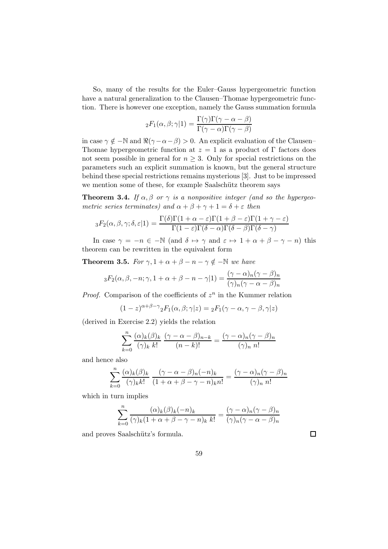So, many of the results for the Euler–Gauss hypergeometric function have a natural generalization to the Clausen–Thomae hypergeometric function. There is however one exception, namely the Gauss summation formula

$$
{}_2F_1(\alpha,\beta;\gamma|1) = \frac{\Gamma(\gamma)\Gamma(\gamma-\alpha-\beta)}{\Gamma(\gamma-\alpha)\Gamma(\gamma-\beta)}
$$

in case  $\gamma \notin -\mathbb{N}$  and  $\Re(\gamma - \alpha - \beta) > 0$ . An explicit evaluation of the Clausen– Thomae hypergeometric function at  $z = 1$  as a product of Γ factors does not seem possible in general for  $n \geq 3$ . Only for special restrictions on the parameters such an explicit summation is known, but the general structure behind these special restrictions remains mysterious [3]. Just to be impressed we mention some of these, for example Saalschütz theorem says

**Theorem 3.4.** If  $\alpha, \beta$  or  $\gamma$  is a nonpositive integer (and so the hypergeometric series terminates) and  $\alpha + \beta + \gamma + 1 = \delta + \varepsilon$  then

$$
{}_{3}F_{2}(\alpha,\beta,\gamma;\delta,\varepsilon|1) = \frac{\Gamma(\delta)\Gamma(1+\alpha-\varepsilon)\Gamma(1+\beta-\varepsilon)\Gamma(1+\gamma-\varepsilon)}{\Gamma(1-\varepsilon)\Gamma(\delta-\alpha)\Gamma(\delta-\beta)\Gamma(\delta-\gamma)}
$$

In case  $\gamma = -n \in \mathbb{N}$  (and  $\delta \mapsto \gamma$  and  $\varepsilon \mapsto 1 + \alpha + \beta - \gamma - n$ ) this theorem can be rewritten in the equivalent form

**Theorem 3.5.** For  $\gamma$ ,  $1 + \alpha + \beta - n - \gamma \notin -\mathbb{N}$  we have

$$
{}_{3}F_{2}(\alpha,\beta,-n;\gamma,1+\alpha+\beta-n-\gamma|1) = \frac{(\gamma-\alpha)_{n}(\gamma-\beta)_{n}}{(\gamma)_{n}(\gamma-\alpha-\beta)_{n}}
$$

*Proof.* Comparison of the coefficients of  $z^n$  in the Kummer relation

$$
(1-z)^{\alpha+\beta-\gamma} {}_2F_1(\alpha,\beta;\gamma|z) = {}_2F_1(\gamma-\alpha,\gamma-\beta,\gamma|z)
$$

(derived in Exercise 2.2) yields the relation

$$
\sum_{k=0}^{n} \frac{(\alpha)_k (\beta)_k}{(\gamma)_k k!} \frac{(\gamma - \alpha - \beta)_{n-k}}{(n-k)!} = \frac{(\gamma - \alpha)_n (\gamma - \beta)_n}{(\gamma)_n n!}
$$

and hence also

$$
\sum_{k=0}^{n} \frac{(\alpha)_k (\beta)_k}{(\gamma)_k k!} \frac{(\gamma - \alpha - \beta)_n (-n)_k}{(1 + \alpha + \beta - \gamma - n)_k n!} = \frac{(\gamma - \alpha)_n (\gamma - \beta)_n}{(\gamma)_n n!}
$$

which in turn implies

$$
\sum_{k=0}^{n} \frac{(\alpha)_k (\beta)_k (-n)_k}{(\gamma)_k (1 + \alpha + \beta - \gamma - n)_k k!} = \frac{(\gamma - \alpha)_n (\gamma - \beta)_n}{(\gamma)_n (\gamma - \alpha - \beta)_n}
$$

and proves Saalschütz's formula.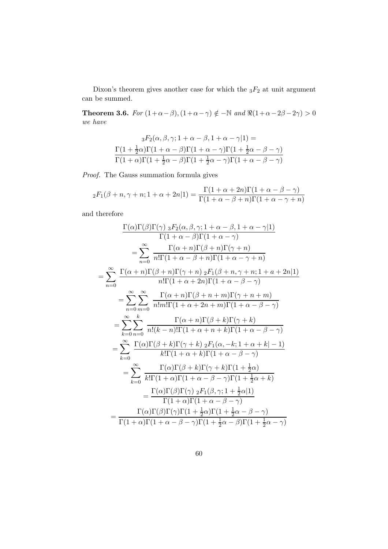Dixon's theorem gives another case for which the  ${}_3F_2$  at unit argument can be summed.

**Theorem 3.6.** For  $(1+\alpha-\beta), (1+\alpha-\gamma) \notin -\mathbb{N}$  and  $\Re(1+\alpha-2\beta-2\gamma) > 0$ we have

$$
{}_{3}F_{2}(\alpha,\beta,\gamma;1+\alpha-\beta,1+\alpha-\gamma|1) =
$$

$$
\frac{\Gamma(1+\frac{1}{2}\alpha)\Gamma(1+\alpha-\beta)\Gamma(1+\alpha-\gamma)\Gamma(1+\frac{1}{2}\alpha-\beta-\gamma)}{\Gamma(1+\alpha)\Gamma(1+\frac{1}{2}\alpha-\beta)\Gamma(1+\frac{1}{2}\alpha-\gamma)\Gamma(1+\alpha-\beta-\gamma)}
$$

Proof. The Gauss summation formula gives

$$
{}_{2}F_{1}(\beta+n,\gamma+n;1+\alpha+2n|1) = \frac{\Gamma(1+\alpha+2n)\Gamma(1+\alpha-\beta-\gamma)}{\Gamma(1+\alpha-\beta+n)\Gamma(1+\alpha-\gamma+n)}
$$

and therefore

$$
\frac{\Gamma(\alpha)\Gamma(\beta)\Gamma(\gamma) \, {}_{3}F_{2}(\alpha,\beta,\gamma;1+\alpha-\beta,1+\alpha-\gamma|1)}{\Gamma(1+\alpha-\beta)\Gamma(1+\alpha-\gamma)}
$$
\n
$$
=\sum_{n=0}^{\infty} \frac{\Gamma(\alpha+n)\Gamma(\beta+n)\Gamma(\gamma+n)}{n!\Gamma(1+\alpha-\beta+n)\Gamma(1+\alpha-\gamma+n)}
$$
\n
$$
=\sum_{n=0}^{\infty} \frac{\Gamma(\alpha+n)\Gamma(\beta+n)\Gamma(\gamma+n) \, {}_{2}F_{1}(\beta+n,\gamma+n;1+a+2n|1)}{n!\Gamma(1+\alpha+2n)\Gamma(1+\alpha-\beta-\gamma)}
$$
\n
$$
=\sum_{n=0}^{\infty} \sum_{m=0}^{\infty} \frac{\Gamma(\alpha+n)\Gamma(\beta+n+m)\Gamma(\gamma+n+m)}{n!m!\Gamma(1+\alpha+2n+m)\Gamma(1+\alpha-\beta-\gamma)}
$$
\n
$$
=\sum_{k=0}^{\infty} \sum_{n=0}^{k} \frac{\Gamma(\alpha+n)\Gamma(\beta+k)\Gamma(\gamma+k)}{n!(k-n)!\Gamma(1+\alpha+n+k)\Gamma(1+\alpha-\beta-\gamma)}
$$
\n
$$
=\sum_{k=0}^{\infty} \frac{\Gamma(\alpha)\Gamma(\beta+k)\Gamma(\gamma+k) \, {}_{2}F_{1}(\alpha,-k;1+\alpha+k|-1)}{k!\Gamma(1+\alpha+k)\Gamma(1+\alpha-\beta-\gamma)}
$$
\n
$$
=\sum_{k=0}^{\infty} \frac{\Gamma(\alpha)\Gamma(\beta+k)\Gamma(\gamma+k)\Gamma(1+\frac{1}{2}\alpha)}{k!\Gamma(1+\alpha)\Gamma(1+\alpha-\beta-\gamma)\Gamma(1+\frac{1}{2}\alpha+k)}
$$
\n
$$
=\frac{\Gamma(\alpha)\Gamma(\beta)\Gamma(\gamma) \, {}_{2}F_{1}(\beta,\gamma;1+\frac{1}{2}\alpha|1)}{\Gamma(1+\alpha)\Gamma(1+\alpha-\beta-\gamma)}
$$
\n
$$
=\frac{\Gamma(\alpha)\Gamma(\beta)\Gamma(\gamma)\Gamma(1+\frac{1}{2}\alpha-\beta-\gamma)}{\Gamma(1+\alpha)\Gamma(1+\alpha-\beta-\gamma)\Gamma(1+\frac{1}{2}\alpha-\beta-\gamma)}
$$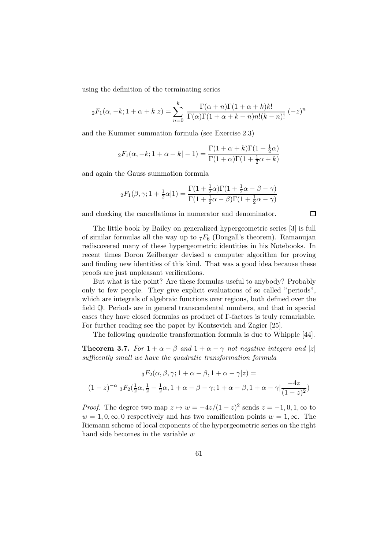using the definition of the terminating series

$$
{}_2F_1(\alpha, -k; 1+\alpha+k|z) = \sum_{n=0}^k \frac{\Gamma(\alpha+n)\Gamma(1+\alpha+k)k!}{\Gamma(\alpha)\Gamma(1+\alpha+k+n)n!(k-n)!} (-z)^n
$$

and the Kummer summation formula (see Exercise 2.3)

$$
{}_2F_1(\alpha, -k; 1+\alpha+k|-1) = \frac{\Gamma(1+\alpha+k)\Gamma(1+\frac{1}{2}\alpha)}{\Gamma(1+\alpha)\Gamma(1+\frac{1}{2}\alpha+k)}
$$

and again the Gauss summation formula

$$
{}_2F_1(\beta, \gamma; 1 + \frac{1}{2}\alpha|1) = \frac{\Gamma(1 + \frac{1}{2}\alpha)\Gamma(1 + \frac{1}{2}\alpha - \beta - \gamma)}{\Gamma(1 + \frac{1}{2}\alpha - \beta)\Gamma(1 + \frac{1}{2}\alpha - \gamma)}
$$

and checking the cancellations in numerator and denominator.

 $\Box$ 

The little book by Bailey on generalized hypergeometric series [3] is full of similar formulas all the way up to  $_7F_6$  (Dougall's theorem). Ramanujan rediscovered many of these hypergeometric identities in his Notebooks. In recent times Doron Zeilberger devised a computer algorithm for proving and finding new identities of this kind. That was a good idea because these proofs are just unpleasant verifications.

But what is the point? Are these formulas useful to anybody? Probably only to few people. They give explicit evaluations of so called "periods", which are integrals of algebraic functions over regions, both defined over the field Q. Periods are in general transcendental numbers, and that in special cases they have closed formulas as product of Γ-factors is truly remarkable. For further reading see the paper by Kontsevich and Zagier [25].

The following quadratic transformation formula is due to Whipple [44].

**Theorem 3.7.** For  $1 + \alpha - \beta$  and  $1 + \alpha - \gamma$  not negative integers and  $|z|$ sufficently small we have the quadratic transformation formula

$$
{}_{3}F_{2}(\alpha, \beta, \gamma; 1 + \alpha - \beta, 1 + \alpha - \gamma|z) =
$$
  

$$
(1 - z)^{-\alpha} {}_{3}F_{2}(\frac{1}{2}\alpha, \frac{1}{2} + \frac{1}{2}\alpha, 1 + \alpha - \beta - \gamma; 1 + \alpha - \beta, 1 + \alpha - \gamma|\frac{-4z}{(1 - z)^{2}})
$$

*Proof.* The degree two map  $z \mapsto w = -4z/(1-z)^2$  sends  $z = -1, 0, 1, \infty$  to  $w = 1, 0, \infty, 0$  respectively and has two ramification points  $w = 1, \infty$ . The Riemann scheme of local exponents of the hypergeometric series on the right hand side becomes in the variable w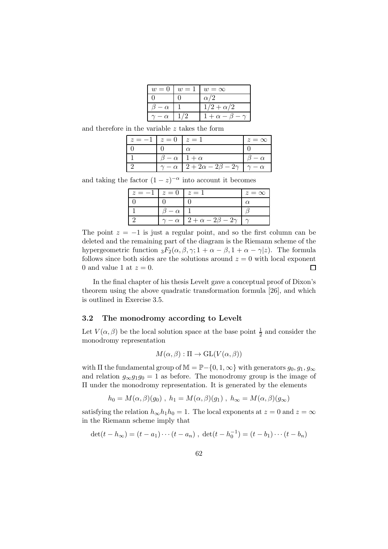| $w=0$     | $w=1$ | $w = \infty$     |
|-----------|-------|------------------|
|           |       | $\alpha/2$       |
| $-\alpha$ |       | $1/2 + \alpha/2$ |
| $\alpha$  |       | $1+\alpha$       |

and therefore in the variable  $z$  takes the form

| $z=-1$   $z=0$   $z=1$ |                                                             | $z=\infty$        |
|------------------------|-------------------------------------------------------------|-------------------|
|                        | $\alpha$                                                    |                   |
|                        | $-\alpha$   1 + $\alpha$                                    |                   |
|                        | $\gamma - \alpha$   2 + 2 $\alpha$ - 2 $\beta$ - 2 $\gamma$ | $\gamma - \alpha$ |

and taking the factor  $(1-z)^{-\alpha}$  into account it becomes

| $z=-1$ | $z = 0 \mid z = 1$ |                                                     | $z=\infty$ |
|--------|--------------------|-----------------------------------------------------|------------|
|        |                    |                                                     |            |
|        | $-\alpha$          |                                                     |            |
|        |                    | $\gamma - \alpha$   2 + $\alpha - 2\beta - 2\gamma$ |            |

The point  $z = -1$  is just a regular point, and so the first column can be deleted and the remaining part of the diagram is the Riemann scheme of the hypergeometric function  ${}_{3}F_2(\alpha,\beta,\gamma;1+\alpha-\beta,1+\alpha-\gamma|z)$ . The formula follows since both sides are the solutions around  $z = 0$  with local exponent 0 and value 1 at  $z = 0$ .  $\Box$ 

In the final chapter of his thesis Levelt gave a conceptual proof of Dixon's theorem using the above quadratic transformation formula [26], and which is outlined in Exercise 3.5.

## 3.2 The monodromy according to Levelt

Let  $V(\alpha, \beta)$  be the local solution space at the base point  $\frac{1}{2}$  and consider the monodromy representation

$$
M(\alpha, \beta) : \Pi \to GL(V(\alpha, \beta))
$$

with Π the fundamental group of  $\mathbb{M} = \mathbb{P} - \{0, 1, \infty\}$  with generators  $g_0, g_1, g_\infty$ and relation  $g_{\infty}g_1g_0 = 1$  as before. The monodromy group is the image of Π under the monodromy representation. It is generated by the elements

$$
h_0 = M(\alpha, \beta)(g_0), h_1 = M(\alpha, \beta)(g_1), h_\infty = M(\alpha, \beta)(g_\infty)
$$

satisfying the relation  $h_{\infty}h_1h_0 = 1$ . The local exponents at  $z = 0$  and  $z = \infty$ in the Riemann scheme imply that

$$
\det(t - h_{\infty}) = (t - a_1) \cdots (t - a_n), \ \det(t - h_0^{-1}) = (t - b_1) \cdots (t - b_n)
$$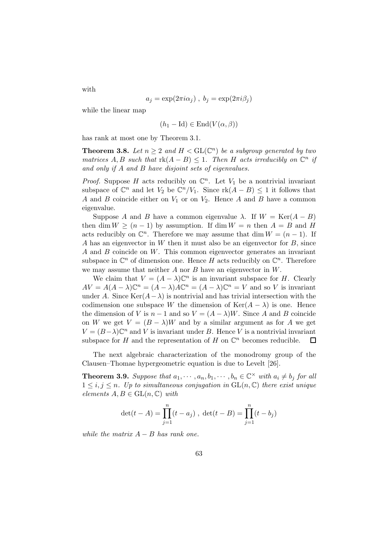$$
a_j = \exp(2\pi i \alpha_j) , b_j = \exp(2\pi i \beta_j)
$$

while the linear map

$$
(h_1 - \mathrm{Id}) \in \mathrm{End}(V(\alpha, \beta))
$$

has rank at most one by Theorem 3.1.

**Theorem 3.8.** Let  $n \geq 2$  and  $H < GL(\mathbb{C}^n)$  be a subgroup generated by two matrices  $A, B$  such that  $rk(A - B) \leq 1$ . Then H acts irreducibly on  $\mathbb{C}^n$  if and only if A and B have disjoint sets of eigenvalues.

*Proof.* Suppose H acts reducibly on  $\mathbb{C}^n$ . Let  $V_1$  be a nontrivial invariant subspace of  $\mathbb{C}^n$  and let  $V_2$  be  $\mathbb{C}^n/V_1$ . Since  $\text{rk}(A - B) \leq 1$  it follows that A and B coincide either on  $V_1$  or on  $V_2$ . Hence A and B have a common eigenvalue.

Suppose A and B have a common eigenvalue  $\lambda$ . If  $W = \text{Ker}(A - B)$ then dim  $W \ge (n-1)$  by assumption. If dim  $W = n$  then  $A = B$  and H acts reducibly on  $\mathbb{C}^n$ . Therefore we may assume that dim  $W = (n-1)$ . If A has an eigenvector in  $W$  then it must also be an eigenvector for  $B$ , since A and B coincide on W. This common eigenvector generates an invariant subspace in  $\mathbb{C}^n$  of dimension one. Hence H acts reducibly on  $\mathbb{C}^n$ . Therefore we may assume that neither A nor B have an eigenvector in W.

We claim that  $V = (A - \lambda)\mathbb{C}^n$  is an invariant subspace for H. Clearly  $AV = A(A - \lambda)\mathbb{C}^n = (A - \lambda)A\mathbb{C}^n = (A - \lambda)\mathbb{C}^n = V$  and so V is invariant under A. Since Ker( $A-\lambda$ ) is nontrivial and has trivial intersection with the codimension one subspace W the dimension of  $\text{Ker}(A - \lambda)$  is one. Hence the dimension of V is  $n-1$  and so  $V = (A - \lambda)W$ . Since A and B coincide on W we get  $V = (B - \lambda)W$  and by a similar argument as for A we get  $V = (B - \lambda)\mathbb{C}^n$  and V is invariant under B. Hence V is a nontrivial invariant subspace for H and the representation of H on  $\mathbb{C}^n$  becomes reducible.  $\Box$ 

The next algebraic characterization of the monodromy group of the Clausen–Thomae hypergeometric equation is due to Levelt [26].

**Theorem 3.9.** Suppose that  $a_1, \dots, a_n, b_1, \dots, b_n \in \mathbb{C}^\times$  with  $a_i \neq b_j$  for all  $1 \leq i, j \leq n$ . Up to simultaneous conjugation in  $GL(n, \mathbb{C})$  there exist unique elements  $A, B \in GL(n, \mathbb{C})$  with

$$
\det(t - A) = \prod_{j=1}^{n} (t - a_j), \ \det(t - B) = \prod_{j=1}^{n} (t - b_j)
$$

while the matrix  $A - B$  has rank one.

with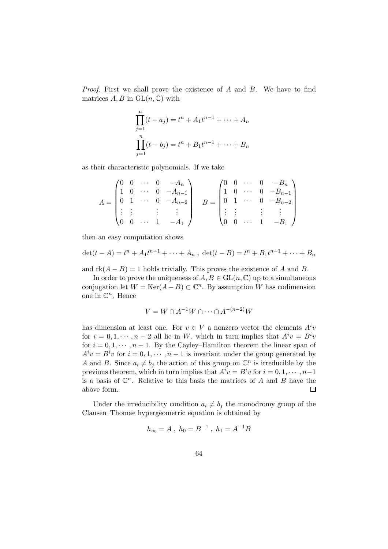Proof. First we shall prove the existence of A and B. We have to find matrices  $A, B$  in  $GL(n, \mathbb{C})$  with

$$
\prod_{j=1}^{n} (t - a_j) = t^n + A_1 t^{n-1} + \dots + A_n
$$

$$
\prod_{j=1}^{n} (t - b_j) = t^n + B_1 t^{n-1} + \dots + B_n
$$

as their characteristic polynomials. If we take

$$
A = \begin{pmatrix} 0 & 0 & \cdots & 0 & -A_n \\ 1 & 0 & \cdots & 0 & -A_{n-1} \\ 0 & 1 & \cdots & 0 & -A_{n-2} \\ \vdots & \vdots & & \vdots & \vdots \\ 0 & 0 & \cdots & 1 & -A_1 \end{pmatrix} \quad B = \begin{pmatrix} 0 & 0 & \cdots & 0 & -B_n \\ 1 & 0 & \cdots & 0 & -B_{n-1} \\ 0 & 1 & \cdots & 0 & -B_{n-2} \\ \vdots & \vdots & & \vdots & \vdots \\ 0 & 0 & \cdots & 1 & -B_1 \end{pmatrix}
$$

then an easy computation shows

$$
\det(t - A) = t^n + A_1 t^{n-1} + \dots + A_n, \ \det(t - B) = t^n + B_1 t^{n-1} + \dots + B_n
$$

and  $rk(A - B) = 1$  holds trivially. This proves the existence of A and B.

In order to prove the uniqueness of  $A, B \in GL(n, \mathbb{C})$  up to a simultaneous conjugation let  $W = \text{Ker}(A - B) \subset \mathbb{C}^n$ . By assumption W has codimension one in  $\mathbb{C}^n$ . Hence

$$
V = W \cap A^{-1}W \cap \dots \cap A^{-(n-2)}W
$$

has dimension at least one. For  $v \in V$  a nonzero vector the elements  $A^i v$ for  $i = 0, 1, \dots, n-2$  all lie in W, which in turn implies that  $A^i v = B^i v$ for  $i = 0, 1, \dots, n - 1$ . By the Cayley–Hamilton theorem the linear span of  $A^i v = B^i v$  for  $i = 0, 1, \dots, n-1$  is invariant under the group generated by A and B. Since  $a_i \neq b_j$  the action of this group on  $\mathbb{C}^n$  is irreducible by the previous theorem, which in turn implies that  $A^i v = B^i v$  for  $i = 0, 1, \dots, n-1$ is a basis of  $\mathbb{C}^n$ . Relative to this basis the matrices of A and B have the above form.  $\Box$ 

Under the irreducibility condition  $a_i \neq b_j$  the monodromy group of the Clausen–Thomae hypergeometric equation is obtained by

$$
h_{\infty} = A , h_0 = B^{-1} , h_1 = A^{-1}B
$$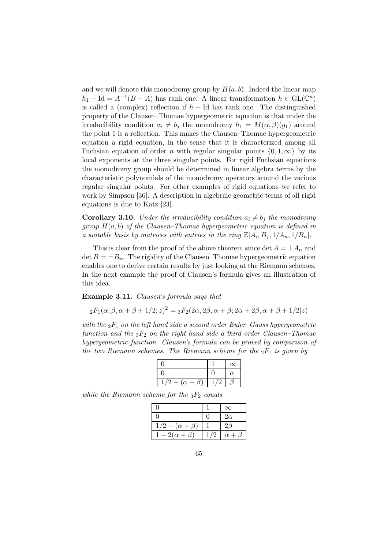and we will denote this monodromy group by  $H(a, b)$ . Indeed the linear map  $h_1 - \text{Id} = A^{-1}(B - A)$  has rank one. A linear transformation  $h \in GL(\mathbb{C}^n)$ is called a (complex) reflection if  $h - Id$  has rank one. The distinguished property of the Clausen–Thomae hypergeometric equation is that under the irreducibility condition  $a_i \neq b_j$  the monodromy  $h_1 = M(\alpha, \beta)(g_1)$  around the point 1 is a reflection. This makes the Clausen–Thomae hypergeometric equation a rigid equation, in the sense that it is characterized among all Fuchsian equation of order n with regular singular points  $\{0, 1, \infty\}$  by its local exponents at the three singular points. For rigid Fuchsian equations the monodromy group should be determined in linear algebra terms by the characteristic polynomials of the monodromy operators around the various regular singular points. For other examples of rigid equations we refer to work by Simpson [36]. A description in algebraic geometric terms of all rigid equations is due to Katz [23].

**Corollary 3.10.** Under the irreducibility condition  $a_i \neq b_j$  the monodromy group  $H(a, b)$  of the Clausen–Thomae hypergeometric equation is defined in a suitable basis by matrices with entries in the ring  $\mathbb{Z}[A_i, B_j, 1/A_n, 1/B_n]$ .

This is clear from the proof of the above theorem since  $\det A = \pm A_n$  and  $\det B = \pm B_n$ . The rigidity of the Clausen–Thomae hypergeometric equation enables one to derive certain results by just looking at the Riemann schemes. In the next example the proof of Clausen's formula gives an illustration of this idea.

Example 3.11. Clausen's formula says that

$$
{}_2F_1(\alpha,\beta,\alpha+\beta+1/2;z)^2 = {}_3F_2(2\alpha,2\beta,\alpha+\beta;2\alpha+2\beta,\alpha+\beta+1/2|z)
$$

with the  ${}_2F_1$  on the left hand side a second order Euler–Gauss hypergeometric function and the  ${}_{3}F_{2}$  on the right hand side a third order Clausen–Thomae hypergeometric function. Clausen's formula can be proved by comparison of the two Riemann schemes. The Riemann scheme for the  $_2F_1$  is given by

|                    | $\infty$ |
|--------------------|----------|
|                    | $\alpha$ |
| $(\alpha + \beta)$ |          |

while the Riemann scheme for the  $_3F_2$  equals

|                          |    | $\infty$         |
|--------------------------|----|------------------|
|                          |    | $2\alpha$        |
| $1/2 - (\alpha + \beta)$ |    |                  |
| $-2(\alpha+\beta)$       | /2 | $\alpha + \beta$ |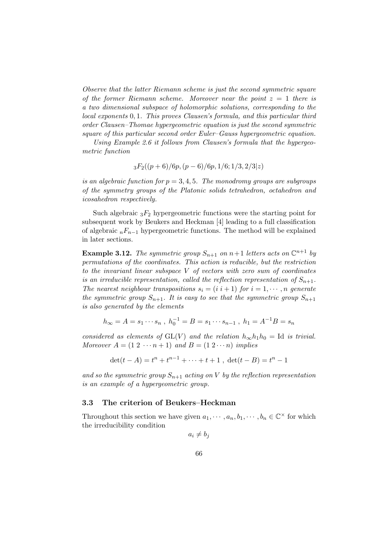Observe that the latter Riemann scheme is just the second symmetric square of the former Riemann scheme. Moreover near the point  $z = 1$  there is a two dimensional subspace of holomorphic solutions, corresponding to the local exponents 0, 1. This proves Clausen's formula, and this particular third order Clausen–Thomae hypergeometric equation is just the second symmetric square of this particular second order Euler–Gauss hypergeometric equation.

Using Example 2.6 it follows from Clausen's formula that the hypergeometric function

$$
{}_{3}F_2((p+6)/6p,(p-6)/6p,1/6;1/3,2/3|z)
$$

is an algebraic function for  $p = 3, 4, 5$ . The monodromy groups are subgroups of the symmetry groups of the Platonic solids tetrahedron, octahedron and icosahedron respectively.

Such algebraic  ${}_{3}F_{2}$  hypergeometric functions were the starting point for subsequent work by Beukers and Heckman [4] leading to a full classification of algebraic  $nF_{n-1}$  hypergeometric functions. The method will be explained in later sections.

**Example 3.12.** The symmetric group  $S_{n+1}$  on  $n+1$  letters acts on  $\mathbb{C}^{n+1}$  by permutations of the coordinates. This action is reducible, but the restriction to the invariant linear subspace V of vectors with zero sum of coordinates is an irreducible representation, called the reflection representation of  $S_{n+1}$ . The nearest neighbour transpositions  $s_i = (i \ i+1)$  for  $i = 1, \dots, n$  generate the symmetric group  $S_{n+1}$ . It is easy to see that the symmetric group  $S_{n+1}$ is also generated by the elements

$$
h_{\infty} = A = s_1 \cdots s_n , h_0^{-1} = B = s_1 \cdots s_{n-1} , h_1 = A^{-1}B = s_n
$$

considered as elements of  $GL(V)$  and the relation  $h_{\infty}h_1h_0 = \text{Id}$  is trivial. Moreover  $A = (1 \ 2 \ \cdots n + 1)$  and  $B = (1 \ 2 \ \cdots n)$  implies

$$
\det(t - A) = t^{n} + t^{n-1} + \dots + t + 1, \ \det(t - B) = t^{n} - 1
$$

and so the symmetric group  $S_{n+1}$  acting on V by the reflection representation is an example of a hypergeometric group.

### 3.3 The criterion of Beukers–Heckman

Throughout this section we have given  $a_1, \dots, a_n, b_1, \dots, b_n \in \mathbb{C}^\times$  for which the irreducibility condition

 $a_i \neq b_j$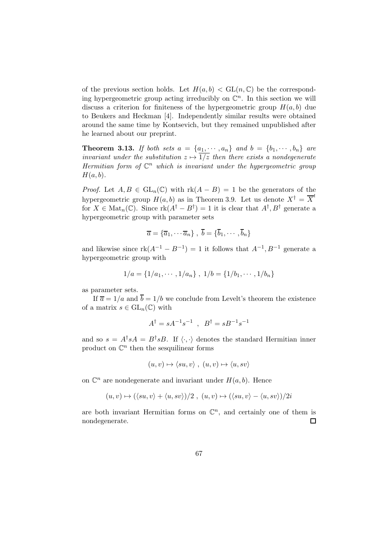of the previous section holds. Let  $H(a, b) < GL(n, \mathbb{C})$  be the corresponding hypergeometric group acting irreducibly on  $\mathbb{C}^n$ . In this section we will discuss a criterion for finiteness of the hypergeometric group  $H(a, b)$  due to Beukers and Heckman [4]. Independently similar results were obtained around the same time by Kontsevich, but they remained unpublished after he learned about our preprint.

**Theorem 3.13.** If both sets  $a = \{a_1, \dots, a_n\}$  and  $b = \{b_1, \dots, b_n\}$  are invariant under the substitution  $z \mapsto \overline{1/z}$  then there exists a nondegenerate Hermitian form of  $\mathbb{C}^n$  which is invariant under the hypergeometric group  $H(a, b)$ .

*Proof.* Let  $A, B \in GL_n(\mathbb{C})$  with  $rk(A - B) = 1$  be the generators of the hypergeometric group  $H(a, b)$  as in Theorem 3.9. Let us denote  $X^{\dagger} = \overline{X}^t$ for  $X \in \text{Mat}_n(\mathbb{C})$ . Since  $\text{rk}(A^{\dagger} - B^{\dagger}) = 1$  it is clear that  $A^{\dagger}, B^{\dagger}$  generate a hypergeometric group with parameter sets

$$
\overline{a} = {\overline{a}_1, \cdots \overline{a}_n}, \overline{b} = {\overline{b}_1, \cdots, \overline{b}_n}
$$

and likewise since  $rk(A^{-1} - B^{-1}) = 1$  it follows that  $A^{-1}, B^{-1}$  generate a hypergeometric group with

$$
1/a = \{1/a_1, \cdots, 1/a_n\}, \ 1/b = \{1/b_1, \cdots, 1/b_n\}
$$

as parameter sets.

If  $\overline{a} = 1/a$  and  $\overline{b} = 1/b$  we conclude from Levelt's theorem the existence of a matrix  $s \in GL_n(\mathbb{C})$  with

$$
A^\dagger = s A^{-1} s^{-1} ~~,~~ B^\dagger = s B^{-1} s^{-1}
$$

and so  $s = A^{\dagger}sA = B^{\dagger}sB$ . If  $\langle \cdot, \cdot \rangle$  denotes the standard Hermitian inner product on  $\mathbb{C}^n$  then the sesquilinear forms

$$
(u, v) \mapsto \langle su, v \rangle , (u, v) \mapsto \langle u, sv \rangle
$$

on  $\mathbb{C}^n$  are nondegenerate and invariant under  $H(a, b)$ . Hence

$$
(u, v) \mapsto (\langle su, v \rangle + \langle u, sv \rangle)/2 , (u, v) \mapsto (\langle su, v \rangle - \langle u, sv \rangle)/2i
$$

are both invariant Hermitian forms on  $\mathbb{C}^n$ , and certainly one of them is nondegenerate. 口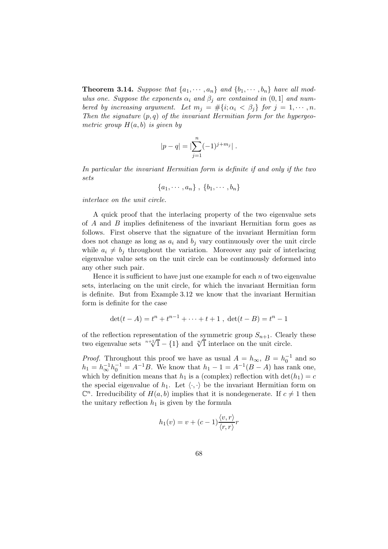**Theorem 3.14.** Suppose that  $\{a_1, \dots, a_n\}$  and  $\{b_1, \dots, b_n\}$  have all modulus one. Suppose the exponents  $\alpha_i$  and  $\beta_j$  are contained in  $(0, 1]$  and numbered by increasing argument. Let  $m_j = #\{i; \alpha_i < \beta_j\}$  for  $j = 1, \dots, n$ . Then the signature  $(p, q)$  of the invariant Hermitian form for the hypergeometric group  $H(a, b)$  is given by

$$
|p - q| = |\sum_{j=1}^{n} (-1)^{j+m_j}|.
$$

In particular the invariant Hermitian form is definite if and only if the two sets

$$
\{a_1,\cdots,a_n\}\;,\;\{b_1,\cdots,b_n\}
$$

interlace on the unit circle.

A quick proof that the interlacing property of the two eigenvalue sets of A and B implies definiteness of the invariant Hermitian form goes as follows. First observe that the signature of the invariant Hermitian form does not change as long as  $a_i$  and  $b_j$  vary continuously over the unit circle while  $a_i \neq b_j$  throughout the variation. Moreover any pair of interlacing eigenvalue value sets on the unit circle can be continuously deformed into any other such pair.

Hence it is sufficient to have just one example for each  $n$  of two eigenvalue sets, interlacing on the unit circle, for which the invariant Hermitian form is definite. But from Example 3.12 we know that the invariant Hermitian form is definite for the case

$$
\det(t - A) = t^n + t^{n-1} + \dots + t + 1, \ \det(t - B) = t^n - 1
$$

of the reflection representation of the symmetric group  $S_{n+1}$ . Clearly these two eigenvalue sets  $\sqrt[n+1]{1} - \{1\}$  and  $\sqrt[n]{1}$  interlace on the unit circle.

*Proof.* Throughout this proof we have as usual  $A = h_{\infty}, B = h_0^{-1}$  and so  $h_1 = h_{\infty}^{-1} h_0^{-1} = A^{-1} B$ . We know that  $h_1 - 1 = A^{-1} (B - A)$  has rank one, which by definition means that  $h_1$  is a (complex) reflection with  $\det(h_1) = c$ the special eigenvalue of  $h_1$ . Let  $\langle \cdot, \cdot \rangle$  be the invariant Hermitian form on  $\mathbb{C}^n$ . Irreducibility of  $H(a, b)$  implies that it is nondegenerate. If  $c \neq 1$  then the unitary reflection  $h_1$  is given by the formula

$$
h_1(v) = v + (c - 1)\frac{\langle v, r \rangle}{\langle r, r \rangle}r
$$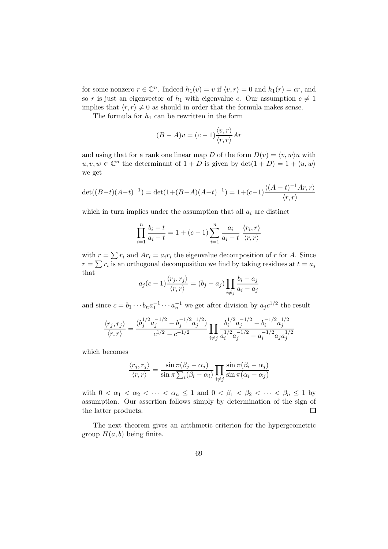for some nonzero  $r \in \mathbb{C}^n$ . Indeed  $h_1(v) = v$  if  $\langle v, r \rangle = 0$  and  $h_1(r) = cr$ , and so r is just an eigenvector of  $h_1$  with eigenvalue c. Our assumption  $c \neq 1$ implies that  $\langle r, r \rangle \neq 0$  as should in order that the formula makes sense.

The formula for  $h_1$  can be rewritten in the form

$$
(B-A)v = (c-1)\frac{\langle v, r \rangle}{\langle r, r \rangle}Ar
$$

and using that for a rank one linear map D of the form  $D(v) = \langle v, w \rangle u$  with  $u, v, w \in \mathbb{C}^n$  the determinant of  $1 + D$  is given by  $\det(1 + D) = 1 + \langle u, w \rangle$ we get

$$
\det((B-t)(A-t)^{-1}) = \det(1 + (B-A)(A-t)^{-1}) = 1 + (c-1)\frac{\langle (A-t)^{-1}Ar, r \rangle}{\langle r, r \rangle}
$$

which in turn implies under the assumption that all  $a_i$  are distinct

$$
\prod_{i=1}^{n} \frac{b_i - t}{a_i - t} = 1 + (c - 1) \sum_{i=1}^{n} \frac{a_i}{a_i - t} \frac{\langle r_i, r \rangle}{\langle r, r \rangle}
$$

with  $r = \sum r_i$  and  $Ar_i = a_i r_i$  the eigenvalue decomposition of r for A. Since  $r = \sum r_i$  is an orthogonal decomposition we find by taking residues at  $t = a_j$ that

$$
a_j(c-1)\frac{\langle r_j, r_j \rangle}{\langle r, r \rangle} = (b_j - a_j) \prod_{i \neq j} \frac{b_i - a_j}{a_i - a_j}
$$

and since  $c = b_1 \cdots b_n a_1^{-1} \cdots a_n^{-1}$  we get after division by  $a_j c^{1/2}$  the result

$$
\frac{\langle r_j, r_j \rangle}{\langle r, r \rangle} = \frac{(b_j^{1/2} a_j^{-1/2}-b_j^{-1/2} a_j^{1/2})}{c^{1/2}-c^{-1/2}} \prod_{i \neq j} \frac{b_i^{1/2} a_j^{-1/2}-b_i^{-1/2} a_j^{1/2}}{a_i^{1/2} a_j^{-1/2}-a_i^{-1/2} a_j a_j^{1/2}}
$$

which becomes

$$
\frac{\langle r_j, r_j \rangle}{\langle r, r \rangle} = \frac{\sin \pi (\beta_j - \alpha_j)}{\sin \pi \sum_i (\beta_i - \alpha_i)} \prod_{i \neq j} \frac{\sin \pi (\beta_i - \alpha_j)}{\sin \pi (\alpha_i - \alpha_j)}
$$

with  $0 < \alpha_1 < \alpha_2 < \cdots < \alpha_n \leq 1$  and  $0 < \beta_1 < \beta_2 < \cdots < \beta_n \leq 1$  by assumption. Our assertion follows simply by determination of the sign of  $\Box$ the latter products.

The next theorem gives an arithmetic criterion for the hypergeometric group  $H(a, b)$  being finite.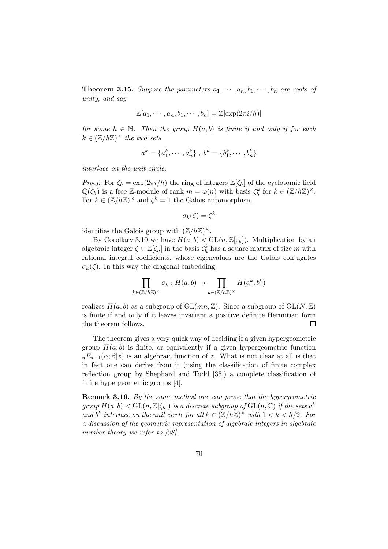**Theorem 3.15.** Suppose the parameters  $a_1, \dots, a_n, b_1, \dots, b_n$  are roots of unity, and say

$$
\mathbb{Z}[a_1,\cdots,a_n,b_1,\cdots,b_n]=\mathbb{Z}[\exp(2\pi i/h)]
$$

for some  $h \in \mathbb{N}$ . Then the group  $H(a, b)$  is finite if and only if for each  $k \in (\mathbb{Z}/h\mathbb{Z})^{\times}$  the two sets

$$
a^{k} = \{a_{1}^{k}, \cdots, a_{n}^{k}\}, b^{k} = \{b_{1}^{k}, \cdots, b_{n}^{k}\}
$$

interlace on the unit circle.

*Proof.* For  $\zeta_h = \exp(2\pi i/h)$  the ring of integers  $\mathbb{Z}[\zeta_h]$  of the cyclotomic field  $\mathbb{Q}(\zeta_h)$  is a free Z-module of rank  $m = \varphi(n)$  with basis  $\zeta_h^k$  for  $k \in (\mathbb{Z}/h\mathbb{Z})^{\times}$ . For  $k \in (\mathbb{Z}/h\mathbb{Z})^{\times}$  and  $\zeta^{h} = 1$  the Galois automorphism

$$
\sigma_k(\zeta) = \zeta^k
$$

identifies the Galois group with  $(\mathbb{Z}/h\mathbb{Z})^{\times}$ .

By Corollary 3.10 we have  $H(a, b) < GL(n, \mathbb{Z}[\zeta_h])$ . Multiplication by an algebraic integer  $\zeta \in \mathbb{Z}[\zeta_h]$  in the basis  $\zeta_h^k$  has a square matrix of size m with rational integral coefficients, whose eigenvalues are the Galois conjugates  $\sigma_k(\zeta)$ . In this way the diagonal embedding

$$
\prod_{k \in (\mathbb{Z}/h\mathbb{Z})^\times} \sigma_k : H(a,b) \to \prod_{k \in (\mathbb{Z}/h\mathbb{Z})^\times} H(a^k, b^k)
$$

realizes  $H(a, b)$  as a subgroup of  $GL(mn, \mathbb{Z})$ . Since a subgroup of  $GL(N, \mathbb{Z})$ is finite if and only if it leaves invariant a positive definite Hermitian form the theorem follows.  $\Box$ 

The theorem gives a very quick way of deciding if a given hypergeometric group  $H(a, b)$  is finite, or equivalently if a given hypergeometric function  $nF_{n-1}(\alpha;\beta|z)$  is an algebraic function of z. What is not clear at all is that in fact one can derive from it (using the classification of finite complex reflection group by Shephard and Todd [35]) a complete classification of finite hypergeometric groups [4].

Remark 3.16. By the same method one can prove that the hypergeometric group  $H(a, b) < \mathrm{GL}(n, \mathbb{Z}[\zeta_h])$  is a discrete subgroup of  $\mathrm{GL}(n, \mathbb{C})$  if the sets  $a^k$ and  $b^k$  interlace on the unit circle for all  $k \in (\mathbb{Z}/h\mathbb{Z})^{\times}$  with  $1 < k < h/2$ . For a discussion of the geometric representation of algebraic integers in algebraic number theory we refer to [38].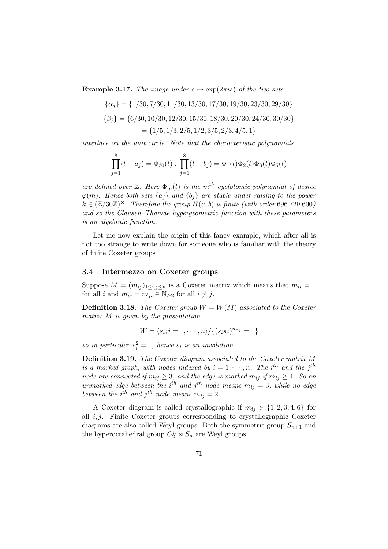**Example 3.17.** The image under  $s \mapsto \exp(2\pi i s)$  of the two sets

$$
\{\alpha_j\} = \{1/30, 7/30, 11/30, 13/30, 17/30, 19/30, 23/30, 29/30\}
$$
  

$$
\{\beta_j\} = \{6/30, 10/30, 12/30, 15/30, 18/30, 20/30, 24/30, 30/30\}
$$
  

$$
= \{1/5, 1/3, 2/5, 1/2, 3/5, 2/3, 4/5, 1\}
$$

interlace on the unit circle. Note that the characteristic polynomials

$$
\prod_{j=1}^{8} (t - a_j) = \Phi_{30}(t) , \prod_{j=1}^{8} (t - b_j) = \Phi_1(t)\Phi_2(t)\Phi_3(t)\Phi_5(t)
$$

are defined over  $\mathbb{Z}$ . Here  $\Phi_m(t)$  is the m<sup>th</sup> cyclotomic polynomial of degree  $\varphi(m)$ . Hence both sets  $\{a_i\}$  and  $\{b_i\}$  are stable under raising to the power  $k \in (\mathbb{Z}/30\mathbb{Z})^{\times}$ . Therefore the group  $H(a, b)$  is finite (with order 696.729.600) and so the Clausen–Thomae hypergeometric function with these parameters is an algebraic function.

Let me now explain the origin of this fancy example, which after all is not too strange to write down for someone who is familiar with the theory of finite Coxeter groups

### 3.4 Intermezzo on Coxeter groups

Suppose  $M = (m_{ij})_{1 \le i,j \le n}$  is a Coxeter matrix which means that  $m_{ii} = 1$ for all i and  $m_{ij} = m_{ji} \in \mathbb{N}_{\geq 2}$  for all  $i \neq j$ .

**Definition 3.18.** The Coxeter group  $W = W(M)$  associated to the Coxeter matrix M is given by the presentation

$$
W = \langle s_i; i = 1, \cdots, n \rangle / \{ (s_i s_j)^{m_{ij}} = 1 \}
$$

so in particular  $s_i^2 = 1$ , hence  $s_i$  is an involution.

Definition 3.19. The Coxeter diagram associated to the Coxeter matrix M is a marked graph, with nodes indexed by  $i = 1, \dots, n$ . The i<sup>th</sup> and the j<sup>th</sup> node are connected if  $m_{ij} \geq 3$ , and the edge is marked  $m_{ij}$  if  $m_{ij} \geq 4$ . So an unmarked edge between the i<sup>th</sup> and j<sup>th</sup> node means  $m_{ij} = 3$ , while no edge between the i<sup>th</sup> and j<sup>th</sup> node means  $m_{ij} = 2$ .

A Coxeter diagram is called crystallographic if  $m_{ij} \in \{1, 2, 3, 4, 6\}$  for all  $i, j$ . Finite Coxeter groups corresponding to crystallographic Coxeter diagrams are also called Weyl groups. Both the symmetric group  $S_{n+1}$  and the hyperoctahedral group  $C_2^n \rtimes S_n$  are Weyl groups.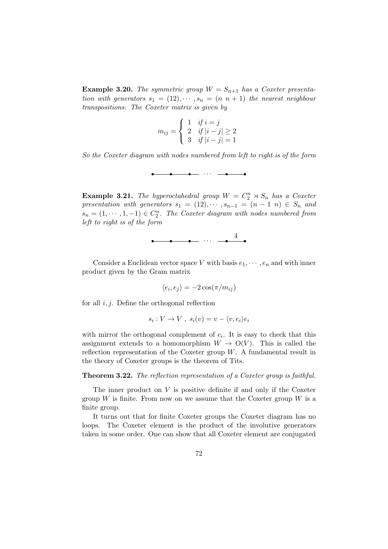**Example 3.20.** The symmetric group  $W = S_{n+1}$  has a Coxeter presentation with generators  $s_1 = (12), \cdots, s_n = (n \; n+1)$  the nearest neighbour transpositions. The Coxeter matrix is given by

$$
m_{ij} = \begin{cases} 1 & \text{if } i = j \\ 2 & \text{if } |i - j| \ge 2 \\ 3 & \text{if } |i - j| = 1 \end{cases}
$$

So the Coxeter diagram with nodes numbered from left to right is of the form

 $\begin{array}{ccc} \bullet & \bullet & \bullet \end{array}$  . . . .  $\begin{array}{ccc} \bullet & \bullet & \bullet \end{array}$ 

**Example 3.21.** The hyperoctahedral group  $W = C_2^n \rtimes S_n$  has a Coxeter presentation with generators  $s_1 = (12), \cdots, s_{n-1} = (n-1 \ n) \in S_n$  and  $s_n = (1, \dots, 1, -1) \in C_2^n$ . The Coxeter diagram with nodes numbered from left to right is of the form



Consider a Euclidean vector space V with basis  $e_1, \dots, e_n$  and with inner product given by the Gram matrix

$$
\langle e_i, e_j \rangle = -2\cos(\pi/m_{ij})
$$

for all  $i, j$ . Define the orthogonal reflection

$$
s_i: V \to V, \ s_i(v) = v - \langle v, e_i \rangle e_i
$$

with mirror the orthogonal complement of  $e_i$ . It is easy to check that this assignment extends to a homomorphism  $W \to O(V)$ . This is called the reflection representation of the Coxeter group  $W$ . A fundamental result in the theory of Coxeter groups is the theorem of Tits.

Theorem 3.22. The reflection representation of a Coxeter group is faithful.

The inner product on  $V$  is positive definite if and only if the Coxeter group W is finite. From now on we assume that the Coxeter group  $W$  is a finite group.

It turns out that for finite Coxeter groups the Coxeter diagram has no loops. The Coxeter element is the product of the involutive generators taken in some order. One can show that all Coxeter element are conjugated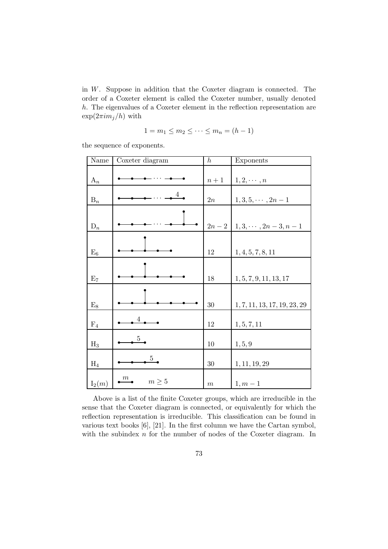in  $W$ . Suppose in addition that the Coxeter diagram is connected. The order of a Coxeter element is called the Coxeter number, usually denoted h. The eigenvalues of a Coxeter element in the reflection representation are  $\exp(2\pi i m_i/h)$  with

$$
1 = m_1 \le m_2 \le \cdots \le m_n = (h-1)
$$

the sequence of exponents.

| Name           | Coxeter diagram     | $\boldsymbol{h}$ | Exponents                      |
|----------------|---------------------|------------------|--------------------------------|
| $A_n$          |                     | $n+1$            | $1, 2, \cdots, n$              |
| $B_n$          | $\overline{4}$      | 2n               | $1, 3, 5, \cdots, 2n-1$        |
| $D_n$          |                     |                  | $2n-2$   $1,3,\cdots,2n-3,n-1$ |
| $E_6$          |                     | 12               | 1, 4, 5, 7, 8, 11              |
| E <sub>7</sub> |                     | 18               | 1, 5, 7, 9, 11, 13, 17         |
| $\mathrm{E}_8$ |                     | $30\,$           | 1, 7, 11, 13, 17, 19, 23, 29   |
| F <sub>4</sub> | 4                   | 12               | 1, 5, 7, 11                    |
| $H_3$          | 5 <sub>1</sub>      | 10               | 1, 5, 9                        |
| $H_4$          | 5                   | 30               | 1, 11, 19, 29                  |
| $I_2(m)$       | $\,m$<br>$m \geq 5$ | $\boldsymbol{m}$ | $1, m - 1$                     |

Above is a list of the finite Coxeter groups, which are irreducible in the sense that the Coxeter diagram is connected, or equivalently for which the reflection representation is irreducible. This classification can be found in various text books [6], [21]. In the first column we have the Cartan symbol, with the subindex  $n$  for the number of nodes of the Coxeter diagram. In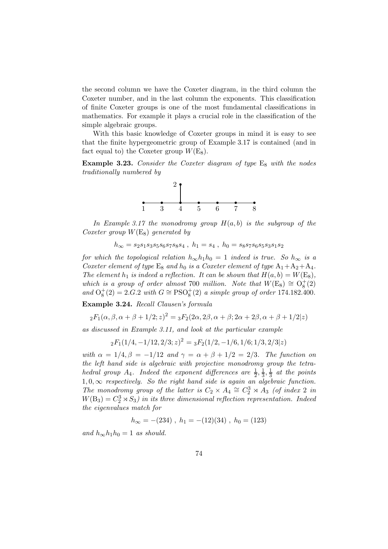the second column we have the Coxeter diagram, in the third column the Coxeter number, and in the last column the exponents. This classification of finite Coxeter groups is one of the most fundamental classifications in mathematics. For example it plays a crucial role in the classification of the simple algebraic groups.

With this basic knowledge of Coxeter groups in mind it is easy to see that the finite hypergeometric group of Example 3.17 is contained (and in fact equal to) the Coxeter group  $W(E_8)$ .

**Example 3.23.** Consider the Coxeter diagram of type  $E_8$  with the nodes traditionally numbered by



In Example 3.17 the monodromy group  $H(a, b)$  is the subgroup of the Coxeter group  $W(E_8)$  generated by

 $h_{\infty} = s_2 s_1 s_3 s_5 s_6 s_7 s_8 s_4$ ,  $h_1 = s_4$ ,  $h_0 = s_8 s_7 s_6 s_5 s_3 s_1 s_2$ 

for which the topological relation  $h_{\infty}h_1h_0 = 1$  indeed is true. So  $h_{\infty}$  is a Coxeter element of type  $E_8$  and  $h_0$  is a Coxeter element of type  $A_1+A_2+A_4$ . The element  $h_1$  is indeed a reflection. It can be shown that  $H(a, b) = W(E_8)$ , which is a group of order almost 700 million. Note that  $W(E_8) \cong O_8^+(2)$ and  $O_8^+(2) = 2.G.2$  with  $G \cong \text{PSO}_8^+(2)$  a simple group of order 174.182.400.

Example 3.24. Recall Clausen's formula

 ${}_2F_1(\alpha, \beta, \alpha + \beta + 1/2; z)^2 = {}_3F_2(2\alpha, 2\beta, \alpha + \beta; 2\alpha + 2\beta, \alpha + \beta + 1/2|z)$ 

as discussed in Example 3.11, and look at the particular example

$$
{}_2F_1(1/4,-1/12,2/3;z)^2 = {}_3F_2(1/2,-1/6,1/6;1/3,2/3|z)
$$

with  $\alpha = 1/4, \beta = -1/12$  and  $\gamma = \alpha + \beta + 1/2 = 2/3$ . The function on the left hand side is algebraic with projective monodromy group the tetrahedral group  $A_4$ . Indeed the exponent differences are  $\frac{1}{2}, \frac{1}{3}$  $\frac{1}{3}, \frac{1}{3}$  $rac{1}{3}$  at the points  $1, 0, \infty$  respectively. So the right hand side is again an algebraic function. The monodromy group of the latter is  $C_2 \times A_4 \cong C_2^3 \rtimes A_3$  (of index 2 in  $W(B_3) = C_2^3 \rtimes S_3$  in its three dimensional reflection representation. Indeed the eigenvalues match for

$$
h_{\infty} = -(234) , h_1 = -(12)(34) , h_0 = (123)
$$

and  $h_{\infty}h_1h_0 = 1$  as should.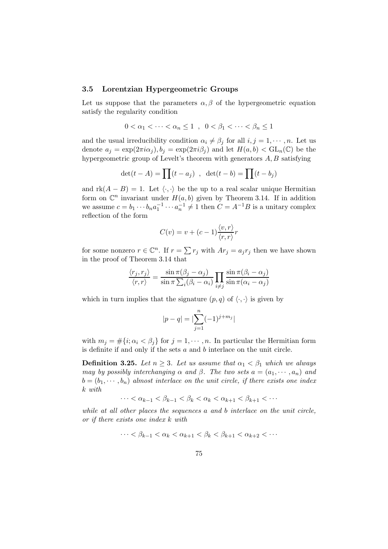### 3.5 Lorentzian Hypergeometric Groups

Let us suppose that the parameters  $\alpha, \beta$  of the hypergeometric equation satisfy the regularity condition

$$
0 < \alpha_1 < \cdots < \alpha_n \le 1 \quad , \quad 0 < \beta_1 < \cdots < \beta_n \le 1
$$

and the usual irreducibility condition  $\alpha_i \neq \beta_j$  for all  $i, j = 1, \dots, n$ . Let us denote  $a_j = \exp(2\pi i \alpha_j)$ ,  $b_j = \exp(2\pi i \beta_j)$  and let  $H(a, b) < \operatorname{GL}_n(\mathbb{C})$  be the hypergeometric group of Levelt's theorem with generators A, B satisfying

$$
\det(t - A) = \prod(t - a_j) , \ \det(t - b) = \prod(t - b_j)
$$

and  $rk(A - B) = 1$ . Let  $\langle \cdot, \cdot \rangle$  be the up to a real scalar unique Hermitian form on  $\mathbb{C}^n$  invariant under  $H(a, b)$  given by Theorem 3.14. If in addition we assume  $c = b_1 \cdots b_n a_1^{-1} \cdots a_n^{-1} \neq 1$  then  $C = A^{-1}B$  is a unitary complex reflection of the form

$$
C(v) = v + (c - 1)\frac{\langle v, r \rangle}{\langle r, r \rangle}r
$$

for some nonzero  $r \in \mathbb{C}^n$ . If  $r = \sum r_j$  with  $Ar_j = a_jr_j$  then we have shown in the proof of Theorem 3.14 that

$$
\frac{\langle r_j, r_j \rangle}{\langle r, r \rangle} = \frac{\sin \pi (\beta_j - \alpha_j)}{\sin \pi \sum_i (\beta_i - \alpha_i)} \prod_{i \neq j} \frac{\sin \pi (\beta_i - \alpha_j)}{\sin \pi (\alpha_i - \alpha_j)}
$$

which in turn implies that the signature  $(p, q)$  of  $\langle \cdot, \cdot \rangle$  is given by

$$
|p - q| = |\sum_{j=1}^{n} (-1)^{j+m_j}|
$$

with  $m_j = #\{i; \alpha_i < \beta_j\}$  for  $j = 1, \dots, n$ . In particular the Hermitian form is definite if and only if the sets  $a$  and  $b$  interlace on the unit circle.

**Definition 3.25.** Let  $n \geq 3$ . Let us assume that  $\alpha_1 < \beta_1$  which we always may by possibly interchanging  $\alpha$  and  $\beta$ . The two sets  $a = (a_1, \dots, a_n)$  and  $b = (b_1, \dots, b_n)$  almost interlace on the unit circle, if there exists one index k with

$$
\cdots < \alpha_{k-1} < \beta_{k-1} < \beta_k < \alpha_k < \alpha_{k+1} < \beta_{k+1} < \cdots
$$

while at all other places the sequences a and b interlace on the unit circle, or if there exists one index k with

$$
\cdots < \beta_{k-1} < \alpha_k < \alpha_{k+1} < \beta_k < \beta_{k+1} < \alpha_{k+2} < \cdots
$$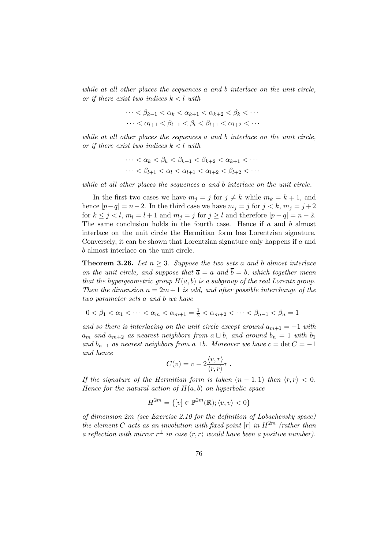while at all other places the sequences a and b interlace on the unit circle. or if there exist two indices  $k < l$  with

$$
\cdots < \beta_{k-1} < \alpha_k < \alpha_{k+1} < \alpha_{k+2} < \beta_k < \cdots
$$
\n
$$
\cdots < \alpha_{l+1} < \beta_{l-1} < \beta_l < \beta_{l+1} < \alpha_{l+2} < \cdots
$$

while at all other places the sequences a and b interlace on the unit circle, or if there exist two indices  $k < l$  with

$$
\cdots < \alpha_k < \beta_k < \beta_{k+1} < \beta_{k+2} < \alpha_{k+1} < \cdots
$$
\n
$$
\cdots < \beta_{l+1} < \alpha_l < \alpha_{l+1} < \alpha_{l+2} < \beta_{l+2} < \cdots
$$

while at all other places the sequences a and b interlace on the unit circle.

In the first two cases we have  $m_j = j$  for  $j \neq k$  while  $m_k = k \mp 1$ , and hence  $|p-q|=n-2$ . In the third case we have  $m_j=j$  for  $j < k$ ,  $m_j=j+2$ for  $k \leq j < l$ ,  $m_l = l + 1$  and  $m_j = j$  for  $j \geq l$  and therefore  $|p - q| = n - 2$ . The same conclusion holds in the fourth case. Hence if  $a$  and  $b$  almost interlace on the unit circle the Hermitian form has Lorentzian signature. Conversely, it can be shown that Lorentzian signature only happens if a and b almost interlace on the unit circle.

**Theorem 3.26.** Let  $n \geq 3$ . Suppose the two sets a and b almost interlace on the unit circle, and suppose that  $\overline{a} = a$  and  $\overline{b} = b$ , which together mean that the hypergeometric group  $H(a, b)$  is a subgroup of the real Lorentz group. Then the dimension  $n = 2m + 1$  is odd, and after possible interchange of the two parameter sets a and b we have

$$
0 < \beta_1 < \alpha_1 < \dots < \alpha_m < \alpha_{m+1} = \frac{1}{2} < \alpha_{m+2} < \dots < \beta_{n-1} < \beta_n = 1
$$

and so there is interlacing on the unit circle except around  $a_{m+1} = -1$  with  $a_m$  and  $a_{m+2}$  as nearest neighbors from  $a \sqcup b$ , and around  $b_n = 1$  with  $b_1$ and  $b_{n-1}$  as nearest neighbors from a $\sqcup b$ . Moreover we have  $c = \det C = -1$ and hence

$$
C(v) = v - 2 \frac{\langle v, r \rangle}{\langle r, r \rangle} r.
$$

If the signature of the Hermitian form is taken  $(n-1,1)$  then  $\langle r, r \rangle < 0$ . Hence for the natural action of  $H(a, b)$  on hyperbolic space

$$
H^{2m} = \{ [v] \in \mathbb{P}^{2m}(\mathbb{R}); \langle v, v \rangle < 0 \}
$$

of dimension 2m (see Exercise 2.10 for the definition of Lobachevsky space) the element C acts as an involution with fixed point  $[r]$  in  $H^{2m}$  (rather than a reflection with mirror  $r^{\perp}$  in case  $\langle r, r \rangle$  would have been a positive number).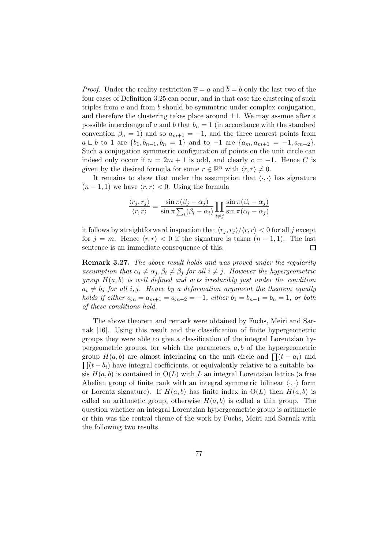*Proof.* Under the reality restriction  $\overline{a} = a$  and  $\overline{b} = b$  only the last two of the four cases of Definition 3.25 can occur, and in that case the clustering of such triples from  $a$  and from  $b$  should be symmetric under complex conjugation, and therefore the clustering takes place around  $\pm 1$ . We may assume after a possible interchange of a and b that  $b_n = 1$  (in accordance with the standard convention  $\beta_n = 1$ ) and so  $a_{m+1} = -1$ , and the three nearest points from  $a \sqcup b$  to 1 are  $\{b_1, b_{n-1}, b_n = 1\}$  and to  $-1$  are  $\{a_m, a_{m+1} = -1, a_{m+2}\}.$ Such a conjugation symmetric configuration of points on the unit circle can indeed only occur if  $n = 2m + 1$  is odd, and clearly  $c = -1$ . Hence C is given by the desired formula for some  $r \in \mathbb{R}^n$  with  $\langle r, r \rangle \neq 0$ .

It remains to show that under the assumption that  $\langle \cdot, \cdot \rangle$  has signature  $(n-1,1)$  we have  $\langle r, r \rangle < 0$ . Using the formula

$$
\frac{\langle r_j, r_j \rangle}{\langle r, r \rangle} = \frac{\sin \pi (\beta_j - \alpha_j)}{\sin \pi \sum_i (\beta_i - \alpha_i)} \prod_{i \neq j} \frac{\sin \pi (\beta_i - \alpha_j)}{\sin \pi (\alpha_i - \alpha_j)}
$$

it follows by straightforward inspection that  $\langle r_j, r_j \rangle / \langle r, r \rangle < 0$  for all j except for  $j = m$ . Hence  $\langle r, r \rangle < 0$  if the signature is taken  $(n - 1, 1)$ . The last sentence is an immediate consequence of this. sentence is an immediate consequence of this.

Remark 3.27. The above result holds and was proved under the regularity assumption that  $\alpha_i \neq \alpha_j, \beta_i \neq \beta_j$  for all  $i \neq j$ . However the hypergeometric group  $H(a, b)$  is well defined and acts irreducibly just under the condition  $a_i \neq b_j$  for all i, j. Hence by a deformation argument the theorem equally holds if either  $a_m = a_{m+1} = a_{m+2} = -1$ , either  $b_1 = b_{n-1} = b_n = 1$ , or both of these conditions hold.

The above theorem and remark were obtained by Fuchs, Meiri and Sarnak [16]. Using this result and the classification of finite hypergeometric groups they were able to give a classification of the integral Lorentzian hypergeometric groups, for which the parameters  $a, b$  of the hypergeometric group  $H(a, b)$  are almost interlacing on the unit circle and  $\prod (t - a_i)$  and  $\prod(t - b_i)$  have integral coefficients, or equivalently relative to a suitable basis  $H(a, b)$  is contained in  $O(L)$  with L an integral Lorentzian lattice (a free Abelian group of finite rank with an integral symmetric bilinear  $\langle \cdot, \cdot \rangle$  form or Lorentz signature). If  $H(a, b)$  has finite index in  $O(L)$  then  $H(a, b)$  is called an arithmetic group, otherwise  $H(a, b)$  is called a thin group. The question whether an integral Lorentzian hypergeometric group is arithmetic or thin was the central theme of the work by Fuchs, Meiri and Sarnak with the following two results.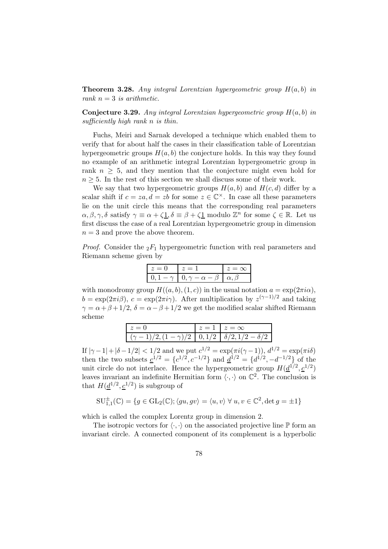**Theorem 3.28.** Any integral Lorentzian hypergeometric group  $H(a, b)$  in rank  $n = 3$  is arithmetic.

**Conjecture 3.29.** Any integral Lorentzian hypergeometric group  $H(a, b)$  in sufficiently high rank n is thin.

Fuchs, Meiri and Sarnak developed a technique which enabled them to verify that for about half the cases in their classification table of Lorentzian hypergeometric groups  $H(a, b)$  the conjecture holds. In this way they found no example of an arithmetic integral Lorentzian hypergeometric group in rank  $n \geq 5$ , and they mention that the conjecture might even hold for  $n \geq 5$ . In the rest of this section we shall discuss some of their work.

We say that two hypergeometric groups  $H(a, b)$  and  $H(c, d)$  differ by a scalar shift if  $c = za, d = zb$  for some  $z \in \mathbb{C}^{\times}$ . In case all these parameters lie on the unit circle this means that the corresponding real parameters  $\alpha, \beta, \gamma, \delta$  satisfy  $\gamma \equiv \alpha + \zeta \mathbf{1}, \delta \equiv \beta + \zeta \mathbf{1}$  modulo  $\mathbb{Z}^n$  for some  $\zeta \in \mathbb{R}$ . Let us first discuss the case of a real Lorentzian hypergeometric group in dimension  $n = 3$  and prove the above theorem.

*Proof.* Consider the  $_2F_1$  hypergeometric function with real parameters and Riemann scheme given by

|         | $\overline{\phantom{a}}$                        |  |
|---------|-------------------------------------------------|--|
| $ \sim$ | $0, \gamma - \alpha - \beta \mid \alpha, \beta$ |  |

with monodromy group  $H((a, b), (1, c))$  in the usual notation  $a = \exp(2\pi i \alpha)$ ,  $b = \exp(2\pi i \beta), c = \exp(2\pi i \gamma)$ . After multiplication by  $z^{(\gamma-1)/2}$  and taking  $\gamma = \alpha + \beta + 1/2$ ,  $\delta = \alpha - \beta + 1/2$  we get the modified scalar shifted Riemann scheme

| $z=0$                                                                    | $z=1$ $z=\infty$ |  |
|--------------------------------------------------------------------------|------------------|--|
| $(\gamma-1)/2$ , $(1-\gamma)/2$   0, 1/2   $\delta/2$ , 1/2 - $\delta/2$ |                  |  |

If  $|\gamma - 1| + |\delta - 1/2| < 1/2$  and we put  $c^{1/2} = \exp(\pi i (\gamma - 1)), d^{1/2} = \exp(\pi i \delta)$ then the two subsets  $\underline{c}^{1/2} = \{c^{1/2}, c^{-1/2}\}\$  and  $\underline{d}^{1/2} = \{d^{1/2}, -d^{-1/2}\}\$  of the unit circle do not interlace. Hence the hypergeometric group  $H(\underline{d}^{1/2}, \underline{c}^{1/2})$ leaves invariant an indefinite Hermitian form  $\langle \cdot, \cdot \rangle$  on  $\mathbb{C}^2$ . The conclusion is that  $H(\underline{d}^{1/2}, \underline{c}^{1/2})$  is subgroup of

$$
SU_{1,1}^{\pm}(\mathbb{C}) = \{ g \in GL_2(\mathbb{C}); \langle gu, gv \rangle = \langle u, v \rangle \,\forall \, u, v \in \mathbb{C}^2, \det g = \pm 1 \}
$$

which is called the complex Lorentz group in dimension 2.

The isotropic vectors for  $\langle \cdot, \cdot \rangle$  on the associated projective line P form an invariant circle. A connected component of its complement is a hyperbolic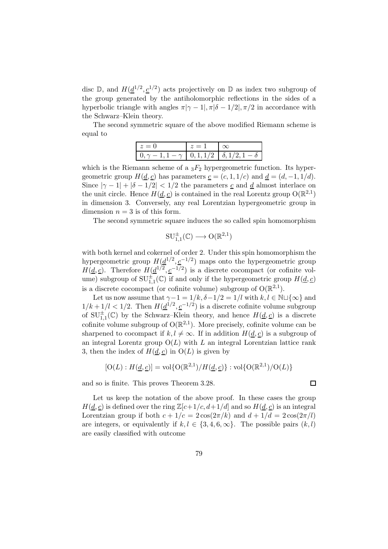disc  $\mathbb{D}$ , and  $H(\underline{d}^{1/2}, \underline{c}^{1/2})$  acts projectively on  $\mathbb{D}$  as index two subgroup of the group generated by the antiholomorphic reflections in the sides of a hyperbolic triangle with angles  $\pi|\gamma - 1|$ ,  $\pi|\delta - 1/2|$ ,  $\pi/2$  in accordance with the Schwarz–Klein theory.

The second symmetric square of the above modified Riemann scheme is equal to

| $z=0$                                                               | $z=1$ |  |
|---------------------------------------------------------------------|-------|--|
| $  0, \gamma - 1, 1 - \gamma   0, 1, 1/2   \delta, 1/2, 1 - \delta$ |       |  |

which is the Riemann scheme of a  $_3F_2$  hypergeometric function. Its hypergeometric group  $H(\underline{d}, \underline{c})$  has parameters  $\underline{c} = (c, 1, 1/c)$  and  $\underline{d} = (d, -1, 1/d)$ . Since  $|\gamma - 1| + |\delta - 1/2| < 1/2$  the parameters c and d almost interlace on the unit circle. Hence  $H(\underline{d}, \underline{c})$  is contained in the real Lorentz group  $O(\mathbb{R}^{2,1})$ in dimension 3. Conversely, any real Lorentzian hypergeometric group in dimension  $n = 3$  is of this form.

The second symmetric square induces the so called spin homomorphism

$$
\mathrm{SU}_{1,1}^\pm(\mathbb{C})\longrightarrow \mathrm{O}(\mathbb{R}^{2,1})
$$

with both kernel and cokernel of order 2. Under this spin homomorphism the hypergeometric group  $H(\underline{d}^{1/2}, \underline{c}^{-1/2})$  maps onto the hypergeometric group  $H(\underline{d}, \underline{c})$ . Therefore  $H(\underline{d}^{1/2}, \underline{c}^{-1/2})$  is a discrete cocompact (or cofinite volume) subgroup of  $SU^{\pm}_{1,1}(\mathbb{C})$  if and only if the hypergeometric group  $H(\underline{d}, \underline{c})$ is a discrete cocompact (or cofinite volume) subgroup of  $O(\mathbb{R}^{2,1})$ .

Let us now assume that  $\gamma - 1 = 1/k$ ,  $\delta - 1/2 = 1/l$  with  $k, l \in \mathbb{N} \cup \{\infty\}$  and  $1/k + 1/l < 1/2$ . Then  $H(\underline{d}^{1/2}, \underline{c}^{-1/2})$  is a discrete cofinite volume subgroup of  $\mathrm{SU}_{1,1}^{\pm}(\mathbb{C})$  by the Schwarz–Klein theory, and hence  $H(\underline{d}, \underline{c})$  is a discrete cofinite volume subgroup of  $O(\mathbb{R}^{2,1})$ . More precisely, cofinite volume can be sharpened to cocompact if  $k, l \neq \infty$ . If in addition  $H(d, c)$  is a subgroup of an integral Lorentz group  $O(L)$  with L an integral Lorentzian lattice rank 3, then the index of  $H(d, c)$  in  $O(L)$  is given by

$$
[O(L): H(\underline{d}, \underline{c})] = vol\{O(\mathbb{R}^{2,1})/H(\underline{d}, \underline{c})\} : vol\{O(\mathbb{R}^{2,1})/O(L)\}
$$

and so is finite. This proves Theorem 3.28.

Let us keep the notation of the above proof. In these cases the group  $H(\underline{d}, \underline{c})$  is defined over the ring  $\mathbb{Z}[c+1/c, d+1/d]$  and so  $H(\underline{d}, \underline{c})$  is an integral Lorentzian group if both  $c + 1/c = 2\cos(2\pi/k)$  and  $d + 1/d = 2\cos(2\pi/l)$ are integers, or equivalently if  $k, l \in \{3, 4, 6, \infty\}$ . The possible pairs  $(k, l)$ are easily classified with outcome

$$
\Box
$$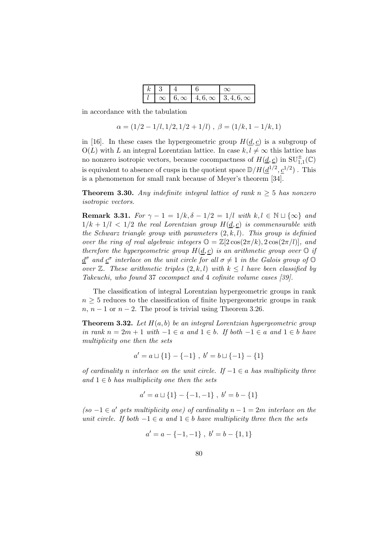| k <sup>3</sup> |  |                                                           |
|----------------|--|-----------------------------------------------------------|
|                |  | $l l \infty$ 6, $\infty$ 4, 6, $\infty$ 3, 4, 6, $\infty$ |

in accordance with the tabulation

$$
\alpha = (1/2 - 1/l, 1/2, 1/2 + 1/l), \ \beta = (1/k, 1 - 1/k, 1)
$$

in [16]. In these cases the hypergeometric group  $H(d, c)$  is a subgroup of  $O(L)$  with L an integral Lorentzian lattice. In case  $k, l \neq \infty$  this lattice has no nonzero isotropic vectors, because cocompactness of  $H(\underline{d}, \underline{c})$  in  $\mathrm{SU}_{1,1}^\pm(\mathbb{C})$ is equivalent to absence of cusps in the quotient space  $\mathbb{D}/H(\underline{d}^{1/2}, \underline{c}^{1/2})$ . This is a phenomenon for small rank because of Meyer's theorem [34].

**Theorem 3.30.** Any indefinite integral lattice of rank  $n \geq 5$  has nonzero isotropic vectors.

**Remark 3.31.** For  $\gamma - 1 = 1/k$ ,  $\delta - 1/2 = 1/l$  with  $k, l \in \mathbb{N} \cup \{\infty\}$  and  $1/k + 1/l < 1/2$  the real Lorentzian group  $H(d, c)$  is commensurable with the Schwarz triangle group with parameters  $(2, k, l)$ . This group is definied over the ring of real algebraic integers  $\mathbb{O} = \mathbb{Z}[2\cos(2\pi/k), 2\cos(2\pi/l)]$ , and therefore the hypergeometric group  $H(\underline{d}, \underline{c})$  is an arithmetic group over  $\mathbb O$  if  $\underline{d}^{\sigma}$  and  $\underline{c}^{\sigma}$  interlace on the unit circle for all  $\sigma \neq 1$  in the Galois group of  $\mathbb O$ over  $\mathbb{Z}$ . These arithmetic triples  $(2, k, l)$  with  $k \leq l$  have been classified by Takeuchi, who found 37 cocompact and 4 cofinite volume cases [39].

The classification of integral Lorentzian hypergeometric groups in rank  $n \geq 5$  reduces to the classification of finite hypergeometric groups in rank  $n, n-1$  or  $n-2$ . The proof is trivial using Theorem 3.26.

**Theorem 3.32.** Let  $H(a, b)$  be an integral Lorentzian hypergeometric group in rank  $n = 2m + 1$  with  $-1 \in a$  and  $1 \in b$ . If both  $-1 \in a$  and  $1 \in b$  have multiplicity one then the sets

$$
a' = a \sqcup \{1\} - \{-1\}, \ b' = b \sqcup \{-1\} - \{1\}
$$

of cardinality n interlace on the unit circle. If  $-1 \in a$  has multiplicity three and  $1 \in b$  has multiplicity one then the sets

$$
a' = a \sqcup \{1\} - \{-1, -1\} , \ b' = b - \{1\}
$$

 $(so-1 \in a'$  gets multiplicity one) of cardinality  $n-1=2m$  interlace on the unit circle. If both  $-1 \in a$  and  $1 \in b$  have multiplicity three then the sets

$$
a' = a - \{-1, -1\} , b' = b - \{1, 1\}
$$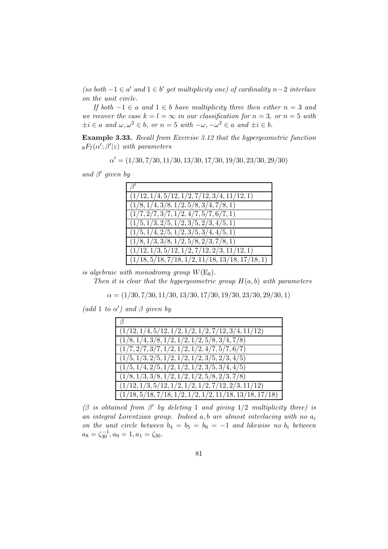(so both  $-1 \in a'$  and  $1 \in b'$  get multiplicity one) of cardinality  $n-2$  interlace on the unit circle.

If both  $-1 \in a$  and  $1 \in b$  have multiplicity three then either  $n = 3$  and we recover the case  $k = l = \infty$  in our classification for  $n = 3$ , or  $n = 5$  with  $\pm i \in a$  and  $\omega, \omega^2 \in b$ , or  $n = 5$  with  $-\omega, -\omega^2 \in a$  and  $\pm i \in b$ .

Example 3.33. Recall from Exercise 3.12 that the hypergeometric function  ${}_{8}F_{7}(\alpha';\beta'|z)$  with parameters

$$
\alpha' = (1/30, 7/30, 11/30, 13/30, 17/30, 19/30, 23/30, 29/30)
$$

and  $\beta'$  given by

| $(1/12, 1/4, 5/12, 1/2, 7/12, 3/4, 11/12, 1)$     |
|---------------------------------------------------|
| $(1/8, 1/4, 3/8, 1/2, 5/8, 3/4, 7/8, 1)$          |
| $(1/7, 2/7, 3/7, 1/2, 4/7, 5/7, 6/7, 1)$          |
| $(1/5, 1/3, 2/5, 1/2, 3/5, 2/3, 4/5, 1)$          |
| $(1/5, 1/4, 2/5, 1/2, 3/5, 3/4, 4/5, 1)$          |
| $(1/8, 1/3, 3/8, 1/2, 5/8, 2/3, 7/8, 1)$          |
| $(1/12, 1/3, 5/12, 1/2, 7/12, 2/3, 11/12, 1)$     |
| $(1/18, 5/18, 7/18, 1/2, 11/18, 13/18, 17/18, 1)$ |

is algebraic with monodromy group  $W(E_8)$ .

Then it is clear that the hypergeometric group  $H(a, b)$  with parameters

 $\alpha = (1/30, 7/30, 11/30, 13/30, 17/30, 19/30, 23/30, 29/30, 1)$ 

(add 1 to  $\alpha'$ ) and  $\beta$  given by

| $(1/12, 1/4, 5/12, 1/2, 1/2, 1/2, 7/12, 3/4, 11/12)$     |
|----------------------------------------------------------|
| $(1/8, 1/4, 3/8, 1/2, 1/2, 1/2, 5/8, 3/4, 7/8)$          |
| $(1/7, 2/7, 3/7, 1/2, 1/2, 1/2, 4/7, 5/7, 6/7)$          |
| $(1/5, 1/3, 2/5, 1/2, 1/2, 1/2, 3/5, 2/3, 4/5)$          |
| $(1/5, 1/4, 2/5, 1/2, 1/2, 1/2, 3/5, 3/4, 4/5)$          |
| $(1/8, 1/3, 3/8, 1/2, 1/2, 1/2, 5/8, 2/3, 7/8)$          |
| $(1/12, 1/3, 5/12, 1/2, 1/2, 1/2, 7/12, 2/3, 11/12)$     |
| $(1/18, 5/18, 7/18, 1/2, 1/2, 1/2, 11/18, 13/18, 17/18)$ |

 $(\beta$  is obtained from  $\beta'$  by deleting 1 and giving 1/2 multiplicity three) is an integral Lorentzian group. Indeed  $a, b$  are almost interlacing with no  $a_i$ on the unit circle between  $b_4 = b_5 = b_6 = -1$  and likewise no  $b_i$  between  $a_8 = \zeta_{30}^{-1}, a_9 = 1, a_1 = \zeta_{30}.$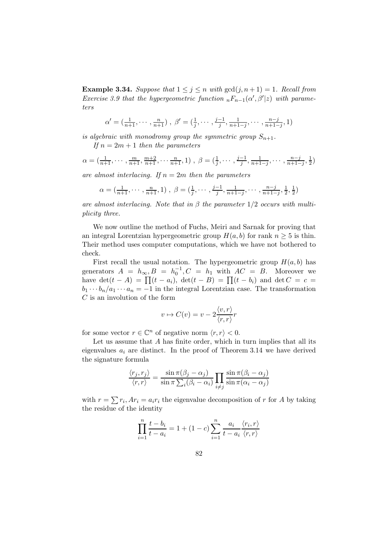**Example 3.34.** Suppose that  $1 \leq j \leq n$  with  $gcd(j, n + 1) = 1$ . Recall from Exercise 3.9 that the hypergeometric function  ${}_{n}F_{n-1}(\alpha', \beta'|z)$  with parameters

$$
\alpha' = (\frac{1}{n+1}, \cdots, \frac{n}{n+1}), \ \beta' = (\frac{1}{j}, \cdots, \frac{j-1}{j}, \frac{1}{n+1-j}, \cdots, \frac{n-j}{n+1-j}, 1)
$$

is algebraic with monodromy group the symmetric group  $S_{n+1}$ . If  $n = 2m + 1$  then the parameters

$$
\alpha = (\frac{1}{n+1}, \cdots, \frac{m}{n+1}, \frac{m+2}{n+1}, \cdots, \frac{n}{n+1}, 1), \ \beta = (\frac{1}{j}, \cdots, \frac{j-1}{j}, \frac{1}{n+1-j}, \cdots, \frac{n-j}{n+1-j}, \frac{1}{2})
$$

are almost interlacing. If  $n = 2m$  then the parameters

$$
\alpha = (\frac{1}{n+1}, \cdots, \frac{n}{n+1}, 1), \ \beta = (\frac{1}{j}, \cdots, \frac{j-1}{j}, \frac{1}{n+1-j}, \cdots, \frac{n-j}{n+1-j}, \frac{1}{2}, \frac{1}{2})
$$

are almost interlacing. Note that in  $\beta$  the parameter  $1/2$  occurs with multiplicity three.

We now outline the method of Fuchs, Meiri and Sarnak for proving that an integral Lorentzian hypergeometric group  $H(a, b)$  for rank  $n \geq 5$  is thin. Their method uses computer computations, which we have not bothered to check.

First recall the usual notation. The hypergeometric group  $H(a, b)$  has generators  $A = h_{\infty}, B = h_0^{-1}, C = h_1$  with  $AC = B$ . Moreover we have  $\det(t - A) = \prod(t - a_i)$ ,  $\det(t - B) = \prod(t - b_i)$  and  $\det C = c$  $b_1 \cdots b_n/a_1 \cdots a_n = -1$  in the integral Lorentzian case. The transformation C is an involution of the form

$$
v \mapsto C(v) = v - 2\frac{\langle v, r \rangle}{\langle r, r \rangle}r
$$

for some vector  $r \in \mathbb{C}^n$  of negative norm  $\langle r, r \rangle < 0$ .

Let us assume that  $A$  has finite order, which in turn implies that all its eigenvalues  $a_i$  are distinct. In the proof of Theorem 3.14 we have derived the signature formula

$$
\frac{\langle r_j, r_j \rangle}{\langle r, r \rangle} = \frac{\sin \pi (\beta_j - \alpha_j)}{\sin \pi \sum_i (\beta_i - \alpha_i)} \prod_{i \neq j} \frac{\sin \pi (\beta_i - \alpha_j)}{\sin \pi (\alpha_i - \alpha_j)}
$$

with  $r = \sum r_i$ ,  $Ar_i = a_i r_i$  the eigenvalue decomposition of r for A by taking the residue of the identity

$$
\prod_{i=1}^{n} \frac{t - b_i}{t - a_i} = 1 + (1 - c) \sum_{i=1}^{n} \frac{a_i}{t - a_i} \frac{\langle r_i, r \rangle}{\langle r, r \rangle}
$$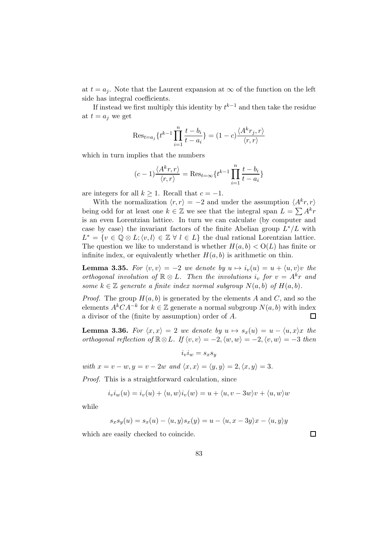at  $t = a_j$ . Note that the Laurent expansion at  $\infty$  of the function on the left side has integral coefficients.

If instead we first multiply this identity by  $t^{k-1}$  and then take the residue at  $t = a_i$  we get

$$
\operatorname{Res}_{t=a_j}\{t^{k-1}\prod_{i=1}^n\frac{t-b_i}{t-a_i}\} = (1-c)\frac{\langle A^kr_j, r\rangle}{\langle r, r\rangle}
$$

which in turn implies that the numbers

$$
(c-1)\frac{\langle A^k r, r \rangle}{\langle r, r \rangle} = \text{Res}_{t=\infty} \{ t^{k-1} \prod_{i=1}^n \frac{t - b_i}{t - a_i} \}
$$

are integers for all  $k > 1$ . Recall that  $c = -1$ .

With the normalization  $\langle r, r \rangle = -2$  and under the assumption  $\langle A^k r, r \rangle$ being odd for at least one  $k \in \mathbb{Z}$  we see that the integral span  $L = \sum A^k r$ is an even Lorentzian lattice. In turn we can calculate (by computer and case by case) the invariant factors of the finite Abelian group  $L^*/L$  with  $L^* = \{v \in \mathbb{Q} \otimes L; \langle v, l \rangle \in \mathbb{Z} \ \forall \ l \in L\}$  the dual rational Lorentzian lattice. The question we like to understand is whether  $H(a, b) < O(L)$  has finite or infinite index, or equivalently whether  $H(a, b)$  is arithmetic on thin.

**Lemma 3.35.** For  $\langle v, v \rangle = -2$  we denote by  $u \mapsto i_v(u) = u + \langle u, v \rangle v$  the orthogonal involution of  $\mathbb{R} \otimes L$ . Then the involutions  $i_v$  for  $v = A^k r$  and some  $k \in \mathbb{Z}$  generate a finite index normal subgroup  $N(a, b)$  of  $H(a, b)$ .

*Proof.* The group  $H(a, b)$  is generated by the elements A and C, and so the elements  $A^kCA^{-k}$  for  $k \in \mathbb{Z}$  generate a normal subgroup  $N(a, b)$  with index a divisor of the (finite by assumption) order of A.

**Lemma 3.36.** For  $\langle x, x \rangle = 2$  we denote by  $u \mapsto s_x(u) = u - \langle u, x \rangle x$  the orthogonal reflection of  $\mathbb{R} \otimes L$ . If  $\langle v, v \rangle = -2, \langle w, w \rangle = -2, \langle v, w \rangle = -3$  then

 $i_v i_w = s_x s_y$ 

with  $x = v - w, y = v - 2w$  and  $\langle x, x \rangle = \langle y, y \rangle = 2, \langle x, y \rangle = 3.$ 

Proof. This is a straightforward calculation, since

$$
i_v i_w(u) = i_v(u) + \langle u, w \rangle i_v(w) = u + \langle u, v - 3w \rangle v + \langle u, w \rangle w
$$

while

$$
s_x s_y(u) = s_x(u) - \langle u, y \rangle s_x(y) = u - \langle u, x - 3y \rangle x - \langle u, y \rangle y
$$

which are easily checked to coincide.

 $\Box$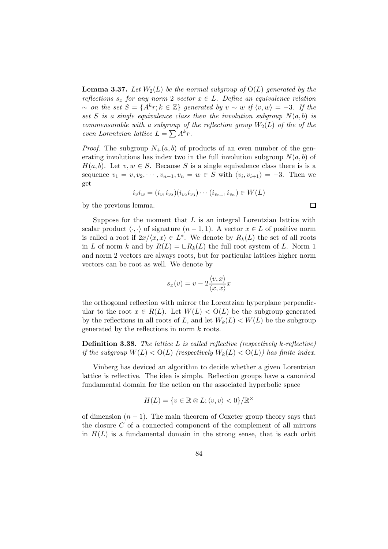**Lemma 3.37.** Let  $W_2(L)$  be the normal subgroup of  $O(L)$  generated by the reflections  $s_x$  for any norm 2 vector  $x \in L$ . Define an equivalence relation  $\sim$  on the set  $S = \{A^k r; k \in \mathbb{Z}\}\$  generated by  $v \sim w$  if  $\langle v, w \rangle = -3$ . If the set S is a single equivalence class then the involution subgroup  $N(a, b)$  is commensurable with a subgroup of the reflection group  $W_2(L)$  of the of the even Lorentzian lattice  $L = \sum A^k r$ .

*Proof.* The subgroup  $N_+(a, b)$  of products of an even number of the generating involutions has index two in the full involution subgroup  $N(a, b)$  of  $H(a, b)$ . Let  $v, w \in S$ . Because S is a single equivalence class there is is a sequence  $v_1 = v, v_2, \dots, v_{n-1}, v_n = w \in S$  with  $\langle v_i, v_{i+1} \rangle = -3$ . Then we get

$$
i_v i_w = (i_{v_1} i_{v_2})(i_{v_2} i_{v_3}) \cdots (i_{v_{n-1}} i_{v_n}) \in W(L)
$$

 $\Box$ 

by the previous lemma.

Suppose for the moment that  $L$  is an integral Lorentzian lattice with scalar product  $\langle \cdot, \cdot \rangle$  of signature  $(n - 1, 1)$ . A vector  $x \in L$  of positive norm is called a root if  $2x/(x, x) \in L^*$ . We denote by  $R_k(L)$  the set of all roots in L of norm k and by  $R(L) = \sqcup R_k(L)$  the full root system of L. Norm 1 and norm 2 vectors are always roots, but for particular lattices higher norm vectors can be root as well. We denote by

$$
s_x(v) = v - 2\frac{\langle v, x \rangle}{\langle x, x \rangle}x
$$

the orthogonal reflection with mirror the Lorentzian hyperplane perpendicular to the root  $x \in R(L)$ . Let  $W(L) < O(L)$  be the subgroup generated by the reflections in all roots of L, and let  $W_k(L) < W(L)$  be the subgroup generated by the reflections in norm  $k$  roots.

**Definition 3.38.** The lattice L is called reflective (respectively k-reflective) if the subgroup  $W(L) < O(L)$  (respectively  $W_k(L) < O(L)$ ) has finite index.

Vinberg has deviced an algorithm to decide whether a given Lorentzian lattice is reflective. The idea is simple. Reflection groups have a canonical fundamental domain for the action on the associated hyperbolic space

$$
H(L) = \{v \in \mathbb{R} \otimes L; \langle v, v \rangle < 0\} / \mathbb{R}^\times
$$

of dimension  $(n - 1)$ . The main theorem of Coxeter group theory says that the closure C of a connected component of the complement of all mirrors in  $H(L)$  is a fundamental domain in the strong sense, that is each orbit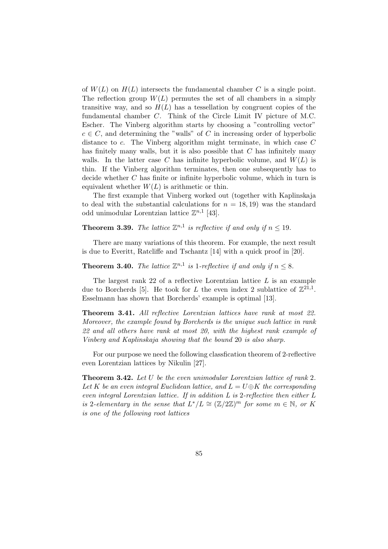of  $W(L)$  on  $H(L)$  intersects the fundamental chamber C is a single point. The reflection group  $W(L)$  permutes the set of all chambers in a simply transitive way, and so  $H(L)$  has a tessellation by congruent copies of the fundamental chamber C. Think of the Circle Limit IV picture of M.C. Escher. The Vinberg algorithm starts by choosing a "controlling vector"  $c \in C$ , and determining the "walls" of C in increasing order of hyperbolic distance to c. The Vinberg algorithm might terminate, in which case C has finitely many walls, but it is also possible that C has infinitely many walls. In the latter case C has infinite hyperbolic volume, and  $W(L)$  is thin. If the Vinberg algorithm terminates, then one subsequently has to decide whether C has finite or infinite hyperbolic volume, which in turn is equivalent whether  $W(L)$  is arithmetic or thin.

The first example that Vinberg worked out (together with Kaplinskaja to deal with the substantial calculations for  $n = 18, 19$  was the standard odd unimodular Lorentzian lattice  $\mathbb{Z}^{n,1}$  [43].

# **Theorem 3.39.** The lattice  $\mathbb{Z}^{n,1}$  is reflective if and only if  $n \leq 19$ .

There are many variations of this theorem. For example, the next result is due to Everitt, Ratcliffe and Tschantz [14] with a quick proof in [20].

# **Theorem 3.40.** The lattice  $\mathbb{Z}^{n,1}$  is 1-reflective if and only if  $n \leq 8$ .

The largest rank 22 of a reflective Lorentzian lattice  $L$  is an example due to Borcherds [5]. He took for L the even index 2 sublattice of  $\mathbb{Z}^{21,1}$ . Esselmann has shown that Borcherds' example is optimal [13].

Theorem 3.41. All reflective Lorentzian lattices have rank at most 22. Moreover, the example found by Borcherds is the unique such lattice in rank 22 and all others have rank at most 20, with the highest rank example of Vinberg and Kaplinskaja showing that the bound 20 is also sharp.

For our purpose we need the following classfication theorem of 2-reflective even Lorentzian lattices by Nikulin [27].

Theorem 3.42. Let U be the even unimodular Lorentzian lattice of rank 2. Let K be an even integral Euclidean lattice, and  $L = U \oplus K$  the corresponding even integral Lorentzian lattice. If in addition L is 2-reflective then either L is 2-elementary in the sense that  $L^*/L \cong (\mathbb{Z}/2\mathbb{Z})^m$  for some  $m \in \mathbb{N}$ , or K is one of the following root lattices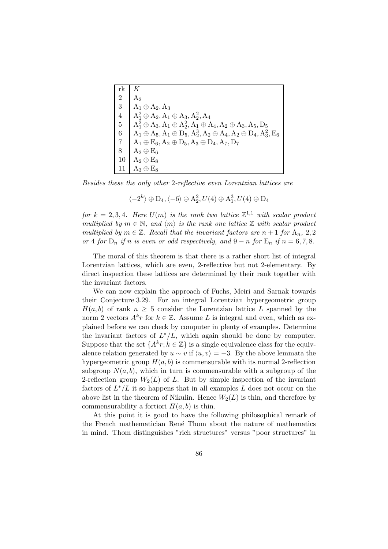| rk             |                                                                                                       |
|----------------|-------------------------------------------------------------------------------------------------------|
| $\overline{2}$ | A2                                                                                                    |
| 3              | $A_1 \oplus A_2, A_3$                                                                                 |
| $\overline{4}$ | $A_1^2 \oplus A_2, A_1 \oplus A_3, A_2^2, A_4$                                                        |
| $\overline{5}$ | $A_1^2 \oplus A_3$ , $A_1 \oplus A_2^2$ , $A_1 \oplus A_4$ , $A_2 \oplus A_3$ , $A_5$ , $D_5$         |
| 6              | $A_1 \oplus A_5$ , $A_1 \oplus D_5$ , $A_2^3$ , $A_2 \oplus A_4$ , $A_2 \oplus D_4$ , $A_3^2$ , $E_6$ |
| 7              | $A_1 \oplus E_6, A_2 \oplus D_5, A_3 \oplus D_4, A_7, D_7$                                            |
| 8              | $A_2 \oplus E_6$                                                                                      |
| 10             | $A_2 \oplus E_8$                                                                                      |
| 11             | $A_3 \oplus E_8$                                                                                      |

Besides these the only other 2-reflective even Lorentzian lattices are

$$
\langle -2^k \rangle \oplus D_4, \langle -6 \rangle \oplus A_2^2, U(4) \oplus A_1^3, U(4) \oplus D_4
$$

for  $k = 2, 3, 4$ . Here  $U(m)$  is the rank two lattice  $\mathbb{Z}^{1,1}$  with scalar product multiplied by  $m \in \mathbb{N}$ , and  $\langle m \rangle$  is the rank one lattice  $\mathbb Z$  with scalar product multiplied by  $m \in \mathbb{Z}$ . Recall that the invariant factors are  $n+1$  for  $A_n$ , 2, 2 or 4 for  $D_n$  if n is even or odd respectively, and  $9 - n$  for  $E_n$  if  $n = 6, 7, 8$ .

The moral of this theorem is that there is a rather short list of integral Lorentzian lattices, which are even, 2-reflective but not 2-elementary. By direct inspection these lattices are determined by their rank together with the invariant factors.

We can now explain the approach of Fuchs, Meiri and Sarnak towards their Conjecture 3.29. For an integral Lorentzian hypergeometric group  $H(a, b)$  of rank  $n \geq 5$  consider the Lorentzian lattice L spanned by the norm 2 vectors  $A^k r$  for  $k \in \mathbb{Z}$ . Assume L is integral and even, which as explained before we can check by computer in plenty of examples. Determine the invariant factors of  $L^*/L$ , which again should be done by computer. Suppose that the set  $\{A^k r; k \in \mathbb{Z}\}$  is a single equivalence class for the equivalence relation generated by  $u \sim v$  if  $\langle u, v \rangle = -3$ . By the above lemmata the hypergeometric group  $H(a, b)$  is commensurable with its normal 2-reflection subgroup  $N(a, b)$ , which in turn is commensurable with a subgroup of the 2-reflection group  $W_2(L)$  of L. But by simple inspection of the invariant factors of  $L^*/L$  it so happens that in all examples L does not occur on the above list in the theorem of Nikulin. Hence  $W_2(L)$  is thin, and therefore by commensurability a fortiori  $H(a, b)$  is thin.

At this point it is good to have the following philosophical remark of the French mathematician René Thom about the nature of mathematics in mind. Thom distinguishes "rich structures" versus "poor structures" in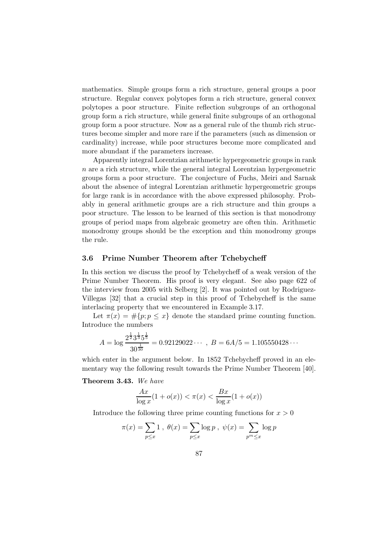mathematics. Simple groups form a rich structure, general groups a poor structure. Regular convex polytopes form a rich structure, general convex polytopes a poor structure. Finite reflection subgroups of an orthogonal group form a rich structure, while general finite subgroups of an orthogonal group form a poor structure. Now as a general rule of the thumb rich structures become simpler and more rare if the parameters (such as dimension or cardinality) increase, while poor structures become more complicated and more abundant if the parameters increase.

Apparently integral Lorentzian arithmetic hypergeometric groups in rank  $n$  are a rich structure, while the general integral Lorentzian hypergeometric groups form a poor structure. The conjecture of Fuchs, Meiri and Sarnak about the absence of integral Lorentzian arithmetic hypergeometric groups for large rank is in accordance with the above expressed philosophy. Probably in general arithmetic groups are a rich structure and thin groups a poor structure. The lesson to be learned of this section is that monodromy groups of period maps from algebraic geometry are often thin. Arithmetic monodromy groups should be the exception and thin monodromy groups the rule.

#### 3.6 Prime Number Theorem after Tchebycheff

In this section we discuss the proof by Tchebycheff of a weak version of the Prime Number Theorem. His proof is very elegant. See also page 622 of the interview from 2005 with Selberg [2]. It was pointed out by Rodriguez-Villegas [32] that a crucial step in this proof of Tchebycheff is the same interlacing property that we encountered in Example 3.17.

Let  $\pi(x) = \#\{p; p \leq x\}$  denote the standard prime counting function. Introduce the numbers

$$
A = \log \frac{2^{\frac{1}{2}} 3^{\frac{1}{3}} 5^{\frac{1}{5}}}{30^{\frac{1}{30}}} = 0.92129022\cdots, \ B = 6A/5 = 1.105550428\cdots
$$

which enter in the argument below. In 1852 Tchebycheff proved in an elementary way the following result towards the Prime Number Theorem [40].

Theorem 3.43. We have

$$
\frac{Ax}{\log x}(1 + o(x)) < \pi(x) < \frac{Bx}{\log x}(1 + o(x))
$$

Introduce the following three prime counting functions for  $x > 0$ 

$$
\pi(x) = \sum_{p \le x} 1 , \ \theta(x) = \sum_{p \le x} \log p , \ \psi(x) = \sum_{p^m \le x} \log p
$$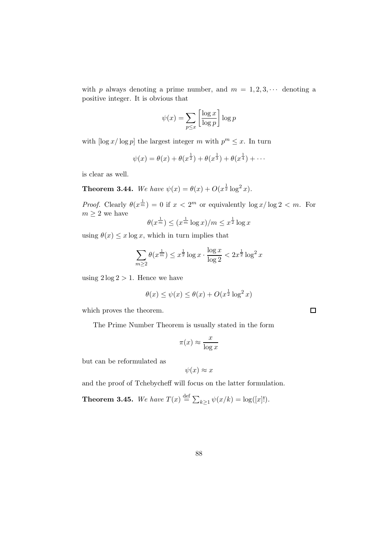with p always denoting a prime number, and  $m = 1, 2, 3, \cdots$  denoting a positive integer. It is obvious that

$$
\psi(x) = \sum_{p \le x} \left[ \frac{\log x}{\log p} \right] \log p
$$

with  $[\log x / \log p]$  the largest integer m with  $p^m \leq x$ . In turn

$$
\psi(x) = \theta(x) + \theta(x^{\frac{1}{2}}) + \theta(x^{\frac{1}{3}}) + \theta(x^{\frac{1}{4}}) + \cdots
$$

is clear as well.

**Theorem 3.44.** We have  $\psi(x) = \theta(x) + O(x^{\frac{1}{2}} \log^2 x)$ .

*Proof.* Clearly  $\theta(x^{\frac{1}{m}}) = 0$  if  $x < 2^m$  or equivalently  $\log x / \log 2 < m$ . For  $m\geq 2$  we have 1 1 1

$$
\theta(x^{\frac{1}{m}}) \le (x^{\frac{1}{m}} \log x)/m \le x^{\frac{1}{2}} \log x
$$

using  $\theta(x) \leq x \log x$ , which in turn implies that

$$
\sum_{m\geq 2} \theta(x^{\frac{1}{m}}) \leq x^{\frac{1}{2}} \log x \cdot \frac{\log x}{\log 2} < 2x^{\frac{1}{2}} \log^2 x
$$

using  $2 \log 2 > 1$ . Hence we have

$$
\theta(x) \le \psi(x) \le \theta(x) + O(x^{\frac{1}{2}} \log^2 x)
$$

which proves the theorem.

The Prime Number Theorem is usually stated in the form

$$
\pi(x) \approx \frac{x}{\log x}
$$

but can be reformulated as

$$
\psi(x) \approx x
$$

and the proof of Tchebycheff will focus on the latter formulation.

**Theorem 3.45.** We have  $T(x) \stackrel{\text{def}}{=} \sum_{k\geq 1} \psi(x/k) = \log([x]!)$ .

 $\Box$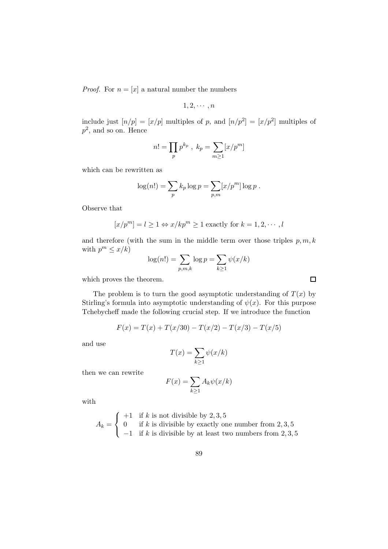*Proof.* For  $n = [x]$  a natural number the numbers

$$
1,2,\cdots,n
$$

include just  $[n/p] = [x/p]$  multiples of p, and  $[n/p^2] = [x/p^2]$  multiples of  $p^2$ , and so on. Hence

$$
n! = \prod_p p^{k_p}, \ k_p = \sum_{m \ge 1} [x/p^m]
$$

which can be rewritten as

$$
\log(n!) = \sum_p k_p \log p = \sum_{p,m} [x/p^m] \log p .
$$

Observe that

$$
[x/p^m] = l \ge 1 \Leftrightarrow x/kp^m \ge 1
$$
 exactly for  $k = 1, 2, \dots, l$ 

and therefore (with the sum in the middle term over those triples  $p, m, k$ with  $p^m \leq x/k$ 

$$
\log(n!) = \sum_{p,m,k} \log p = \sum_{k \ge 1} \psi(x/k)
$$

which proves the theorem.

The problem is to turn the good asymptotic understanding of  $T(x)$  by Stirling's formula into asymptotic understanding of  $\psi(x)$ . For this purpose Tchebycheff made the following crucial step. If we introduce the function

$$
F(x) = T(x) + T(x/30) - T(x/2) - T(x/3) - T(x/5)
$$

and use

$$
T(x) = \sum_{k \ge 1} \psi(x/k)
$$

then we can rewrite

$$
F(x) = \sum_{k \ge 1} A_k \psi(x/k)
$$

with

$$
A_k = \begin{cases} +1 & \text{if } k \text{ is not divisible by } 2, 3, 5 \\ 0 & \text{if } k \text{ is divisible by exactly one number from } 2, 3, 5 \\ -1 & \text{if } k \text{ is divisible by at least two numbers from } 2, 3, 5 \end{cases}
$$

 $\Box$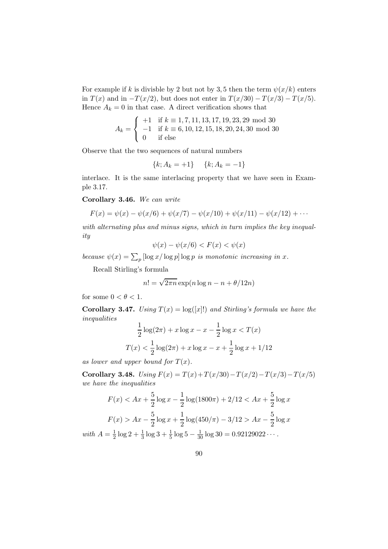For example if k is divisble by 2 but not by 3,5 then the term  $\psi(x/k)$  enters in  $T(x)$  and in  $-T(x/2)$ , but does not enter in  $T(x/30) - T(x/3) - T(x/5)$ . Hence  $A_k = 0$  in that case. A direct verification shows that

$$
A_k = \begin{cases} +1 & \text{if } k \equiv 1, 7, 11, 13, 17, 19, 23, 29 \mod 30 \\ -1 & \text{if } k \equiv 6, 10, 12, 15, 18, 20, 24, 30 \mod 30 \\ 0 & \text{if else} \end{cases}
$$

Observe that the two sequences of natural numbers

$$
\{k; A_k = +1\} \quad \{k; A_k = -1\}
$$

interlace. It is the same interlacing property that we have seen in Example 3.17.

Corollary 3.46. We can write

$$
F(x) = \psi(x) - \psi(x/6) + \psi(x/7) - \psi(x/10) + \psi(x/11) - \psi(x/12) + \cdots
$$

with alternating plus and minus signs, which in turn implies the key inequality

$$
\psi(x) - \psi(x/6) < F(x) < \psi(x)
$$

because  $\psi(x) = \sum_{p} [\log x / \log p] \log p$  is monotonic increasing in x.

Recall Stirling's formula

$$
n! = \sqrt{2\pi n} \exp(n \log n - n + \theta/12n)
$$

for some  $0 < \theta < 1$ .

**Corollary 3.47.** Using  $T(x) = \log(|x|!)$  and Stirling's formula we have the inequalities

$$
\frac{1}{2}\log(2\pi) + x\log x - x - \frac{1}{2}\log x < T(x)
$$
\n
$$
T(x) < \frac{1}{2}\log(2\pi) + x\log x - x + \frac{1}{2}\log x + \frac{1}{12}
$$

as lower and upper bound for  $T(x)$ .

Corollary 3.48. Using  $F(x) = T(x) + T(x/30) - T(x/2) - T(x/3) - T(x/5)$ we have the inequalities

$$
F(x) < Ax + \frac{5}{2}\log x - \frac{1}{2}\log(1800\pi) + 2/12 < Ax + \frac{5}{2}\log x
$$
\n
$$
F(x) > Ax - \frac{5}{2}\log x + \frac{1}{2}\log(450/\pi) - 3/12 > Ax - \frac{5}{2}\log x
$$

with  $A = \frac{1}{2} \log 2 + \frac{1}{3} \log 3 + \frac{1}{5} \log 5 - \frac{1}{30} \log 30 = 0.92129022 \cdots$ .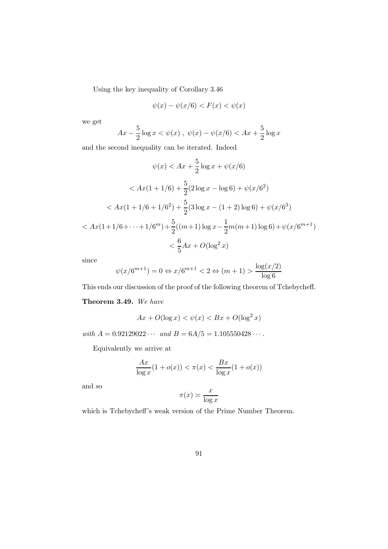Using the key inequality of Corollary 3.46

$$
\psi(x) - \psi(x/6) < F(x) < \psi(x)
$$

we get

$$
Ax - \frac{5}{2}\log x < \psi(x), \ \psi(x) - \psi(x/6) < Ax + \frac{5}{2}\log x
$$

and the second inequality can be iterated. Indeed

$$
\psi(x) < Ax + \frac{5}{2}\log x + \psi(x/6)
$$
\n
$$
< Ax(1+1/6) + \frac{5}{2}(2\log x - \log 6) + \psi(x/6^2)
$$
\n
$$
< Ax(1+1/6+1/6^2) + \frac{5}{2}(3\log x - (1+2)\log 6) + \psi(x/6^3)
$$
\n
$$
< Ax(1+1/6+\cdots+1/6^m) + \frac{5}{2}((m+1)\log x - \frac{1}{2}m(m+1)\log 6) + \psi(x/6^{m+1})
$$
\n
$$
< \frac{6}{5}Ax + O(\log^2 x)
$$

since

$$
\psi(x/6^{m+1}) = 0 \Leftrightarrow x/6^{m+1} < 2 \Leftrightarrow (m+1) > \frac{\log(x/2)}{\log 6}
$$

This ends our discussion of the proof of the following theorem of Tchebycheff.

Theorem 3.49. We have

$$
Ax + O(\log x) < \psi(x) < Bx + O(\log^2 x)
$$

with  $A = 0.92129022 \cdots$  and  $B = 6A/5 = 1.105550428 \cdots$ .

Equivalently we arrive at

$$
\frac{Ax}{\log x}(1 + o(x)) < \pi(x) < \frac{Bx}{\log x}(1 + o(x))
$$

and so

$$
\pi(x) \asymp \frac{x}{\log x}
$$

which is Tchebycheff's weak version of the Prime Number Theorem.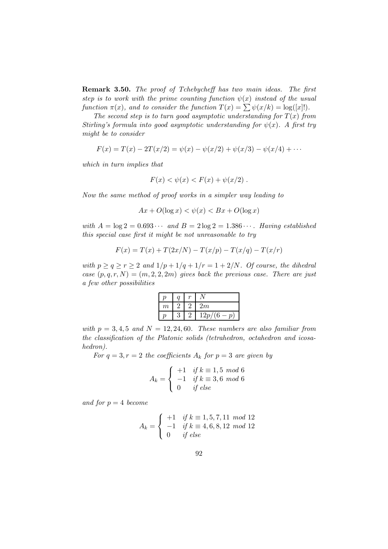Remark 3.50. The proof of Tchebycheff has two main ideas. The first step is to work with the prime counting function  $\psi(x)$  instead of the usual function  $\pi(x)$ , and to consider the function  $T(x) = \sum \psi(x/k) = \log(|x|!)$ .

The second step is to turn good asymptotic understanding for  $T(x)$  from Stirling's formula into good asymptotic understanding for  $\psi(x)$ . A first try might be to consider

$$
F(x) = T(x) - 2T(x/2) = \psi(x) - \psi(x/2) + \psi(x/3) - \psi(x/4) + \cdots
$$

which in turn implies that

$$
F(x) < \psi(x) < F(x) + \psi(x/2) \, .
$$

Now the same method of proof works in a simpler way leading to

 $Ax + O(\log x) < \psi(x) < Bx + O(\log x)$ 

with  $A = \log 2 = 0.693 \cdots$  and  $B = 2 \log 2 = 1.386 \cdots$ . Having established this special case first it might be not unreasonable to try

$$
F(x) = T(x) + T(2x/N) - T(x/p) - T(x/q) - T(x/r)
$$

with  $p \ge q \ge r \ge 2$  and  $1/p + 1/q + 1/r = 1 + 2/N$ . Of course, the dihedral case  $(p, q, r, N) = (m, 2, 2, 2m)$  gives back the previous case. There are just a few other possibilities

| m |  | 2m    |
|---|--|-------|
|   |  | 12p/6 |

with  $p = 3, 4, 5$  and  $N = 12, 24, 60$ . These numbers are also familiar from the classification of the Platonic solids (tetrahedron, octahedron and icosahedron).

For  $q = 3, r = 2$  the coefficients  $A_k$  for  $p = 3$  are given by

$$
A_k = \begin{cases} \n+1 & \text{if } k \equiv 1, 5 \mod 6 \\ \n-1 & \text{if } k \equiv 3, 6 \mod 6 \\ \n0 & \text{if else} \n\end{cases}
$$

and for  $p = 4$  become

$$
A_k = \begin{cases} \n+1 & \text{if } k \equiv 1, 5, 7, 11 \mod 12 \\ \n-1 & \text{if } k \equiv 4, 6, 8, 12 \mod 12 \\ \n0 & \text{if else} \n\end{cases}
$$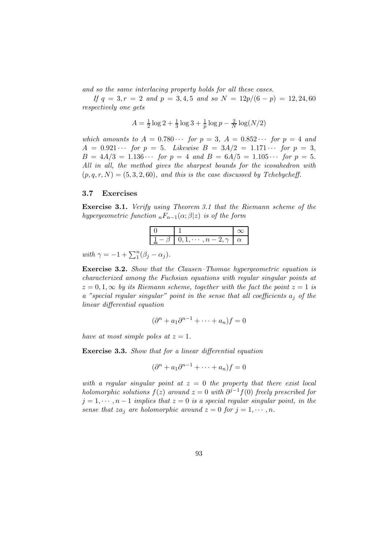and so the same interlacing property holds for all these cases.

If  $q = 3, r = 2$  and  $p = 3, 4, 5$  and so  $N = 12p/(6 - p) = 12, 24, 60$ respectively one gets

$$
A = \frac{1}{2}\log 2 + \frac{1}{3}\log 3 + \frac{1}{p}\log p - \frac{2}{N}\log(N/2)
$$

which amounts to  $A = 0.780 \cdots$  for  $p = 3$ ,  $A = 0.852 \cdots$  for  $p = 4$  and  $A = 0.921 \cdots$  for  $p = 5$ . Likewise  $B = 3A/2 = 1.171 \cdots$  for  $p = 3$ ,  $B = 4A/3 = 1.136 \cdots$  for  $p = 4$  and  $B = 6A/5 = 1.105 \cdots$  for  $p = 5$ . All in all, the method gives the sharpest bounds for the icosahedron with  $(p, q, r, N) = (5, 3, 2, 60)$ , and this is the case discussed by Tchebycheff.

#### 3.7 Exercises

Exercise 3.1. Verify using Theorem 3.1 that the Riemann scheme of the hypergeometric function  $nF_{n-1}(\alpha;\beta|z)$  is of the form

| $\beta$   0.1, $\cdots$ , $n-2$ , $\gamma$ | $\alpha$ |
|--------------------------------------------|----------|

with  $\gamma = -1 + \sum_{i=1}^{n} (\beta_j - \alpha_j).$ 

Exercise 3.2. Show that the Clausen–Thomae hypergeometric equation is characterized among the Fuchsian equations with regular singular points at  $z = 0, 1, \infty$  by its Riemann scheme, together with the fact the point  $z = 1$  is a "special regular singular" point in the sense that all coefficients  $a_i$  of the linear differential equation

$$
(\partial^n + a_1 \partial^{n-1} + \dots + a_n)f = 0
$$

have at most simple poles at  $z = 1$ .

Exercise 3.3. Show that for a linear differential equation

$$
(\partial^n + a_1 \partial^{n-1} + \dots + a_n)f = 0
$$

with a regular singular point at  $z = 0$  the property that there exist local holomorphic solutions  $f(z)$  around  $z = 0$  with  $\partial^{j-1} f(0)$  freely prescribed for  $j = 1, \dots, n-1$  implies that  $z = 0$  is a special regular singular point, in the sense that  $za_j$  are holomorphic around  $z = 0$  for  $j = 1, \dots, n$ .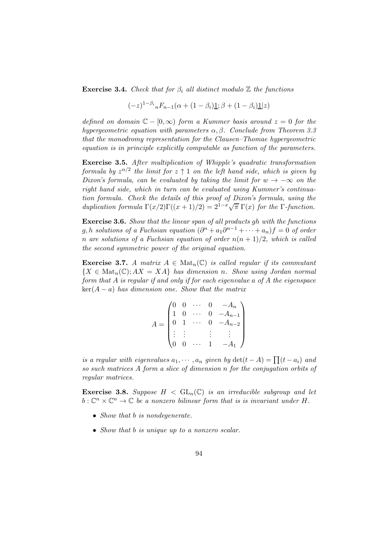**Exercise 3.4.** Check that for  $\beta_i$  all distinct modulo  $\mathbb{Z}$  the functions

$$
(-z)^{1-\beta_i} {}_nF_{n-1}(\alpha + (1-\beta_i)\underline{1}; \beta + (1-\beta_i)\underline{1}|z)
$$

defined on domain  $\mathbb{C} - [0,\infty)$  form a Kummer basis around  $z = 0$  for the hypergeometric equation with parameters  $\alpha, \beta$ . Conclude from Theorem 3.3 that the monodromy representation for the Clausen–Thomae hypergeometric equation is in principle explicitly computable as function of the parameters.

Exercise 3.5. After multiplication of Whipple's quadratic transformation formula by  $z^{\alpha/2}$  the limit for  $z \uparrow 1$  on the left hand side, which is given by Dixon's formula, can be evaluated by taking the limit for  $w \to -\infty$  on the right hand side, which in turn can be evaluated using Kummer's continuation formula. Check the details of this proof of Dixon's formula, using the duplication formula  $\Gamma(x/2)\Gamma((x+1)/2) = 2^{1-x}\sqrt{\pi} \Gamma(x)$  for the  $\Gamma$ -function.

Exercise 3.6. Show that the linear span of all products gh with the functions g, h solutions of a Fuchsian equation  $(\partial^n + a_1 \partial^{n-1} + \cdots + a_n)f = 0$  of order n are solutions of a Fuchsian equation of order  $n(n+1)/2$ , which is called the second symmetric power of the original equation.

**Exercise 3.7.** A matrix  $A \in Mat_n(\mathbb{C})$  is called regular if its commutant  ${X \in \mathrm{Mat}_n(\mathbb{C})}$ ;  $AX = XA$  has dimension n. Show using Jordan normal form that A is regular if and only if for each eigenvalue a of A the eigenspace  $\ker(A - a)$  has dimension one. Show that the matrix

$$
A = \begin{pmatrix} 0 & 0 & \cdots & 0 & -A_n \\ 1 & 0 & \cdots & 0 & -A_{n-1} \\ 0 & 1 & \cdots & 0 & -A_{n-2} \\ \vdots & \vdots & & \vdots & \vdots \\ 0 & 0 & \cdots & 1 & -A_1 \end{pmatrix}
$$

is a regular with eigenvalues  $a_1, \dots, a_n$  given by  $\det(t - A) = \prod(t - a_i)$  and so such matrices A form a slice of dimension n for the conjugation orbits of regular matrices.

**Exercise 3.8.** Suppose  $H < GL_n(\mathbb{C})$  is an irreducible subgroup and let  $b: \mathbb{C}^n \times \mathbb{C}^n \to \mathbb{C}$  be a nonzero bilinear form that is is invariant under H.

- Show that b is nondegenerate.
- Show that b is unique up to a nonzero scalar.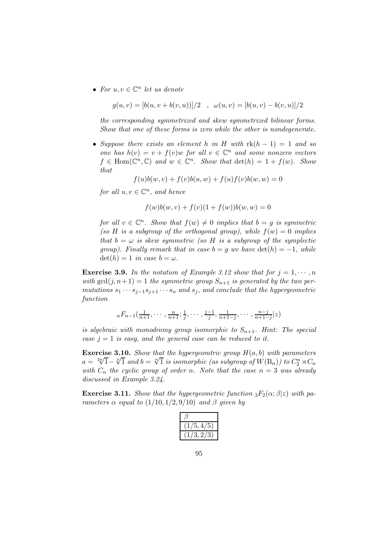• For  $u, v \in \mathbb{C}^n$  let us denote

$$
g(u, v) = [b(u, v + b(v, u))] / 2 \quad , \quad \omega(u, v) = [b(u, v) - b(v, u)] / 2
$$

the corresponding symmetrized and skew symmetrized bilinear forms. Show that one of these forms is zero while the other is nondegenerate.

• Suppose there exists an element h in H with  $rk(h-1) = 1$  and so one has  $h(v) = v + f(v)w$  for all  $v \in \mathbb{C}^n$  and some nonzero vectors  $f \in \text{Hom}(\mathbb{C}^n, \mathbb{C})$  and  $w \in \mathbb{C}^n$ . Show that  $\det(h) = 1 + f(w)$ . Show that

$$
f(u)b(w, v) + f(v)b(u, w) + f(u)f(v)b(w, w) = 0
$$

for all  $u, v \in \mathbb{C}^n$ , and hence

$$
f(w)b(w, v) + f(v)(1 + f(w))b(w, w) = 0
$$

for all  $v \in \mathbb{C}^n$ . Show that  $f(w) \neq 0$  implies that  $b = g$  is symmetric (so H is a subgroup of the orthogonal group), while  $f(w) = 0$  implies that  $b = \omega$  is skew symmetric (so H is a subgroup of the symplectic group). Finally remark that in case  $b = g$  we have  $det(h) = -1$ , while  $\det(h) = 1$  in case  $b = \omega$ .

**Exercise 3.9.** In the notation of Example 3.12 show that for  $j = 1, \dots, n$ with  $gcd(j, n+1) = 1$  the symmetric group  $S_{n+1}$  is generated by the two permutations  $s_1 \cdots s_{j-1} s_{j+1} \cdots s_n$  and  $s_j$ , and conclude that the hypergeometric function

$$
_{n}F_{n-1}(\frac{1}{n+1},\cdots,\frac{n}{n+1};\frac{1}{j},\cdots,\frac{j-1}{j},\frac{1}{n+1-j},\cdots,\frac{n-j}{n+1-j}|z)
$$

is algebraic with monodromy group isomorphic to  $S_{n+1}$ . Hint: The special case  $j = 1$  is easy, and the general case can be reduced to it.

**Exercise 3.10.** Show that the hypergeomtric group  $H(a, b)$  with parameters a =  ${}^{2n}\sqrt{1} - \sqrt[n]{1}$  and  $b = \sqrt[n]{1}$  is isomorphic (as subgroup of  $W(B_n)$ ) to  $C_2^n \rtimes C_n$ with  $C_n$  the cyclic group of order n. Note that the case  $n = 3$  was already discussed in Example 3.24.

**Exercise 3.11.** Show that the hypergeometric function  ${}_{3}F_{2}(\alpha;\beta|z)$  with parameters  $\alpha$  equal to  $(1/10, 1/2, 9/10)$  and  $\beta$  given by

| Б.<br>/5 |
|----------|
| ۰,       |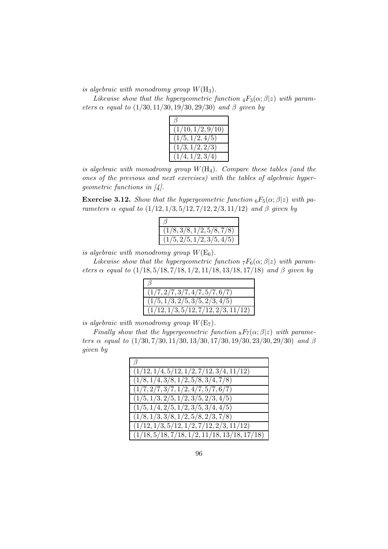is algebraic with monodromy group  $W(H_3)$ .

Likewise show that the hypergeometric function  $_4F_3(\alpha;\beta|z)$  with parameters  $\alpha$  equal to  $(1/30, 11/30, 19/30, 29/30)$  and  $\beta$  given by

| (1/10, 1/2, 9/10) |
|-------------------|
| (1/5, 1/2, 4/5)   |
| (1/3, 1/2, 2/3)   |
| (1/4, 1/2, 3/4)   |

is algebraic with monodromy group  $W(H_4)$ . Compare these tables (and the ones of the previous and next exercises) with the tables of algebraic hypergeometric functions in [4].

**Exercise 3.12.** Show that the hypergeometric function  ${}_6F_5(\alpha;\beta|z)$  with parameters  $\alpha$  equal to  $(1/12, 1/3, 5/12, 7/12, 2/3, 11/12)$  and  $\beta$  given by

| (1/8, 3/8, 1/2, 5/8, 7/8)              |
|----------------------------------------|
| $\overline{(1/5, 2/5, 1/2, 3/5, 4/5)}$ |

is algebraic with monodromy group  $W(E_6)$ .

Likewise show that the hypergeometric function  ${}_{7}F_{6}(\alpha;\beta|z)$  with parameters  $\alpha$  equal to  $(1/18, 5/18, 7/18, 1/2, 11/18, 13/18, 17/18)$  and  $\beta$  given by

| (1/7, 2/7, 3/7, 4/7, 5/7, 6/7)      |  |
|-------------------------------------|--|
| (1/5, 1/3, 2/5, 3/5, 2/3, 4/5)      |  |
| (1/12, 1/3, 5/12, 7/12, 2/3, 11/12) |  |

is algebraic with monodromy group  $W(E_7)$ .

Finally show that the hypergeometric function  ${}_{8}F_{7}(\alpha;\beta|z)$  with parameters  $\alpha$  equal to  $(1/30, 7/30, 11/30, 13/30, 17/30, 19/30, 23/30, 29/30)$  and  $\beta$ given by

| $(1/12, 1/4, 5/12, 1/2, 7/12, 3/4, 11/12)$       |
|--------------------------------------------------|
| (1/8, 1/4, 3/8, 1/2, 5/8, 3/4, 7/8)              |
| (1/7, 2/7, 3/7, 1/2, 4/7, 5/7, 6/7)              |
| (1/5, 1/3, 2/5, 1/2, 3/5, 2/3, 4/5)              |
| $\overline{(1/5, 1/4, 2/5, 1/2, 3/5, 3/4, 4/5)}$ |
| (1/8, 1/3, 3/8, 1/2, 5/8, 2/3, 7/8)              |
| $(1/12, 1/3, 5/12, 1/2, 7/12, 2/3, 11/12)$       |
| $(1/18, 5/18, 7/18, 1/2, 11/18, 13/18, 17/18)$   |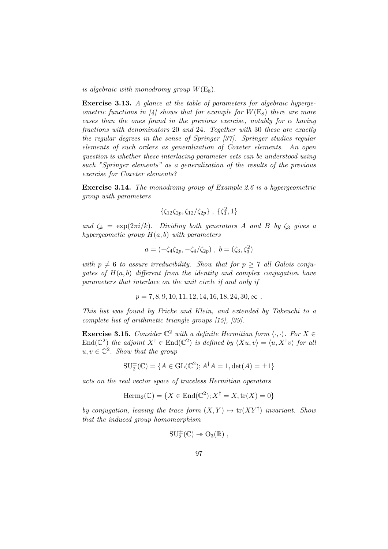is algebraic with monodromy group  $W(E_8)$ .

Exercise 3.13. A glance at the table of parameters for algebraic hypergeometric functions in [4] shows that for example for  $W(E_8)$  there are more cases than the ones found in the previous exercise, notably for  $\alpha$  having fractions with denominators 20 and 24. Together with 30 these are exactly the regular degrees in the sense of Springer [37]. Springer studies regular elements of such orders as generalization of Coxeter elements. An open question is whether these interlacing parameter sets can be understood using such "Springer elements" as a generalization of the results of the previous exercise for Coxeter elements?

Exercise 3.14. The monodromy group of Example 2.6 is a hypergeometric group with parameters

$$
\{\zeta_{12}\zeta_{2p},\zeta_{12}/\zeta_{2p}\}\;,\;\{\zeta_3^2,1\}
$$

and  $\zeta_k = \exp(2\pi i/k)$ . Dividing both generators A and B by  $\zeta_3$  gives a hypergeometic group  $H(a, b)$  with parameters

$$
a = (-\zeta_4 \zeta_{2p}, -\zeta_4/\zeta_{2p}), b = (\zeta_3, \zeta_3^2)
$$

with  $p \neq 6$  to assure irreducibility. Show that for  $p \geq 7$  all Galois conjugates of  $H(a, b)$  different from the identity and complex conjugation have parameters that interlace on the unit circle if and only if

$$
p = 7, 8, 9, 10, 11, 12, 14, 16, 18, 24, 30, \infty
$$

This list was found by Fricke and Klein, and extended by Takeuchi to a complete list of arithmetic triangle groups [15], [39].

**Exercise 3.15.** Consider  $\mathbb{C}^2$  with a definite Hermitian form  $\langle \cdot, \cdot \rangle$ . For  $X \in$  $\text{End}(\mathbb{C}^2)$  the adjoint  $X^{\dagger} \in \text{End}(\mathbb{C}^2)$  is defined by  $\langle Xu, v \rangle = \langle u, X^{\dagger}v \rangle$  for all  $u, v \in \mathbb{C}^2$ . Show that the group

$$
SU_2^{\pm}(\mathbb{C}) = \{ A \in GL(\mathbb{C}^2); A^{\dagger} A = 1, \det(A) = \pm 1 \}
$$

acts on the real vector space of traceless Hermitian operators

$$
\text{Herm}_2(\mathbb{C}) = \{ X \in \text{End}(\mathbb{C}^2) ; X^{\dagger} = X, \text{tr}(X) = 0 \}
$$

by conjugation, leaving the trace form  $(X, Y) \mapsto \text{tr}(XY^{\dagger})$  invariant. Show that the induced group homomorphism

$$
SU_2^{\pm}(\mathbb{C})\twoheadrightarrow O_3(\mathbb{R}) ,
$$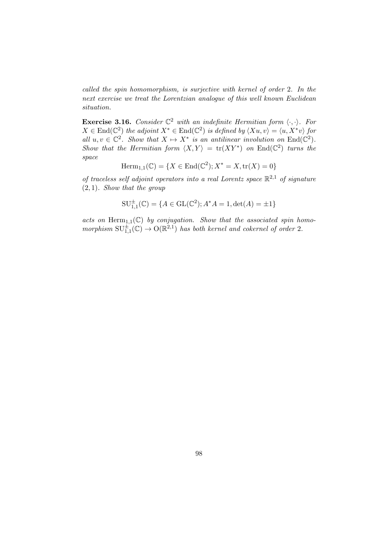called the spin homomorphism, is surjective with kernel of order 2. In the next exercise we treat the Lorentzian analogue of this well known Euclidean situation.

**Exercise 3.16.** Consider  $\mathbb{C}^2$  with an indefinite Hermitian form  $\langle \cdot, \cdot \rangle$ . For  $X \in \text{End}(\mathbb{C}^2)$  the adjoint  $X^* \in \text{End}(\mathbb{C}^2)$  is defined by  $\langle Xu, v \rangle = \langle u, X^*v \rangle$  for all  $u, v \in \mathbb{C}^2$ . Show that  $X \mapsto X^*$  is an antilinear involution on End( $\mathbb{C}^2$ ). Show that the Hermitian form  $\langle X, Y \rangle = \text{tr}(XY^*)$  on  $\text{End}(\mathbb{C}^2)$  turns the space

Herm<sub>1,1</sub>(
$$
\mathbb{C}
$$
) = { $X \in \text{End}(\mathbb{C}^2)$ ;  $X^* = X$ , tr $(X) = 0$ }

of traceless self adjoint operators into a real Lorentz space  $\mathbb{R}^{2,1}$  of signature  $(2, 1)$ . Show that the group

$$
SU_{1,1}^{\pm}(\mathbb{C}) = \{ A \in GL(\mathbb{C}^2); A^*A = 1, \det(A) = \pm 1 \}
$$

acts on  $\text{Herm}_{1,1}(\mathbb{C})$  by conjugation. Show that the associated spin homomorphism  $SU^{\pm}_{1,1}(\mathbb{C}) \to O(\mathbb{R}^{2,1})$  has both kernel and cokernel of order 2.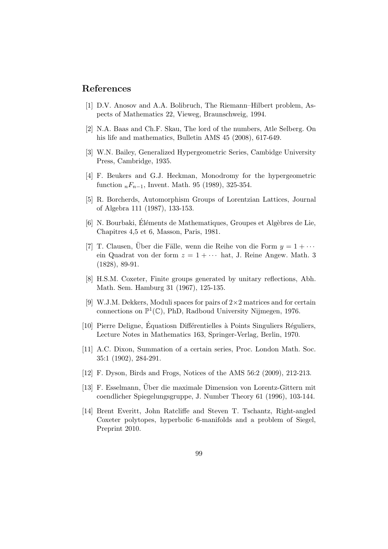### References

- [1] D.V. Anosov and A.A. Bolibruch, The Riemann–Hilbert problem, Aspects of Mathematics 22, Vieweg, Braunschweig, 1994.
- [2] N.A. Baas and Ch.F. Skau, The lord of the numbers, Atle Selberg. On his life and mathematics, Bulletin AMS 45 (2008), 617-649.
- [3] W.N. Bailey, Generalized Hypergeometric Series, Cambidge University Press, Cambridge, 1935.
- [4] F. Beukers and G.J. Heckman, Monodromy for the hypergeometric function  $nF_{n-1}$ , Invent. Math. 95 (1989), 325-354.
- [5] R. Borcherds, Automorphism Groups of Lorentzian Lattices, Journal of Algebra 111 (1987), 133-153.
- [6] N. Bourbaki, Eléments de Mathematiques, Groupes et Algèbres de Lie, Chapitres 4,5 et 6, Masson, Paris, 1981.
- [7] T. Clausen, Über die Fälle, wenn die Reihe von die Form  $y = 1 + \cdots$ ein Quadrat von der form  $z = 1 + \cdots$  hat, J. Reine Angew. Math. 3 (1828), 89-91.
- [8] H.S.M. Coxeter, Finite groups generated by unitary reflections, Abh. Math. Sem. Hamburg 31 (1967), 125-135.
- [9] W.J.M. Dekkers, Moduli spaces for pairs of 2×2 matrices and for certain connections on  $\mathbb{P}^1(\mathbb{C})$ , PhD, Radboud University Nijmegen, 1976.
- [10] Pierre Deligne, Équatiosn Différentielles à Points Singuliers Réguliers, Lecture Notes in Mathematics 163, Springer-Verlag, Berlin, 1970.
- [11] A.C. Dixon, Summation of a certain series, Proc. London Math. Soc. 35:1 (1902), 284-291.
- [12] F. Dyson, Birds and Frogs, Notices of the AMS 56:2 (2009), 212-213.
- [13] F. Esselmann, Uber die maximale Dimension von Lorentz-Gittern mit ¨ coendlicher Spiegelungsgruppe, J. Number Theory 61 (1996), 103-144.
- [14] Brent Everitt, John Ratcliffe and Steven T. Tschantz, Right-angled Coxeter polytopes, hyperbolic 6-manifolds and a problem of Siegel, Preprint 2010.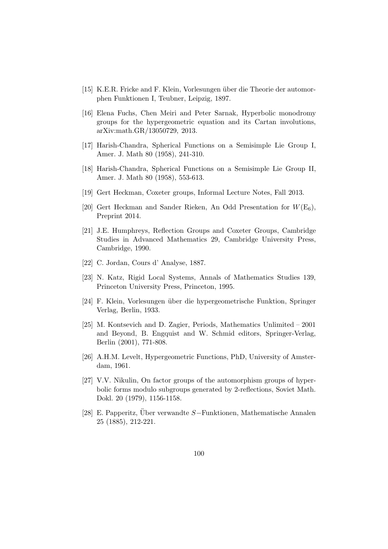- [15] K.E.R. Fricke and F. Klein, Vorlesungen über die Theorie der automorphen Funktionen I, Teubner, Leipzig, 1897.
- [16] Elena Fuchs, Chen Meiri and Peter Sarnak, Hyperbolic monodromy groups for the hypergeometric equation and its Cartan involutions, arXiv:math.GR/13050729, 2013.
- [17] Harish-Chandra, Spherical Functions on a Semisimple Lie Group I, Amer. J. Math 80 (1958), 241-310.
- [18] Harish-Chandra, Spherical Functions on a Semisimple Lie Group II, Amer. J. Math 80 (1958), 553-613.
- [19] Gert Heckman, Coxeter groups, Informal Lecture Notes, Fall 2013.
- [20] Gert Heckman and Sander Rieken, An Odd Presentation for  $W(E_6)$ , Preprint 2014.
- [21] J.E. Humphreys, Reflection Groups and Coxeter Groups, Cambridge Studies in Advanced Mathematics 29, Cambridge University Press, Cambridge, 1990.
- [22] C. Jordan, Cours d' Analyse, 1887.
- [23] N. Katz, Rigid Local Systems, Annals of Mathematics Studies 139, Princeton University Press, Princeton, 1995.
- [24] F. Klein, Vorlesungen ¨uber die hypergeometrische Funktion, Springer Verlag, Berlin, 1933.
- [25] M. Kontsevich and D. Zagier, Periods, Mathematics Unlimited 2001 and Beyond, B. Engquist and W. Schmid editors, Springer-Verlag, Berlin (2001), 771-808.
- [26] A.H.M. Levelt, Hypergeometric Functions, PhD, University of Amsterdam, 1961.
- [27] V.V. Nikulin, On factor groups of the automorphism groups of hyperbolic forms modulo subgroups generated by 2-reflections, Soviet Math. Dokl. 20 (1979), 1156-1158.
- [28] E. Papperitz, Über verwandte  $S-$ Funktionen, Mathematische Annalen 25 (1885), 212-221.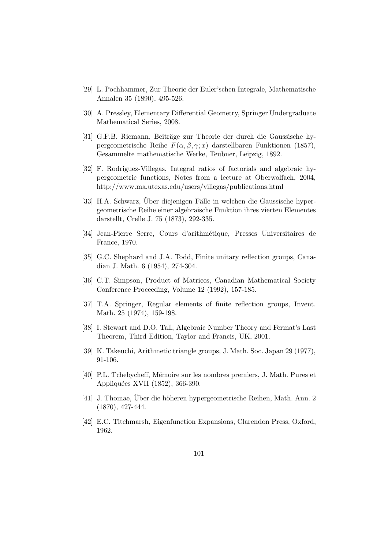- [29] L. Pochhammer, Zur Theorie der Euler'schen Integrale, Mathematische Annalen 35 (1890), 495-526.
- [30] A. Pressley, Elementary Differential Geometry, Springer Undergraduate Mathematical Series, 2008.
- [31] G.F.B. Riemann, Beiträge zur Theorie der durch die Gaussische hypergeometrische Reihe  $F(\alpha, \beta, \gamma; x)$  darstellbaren Funktionen (1857), Gesammelte mathematische Werke, Teubner, Leipzig, 1892.
- [32] F. Rodriguez-Villegas, Integral ratios of factorials and algebraic hypergeometric functions, Notes from a lecture at Oberwolfach, 2004, http://www.ma.utexas.edu/users/villegas/publications.html
- [33] H.A. Schwarz, Uber diejenigen Fälle in welchen die Gaussische hypergeometrische Reihe einer algebraische Funktion ihres vierten Elementes darstellt, Crelle J. 75 (1873), 292-335.
- [34] Jean-Pierre Serre, Cours d'arithm´etique, Presses Universitaires de France, 1970.
- [35] G.C. Shephard and J.A. Todd, Finite unitary reflection groups, Canadian J. Math. 6 (1954), 274-304.
- [36] C.T. Simpson, Product of Matrices, Canadian Mathematical Society Conference Proceeding, Volume 12 (1992), 157-185.
- [37] T.A. Springer, Regular elements of finite reflection groups, Invent. Math. 25 (1974), 159-198.
- [38] I. Stewart and D.O. Tall, Algebraic Number Theory and Fermat's Last Theorem, Third Edition, Taylor and Francis, UK, 2001.
- [39] K. Takeuchi, Arithmetic triangle groups, J. Math. Soc. Japan 29 (1977), 91-106.
- [40] P.L. Tchebycheff, M´emoire sur les nombres premiers, J. Math. Pures et Appliquées XVII (1852), 366-390.
- [41] J. Thomae, Über die höheren hypergeometrische Reihen, Math. Ann. 2 (1870), 427-444.
- [42] E.C. Titchmarsh, Eigenfunction Expansions, Clarendon Press, Oxford, 1962.